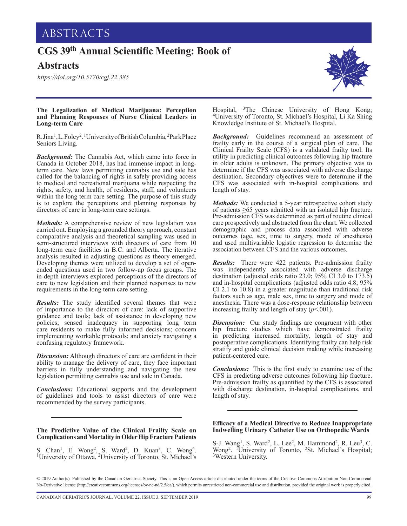# **CGS 39th Annual Scientific Meeting: Book of**

## **Abstracts**

*<https://doi.org/10.5770/cgj.22.385>*



## **The Legalization of Medical Marijuana: Perception and Planning Responses of Nurse Clinical Leaders in Long-term Care**

R.Jina<sup>1</sup>, L. Foley<sup>2</sup>.<sup>1</sup> University of British Columbia, <sup>2</sup>Park Place Seniors Living.

*Background:* The Cannabis Act, which came into force in Canada in October 2018, has had immense impact in longterm care. New laws permitting cannabis use and sale has called for the balancing of rights in safely providing access to medical and recreational marijuana while respecting the rights, safety, and health, of residents, staff, and volunteers within the long term care setting. The purpose of this study is to explore the perceptions and planning responses by directors of care in long-term care settings.

*Methods:* A comprehensive review of new legislation was carried out. Employing a grounded theory approach, constant comparative analysis and theoretical sampling was used in semi-structured interviews with directors of care from 10 long-term care facilities in B.C. and Alberta. The iterative analysis resulted in adjusting questions as theory emerged. Developing themes were utilized to develop a set of openended questions used in two follow-up focus groups. The in-depth interviews explored perceptions of the directors of care to new legislation and their planned responses to new requirements in the long term care setting.

*Results:* The study identified several themes that were of importance to the directors of care: lack of supportive guidance and tools; lack of assistance in developing new policies; sensed inadequacy in supporting long term care residents to make fully informed decisions; concern implementing workable protocols; and anxiety navigating a confusing regulatory framework.

*Discussion:* Although directors of care are confident in their ability to manage the delivery of care, they face important barriers in fully understanding and navigating the new legislation permitting cannabis use and sale in Canada.

*Conclusions:* Educational supports and the development of guidelines and tools to assist directors of care were recommended by the survey participants.

## **The Predictive Value of the Clinical Frailty Scale on Complications and Mortality in Older Hip Fracture Patients**

S. Chan<sup>1</sup>, E. Wong<sup>2</sup>, S. Ward<sup>2</sup>, D. Kuan<sup>3</sup>, C. Wong<sup>4</sup>. <sup>1</sup>University of Ottawa, <sup>2</sup>University of Toronto, St. Michael's

Hospital, 3The Chinese University of Hong Kong; 4University of Toronto, St. Michael's Hospital, Li Ka Shing Knowledge Institute of St. Michael's Hospital.

*Background:* Guidelines recommend an assessment of frailty early in the course of a surgical plan of care. The Clinical Frailty Scale (CFS) is a validated frailty tool. Its utility in predicting clinical outcomes following hip fracture in older adults is unknown. The primary objective was to determine if the CFS was associated with adverse discharge destination. Secondary objectives were to determine if the CFS was associated with in-hospital complications and length of stay.

*Methods:* We conducted a 5-year retrospective cohort study of patients ≥65 years admitted with an isolated hip fracture. Pre-admission CFS was determined as part of routine clinical care prospectively and abstracted from the chart. We collected demographic and process data associated with adverse outcomes (age, sex, time to surgery, mode of anesthesia) and used multivariable logistic regression to determine the association between CFS and the various outcomes.

*Results:* There were 422 patients. Pre-admission frailty was independently associated with adverse discharge destination (adjusted odds ratio 23.0; 95% CI 3.0 to 173.5) and in-hospital complications (adjusted odds ratio 4.8; 95%  $CI$  2.1 to  $10.8$ ) in a greater magnitude than traditional risk factors such as age, male sex, time to surgery and mode of anesthesia. There was a dose-response relationship between increasing frailty and length of stay  $(p<.001)$ .

*Discussion:* Our study findings are congruent with other hip fracture studies which have demonstrated frailty in predicting increased mortality, length of stay and postoperative complications. Identifying frailty can help risk stratify and guide clinical decision making while increasing patient-centered care.

*Conclusions:* This is the first study to examine use of the CFS in predicting adverse outcomes following hip fracture. Pre-admission frailty as quantified by the CFS is associated with discharge destination, in-hospital complications, and length of stay.

## **Efficacy of a Medical Directive to Reduce Inappropriate Indwelling Urinary Catheter Use on Orthopedic Wards**

S-J. Wang<sup>1</sup>, S. Ward<sup>2</sup>, L. Lee<sup>2</sup>, M. Hammond<sup>2</sup>, R. Leu<sup>3</sup>, C. Wong<sup>2</sup>. <sup>1</sup>University of Toronto, <sup>2</sup>St. Michael's Hospital; <sup>3</sup>Western University.

© 2019 Author(s). Published by the Canadian Geriatrics Society. This is an Open Access article distributed under the terms of the Creative Commons Attribution Non-Commercial No-Derivative license ([http://creativecommons.org/licenses/by-nc-nd/2.5/ca/](http://creativecommons.org/licenses/by-nc-nd/2.5/ca)), which permits unrestricted non-commercial use and distribution, provided the original work is properly cited.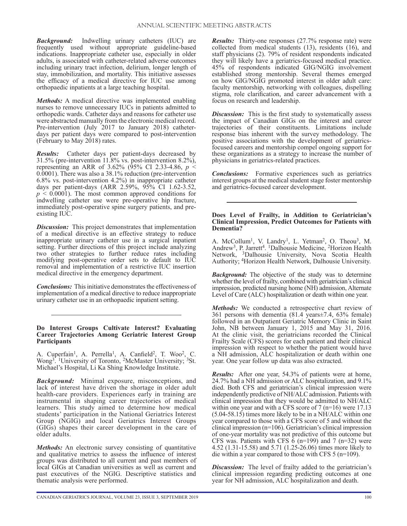*Background:* Indwelling urinary catheters (IUC) are frequently used without appropriate guideline-based indications. Inappropriate catheter use, especially in older adults, is associated with catheter-related adverse outcomes including urinary tract infection, delirium, longer length of stay, immobilization, and mortality. This initiative assesses the efficacy of a medical directive for IUC use among orthopaedic inpatients at a large teaching hospital.

*Methods:* A medical directive was implemented enabling nurses to remove unnecessary IUCs in patients admitted to orthopedic wards. Catheter days and reasons for catheter use were abstracted manually from the electronic medical record. Pre-intervention (July 2017 to January 2018) catheterdays per patient days were compared to post-intervention (February to May 2018) rates.

*Results:* Catheter days per patient-days decreased by 31.5% (pre-intervention 11.8% vs. post-intervention 8.2%), representing an ARR of 3.62% (95% CI 2.33-4.86,  $p \leq$ 0.0001). There was also a 38.1% reduction (pre-intervention 6.8% vs. post-intervention 4.2%) in inappropriate catheter days per patient-days (ARR 2.59%, 95% CI 1.62-3.52,  $p \leq 0.0001$ ). The most common approved conditions for indwelling catheter use were pre-operative hip fracture, immediately post-operative spine surgery patients, and preexisting IUC.

*Discussion:* This project demonstrates that implementation of a medical directive is an effective strategy to reduce inappropriate urinary catheter use in a surgical inpatient setting. Further directions of this project include analyzing two other strategies to further reduce rates including modifying post-operative order sets to default to IUC removal and implementation of a restrictive IUC insertion medical directive in the emergency department.

*Conclusions:* This initiative demonstrates the effectiveness of implementation of a medical directive to reduce inappropriate urinary catheter use in an orthopaedic inpatient setting.

**Do Interest Groups Cultivate Interest? Evaluating Career Trajectories Among Geriatric Interest Group Participants**

A. Cuperfain<sup>1</sup>, A. Perrella<sup>1</sup>, A. Canfield<sup>2</sup>, T. Woo<sup>2</sup>, C. Wong<sup>3</sup>. <sup>1</sup>University of Toronto, <sup>2</sup>McMaster University; <sup>3</sup>St. Michael's Hospital, Li Ka Shing Knowledge Institute.

*Background:* Minimal exposure, misconceptions, and lack of interest have driven the shortage in older adult health-care providers. Experiences early in training are instrumental in shaping career trajectories of medical learners. This study aimed to determine how medical students' participation in the National Geriatrics Interest Group (NGIG) and local Geriatrics Interest Groups (GIGs) shapes their career development in the care of older adults.

*Methods:* An electronic survey consisting of quantitative and qualitative metrics to assess the influence of interest groups was distributed to all current and past members of local GIGs at Canadian universities as well as current and past executives of the NGIG. Descriptive statistics and thematic analysis were performed.

*Results:* Thirty-one responses (27.7% response rate) were collected from medical students (13), residents (16), and staff physicians (2). 79% of resident respondents indicated they will likely have a geriatrics-focused medical practice. 45% of respondents indicated GIG/NGIG involvement established strong mentorship. Several themes emerged on how GIG/NGIG promoted interest in older adult care: faculty mentorship, networking with colleagues, dispelling stigma, role clarification, and career advancement with a focus on research and leadership.

*Discussion:* This is the first study to systematically assess the impact of Canadian GIGs on the interest and career trajectories of their constituents. Limitations include response bias inherent with the survey methodology. The positive associations with the development of geriatricsfocused careers and mentorship compel ongoing support for these organizations as a strategy to increase the number of physicians in geriatrics-related practices.

*Conclusions:* Formative experiences such as geriatrics interest groups at the medical student stage foster mentorship and geriatrics-focused career development.

#### **Does Level of Frailty, in Addition to Geriatrician's Clinical Impression, Predict Outcomes for Patients with Dementia?**

A. McCollum<sup>1</sup>, V. Landry<sup>1</sup>, L. Yetman<sup>2</sup>, O. Theou<sup>3</sup>, M. Andrew<sup>3</sup>, P. Jarrett<sup>4</sup>. <sup>1</sup>Dalhousie Medicine, <sup>2</sup>Horizon Health Network, 3Dalhousie University, Nova Scotia Health Authority; 4Horizon Health Network, Dalhousie University.

*Background:* The objective of the study was to determine whether the level of frailty, combined with geriatrician's clinical impression, predicted nursing home (NH) admission, Alternate Level of Care (ALC) hospitalization or death within one year.

*Methods:* We conducted a retrospective chart review of 361 persons with dementia (81.4 years±7.4, 63% female) followed in an Outpatient Geriatric Memory Clinic in Saint John, NB between January 1, 2015 and May 31, 2016. At the clinic visit, the geriatricians recorded the Clinical Frailty Scale (CFS) scores for each patient and their clinical impression with respect to whether the patient would have a NH admission, ALC hospitalization or death within one year. One year follow up data was also extracted.

*Results:* After one year, 54.3% of patients were at home, 24.7% had a NH admission or ALC hospitalization, and 9.1% died. Both CFS and geriatrician's clinical impression were independently predictive of NH/ALC admission. Patients with clinical impression that they would be admitted to NH/ALC within one year and with a CFS score of 7 (n=16) were 17.13 (5.04-58.15) times more likely to be in a NH/ALC within one year compared to those with a CFS score of 5 and without the clinical impression (n=106). Geriatrician's clinical impression of one-year mortality was not predictive of this outcome but CFS was. Patients with CFS  $\hat{6}$  (n=199) and 7 (n=32) were 4.52 (1.31-15.58) and 5.71 (1.25-26.06) times more likely to die within a year compared to those with CFS 5 (n=109).

**Discussion:** The level of frailty added to the geriatrician's clinical impression regarding predicting outcomes at one year for NH admission, ALC hospitalization and death.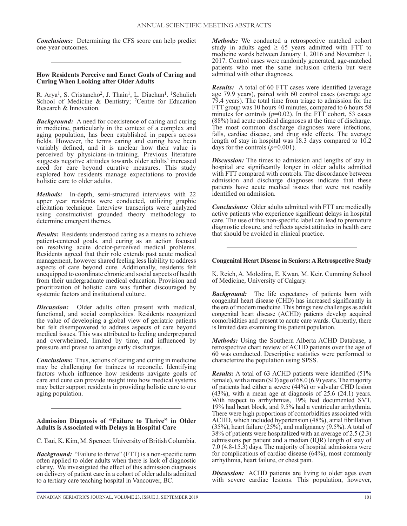*Conclusions:* Determining the CFS score can help predict one-year outcomes.

## **How Residents Perceive and Enact Goals of Caring and Curing When Looking after Older Adults**

R. Arya<sup>1</sup>, S. Cristancho<sup>2</sup>, J. Thain<sup>1</sup>, L. Diachun<sup>1</sup>. <sup>1</sup>Schulich School of Medicine & Dentistry; <sup>2</sup>Centre for Education Research & Innovation.

*Background:* A need for coexistence of caring and curing in medicine, particularly in the context of a complex and aging population, has been established in papers across fields. However, the terms caring and curing have been variably defined, and it is unclear how their value is perceived by physicians-in-training. Previous literature suggests negative attitudes towards older adults' increased need for care beyond curative measures. This study explored how residents manage expectations to provide holistic care to older adults.

*Methods:* In-depth, semi-structured interviews with 22 upper year residents were conducted, utilizing graphic elicitation technique. Interview transcripts were analyzed using constructivist grounded theory methodology to determine emergent themes.

*Results:* Residents understood caring as a means to achieve patient-centered goals, and curing as an action focused on resolving acute doctor-perceived medical problems. Residents agreed that their role extends past acute medical management, however shared feeling less liability to address aspects of care beyond cure. Additionally, residents felt unequipped to coordinate chronic and social aspects of health from their undergraduate medical education. Provision and prioritization of holistic care was further discouraged by systemic factors and institutional culture.

*Discussion:* Older adults often present with medical, functional, and social complexities. Residents recognized the value of developing a global view of geriatric patients but felt disempowered to address aspects of care beyond medical issues. This was attributed to feeling underprepared and overwhelmed, limited by time, and influenced by pressure and praise to arrange early discharges.

*Conclusions:* Thus, actions of caring and curing in medicine may be challenging for trainees to reconcile. Identifying factors which influence how residents navigate goals of care and cure can provide insight into how medical systems may better support residents in providing holistic care to our aging population.

## **Admission Diagnosis of "Failure to Thrive" in Older Adults is Associated with Delays in Hospital Care**

C. Tsui, K. Kim, M. Spencer. University of British Columbia.

*Background:* "Failure to thrive" (FTT) is a non-specific term often applied to older adults when there is lack of diagnostic clarity. We investigated the effect of this admission diagnosis on delivery of patient care in a cohort of older adults admitted to a tertiary care teaching hospital in Vancouver, BC.

*Methods:* We conducted a retrospective matched cohort study in adults aged  $\geq 65$  years admitted with FTT to medicine wards between January 1, 2016 and November 1, 2017. Control cases were randomly generated, age-matched patients who met the same inclusion criteria but were admitted with other diagnoses.

*Results:* A total of 60 FTT cases were identified (average age 79.9 years), paired with 60 control cases (average age 79.4 years). The total time from triage to admission for the FTT group was 10 hours 40 minutes, compared to 6 hours 58 minutes for controls  $(p=0.02)$ . In the FTT cohort, 53 cases (88%) had acute medical diagnoses at the time of discharge. The most common discharge diagnoses were infections, falls, cardiac disease, and drug side effects. The average length of stay in hospital was 18.3 days compared to 10.2 days for the controls  $(p=0.001)$ .

**Discussion:** The times to admission and lengths of stay in hospital are significantly longer in older adults admitted with FTT compared with controls. The discordance between admission and discharge diagnoses indicate that these patients have acute medical issues that were not readily identified on admission.

*Conclusions:* Older adults admitted with FTT are medically active patients who experience significant delays in hospital care. The use of this non-specific label can lead to premature diagnostic closure, and reflects ageist attitudes in health care that should be avoided in clinical practice.

## **Congenital Heart Disease in Seniors: A Retrospective Study**

K. Reich, A. Moledina, E. Kwan, M. Keir. Cumming School of Medicine, University of Calgary.

*Background:* The life expectancy of patients born with congenital heart disease (CHD) has increased significantly in the era of modern medicine. This brings new challenges as adult congenital heart disease (ACHD) patients develop acquired comorbidities and present to acute care wards. Currently, there is limited data examining this patient population.

*Methods:* Using the Southern Alberta ACHD Database, a retrospective chart review of ACHD patients over the age of 60 was conducted. Descriptive statistics were performed to characterize the population using SPSS.

*Results:* A total of 63 ACHD patients were identified (51% female), with a mean (SD) age of 68.0 (6.9) years. The majority of patients had either a severe (44%) or valvular CHD lesion  $(43%)$ , with a mean age at diagnosis of 25.6  $(24.1)$  years. With respect to arrhythmias, 19% had documented SVT, 19% had heart block, and 9.5% had a ventricular arrhythmia. There were high proportions of comorbidities associated with ACHD, which included hypertension (48%), atrial fibrillation (35%), heart failure (25%), and malignancy (9.5%). A total of 38% of patients were hospitalized with an average of 2.5 (2.3) admissions per patient and a median (IQR) length of stay of 7.0 (4.8-15.3) days. The majority of hospital admissions were for complications of cardiac disease (64%), most commonly arrhythmia, heart failure, or chest pain.

*Discussion:* ACHD patients are living to older ages even with severe cardiac lesions. This population, however,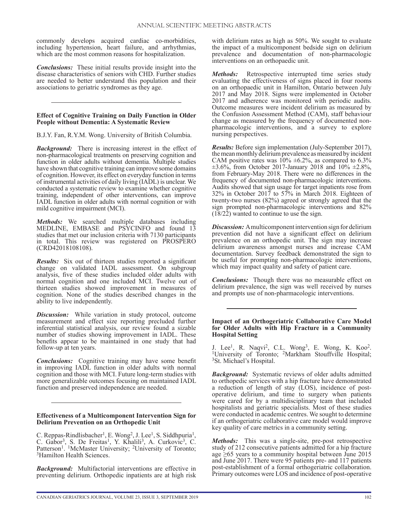commonly develops acquired cardiac co-morbidities, including hypertension, heart failure, and arrhythmias, which are the most common reasons for hospitalization.

*Conclusions:* These initial results provide insight into the disease characteristics of seniors with CHD. Further studies are needed to better understand this population and their associations to geriatric syndromes as they age.

## **Effect of Cognitive Training on Daily Function in Older People without Dementia: A Systematic Review**

B.J.Y. Fan, R.Y.M. Wong. University of British Columbia.

*Background:* There is increasing interest in the effect of non-pharmacological treatments on preserving cognition and function in older adults without dementia. Multiple studies have shown that cognitive training can improve some domains of cognition. However, its effect on everyday function in terms of instrumental activities of daily living (IADL) is unclear. We conducted a systematic review to examine whether cognitive training, independent of other interventions, can improve IADL function in older adults with normal cognition or with mild cognitive impairment (MCI).

*Methods:* We searched multiple databases including MEDLINE, EMBASE and PSYCINFO and found 13 studies that met our inclusion criteria with 7130 participants in total. This review was registered on PROSPERO (CRD42018108108).

*Results:* Six out of thirteen studies reported a significant change on validated IADL assessment. On subgroup analysis, five of these studies included older adults with normal cognition and one included MCI. Twelve out of thirteen studies showed improvement in measures of cognition. None of the studies described changes in the ability to live independently.

*Discussion:* While variation in study protocol, outcome measurement and effect size reporting precluded further inferential statistical analysis, our review found a sizable number of studies showing improvement in IADL. These benefits appear to be maintained in one study that had follow-up at ten years.

*Conclusions:* Cognitive training may have some benefit in improving IADL function in older adults with normal cognition and those with MCI. Future long-term studies with more generalizable outcomes focusing on maintained IADL function and preserved independence are needed.

#### **Effectiveness of a Multicomponent Intervention Sign for Delirium Prevention on an Orthopedic Unit**

C. Reppas-Rindlisbacher<sup>1</sup>, E. Wong<sup>2</sup>, J. Lee<sup>1</sup>, S. Siddhpuria<sup>1</sup>, C. Gabor<sup>3</sup>, S. De Freitas<sup>1</sup>, Y. Khalili<sup>3</sup>, A. Curkovic<sup>3</sup>, C. Patterson<sup>1</sup>. <sup>1</sup>McMaster University; <sup>2</sup>University of Toronto; <sup>3</sup>Hamilton Health Sciences.

*Background:* Multifactorial interventions are effective in preventing delirium. Orthopedic inpatients are at high risk with delirium rates as high as 50%. We sought to evaluate the impact of a multicomponent bedside sign on delirium prevalence and documentation of non-pharmacologic interventions on an orthopaedic unit.

*Methods:* Retrospective interrupted time series study evaluating the effectiveness of signs placed in four rooms on an orthopaedic unit in Hamilton, Ontario between July 2017 and May 2018. Signs were implemented in October 2017 and adherence was monitored with periodic audits. Outcome measures were incident delirium as measured by the Confusion Assessment Method (CAM), staff behaviour change as measured by the frequency of documented nonpharmacologic interventions, and a survey to explore nursing perspectives.

*Results:* Before sign implementation (July-September 2017), the mean monthly delirium prevalence as measured by incident CAM positive rates was  $10\% \pm 6.2\%$ , as compared to 6.3%  $\pm 3.6\%$ , from October 2017-January 2018 and 10%  $\pm 2.8\%$ , from February-May 2018. There were no differences in the frequency of documented non-pharmacologic interventions. Audits showed that sign usage for target inpatients rose from 32% in October 2017 to 57% in March 2018. Eighteen of twenty-two nurses (82%) agreed or strongly agreed that the sign prompted non-pharmacologic interventions and 82% (18/22) wanted to continue to use the sign.

*Discussion:* A multicomponent intervention sign for delirium prevention did not have a significant effect on delirium prevalence on an orthopedic unit. The sign may increase delirium awareness amongst nurses and increase CAM documentation. Survey feedback demonstrated the sign to be useful for prompting non-pharmacologic interventions, which may impact quality and safety of patient care.

*Conclusions:* Though there was no measurable effect on delirium prevalence, the sign was well received by nurses and prompts use of non-pharmacologic interventions.

## **Impact of an Orthogeriatric Collaborative Care Model for Older Adults with Hip Fracture in a Community Hospital Setting**

J. Lee<sup>1</sup>, R. Naqvi<sup>2</sup>, C.L. Wong<sup>3</sup>, E. Wong, K. Koo<sup>2</sup>. <sup>1</sup>University of Toronto; <sup>2</sup>Markham Stouffville Hospital; <sup>3</sup>St. Michael's Hospital.

*Background:* Systematic reviews of older adults admitted to orthopedic services with a hip fracture have demonstrated a reduction of length of stay (LOS), incidence of postoperative delirium, and time to surgery when patients were cared for by a multidisciplinary team that included hospitalists and geriatric specialists. Most of these studies were conducted in academic centres. We sought to determine if an orthogeriatric collaborative care model would improve key quality of care metrics in a community setting.

*Methods:* This was a single-site, pre-post retrospective study of 212 consecutive patients admitted for a hip fracture age  $\geq 65$  years to a community hospital between June 2015 and June 2017. There were 95 patients pre- and 117 patients post-establishment of a formal orthogeriatric collaboration. Primary outcomes were LOS and incidence of post-operative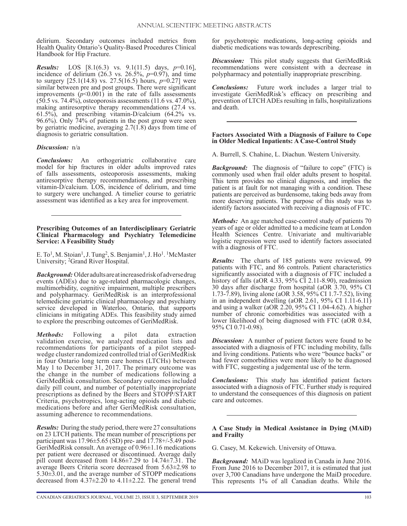delirium. Secondary outcomes included metrics from Health Quality Ontario's Quality-Based Procedures Clinical Handbook for Hip Fracture.

*Results:* LOS [8.1(6.3) vs. 9.1(11.5) days, *p*=0.16], incidence of delirium  $(26.3 \text{ vs. } 26.5\%, p=0.97)$ , and time to surgery [25.1(14.8) vs. 27.5(16.5) hours, *p*=0.27] were similar between pre and post groups. There were significant improvements  $(p<0.001)$  in the rate of falls assessments (50.5 vs. 74.4%), osteoporosis assessments (11.6 vs. 47.0%), making antiresorptive therapy recommendations (27.4 vs. 61.5%), and prescribing vitamin-D/calcium (64.2% vs. 96.6%). Only 74% of patients in the post group were seen by geriatric medicine, averaging 2.7(1.8) days from time of diagnosis to geriatric consultation.

## *Discussion:* n/a

*Conclusions:* An orthogeriatric collaborative care model for hip fractures in older adults improved rates of falls assessments, osteoporosis assessments, making antiresorptive therapy recommendations, and prescribing vitamin-D/calcium. LOS, incidence of delirium, and time to surgery were unchanged. A timelier course to geriatric assessment was identified as a key area for improvement.

#### **Prescribing Outcomes of an Interdisciplinary Geriatric Clinical Pharmacology and Psychiatry Telemedicine Service: A Feasibility Study**

E. To<sup>1</sup>, M. Stoian<sup>1</sup>, J. Tung<sup>2</sup>, S. Benjamin<sup>1</sup>, J. Ho<sup>1</sup>. <sup>1</sup>McMaster University; 2Grand River Hospital.

*Background:* Older adults are at increased risk of adverse drug events (ADEs) due to age-related pharmacologic changes, multimorbidity, cognitive impairment, multiple prescribers and polypharmacy. GeriMedRisk is an interprofessional telemedicine geriatric clinical pharmacology and psychiatry service developed in Waterloo, Ontario, that supports clinicians in mitigating ADEs. This feasibility study aimed to explore the prescribing outcomes of GeriMedRisk.

*Methods:* Following a pilot data extraction validation exercise, we analyzed medication lists and recommendations for participants of a pilot steppedwedge cluster randomized controlled trial of GeriMedRisk in four Ontario long term care homes (LTCHs) between May 1 to December 31, 2017. The primary outcome was the change in the number of medications following a GeriMedRisk consultation. Secondary outcomes included daily pill count, and number of potentially inappropriate prescriptions as defined by the Beers and STOPP/START Criteria, psychotropics, long-acting opioids and diabetic medications before and after GeriMedRisk consultation, assuming adherence to recommendations.

*Results:* During the study period, there were 27 consultations on 23 LTCH patients. The mean number of prescriptions per participant was  $17.96 \pm 5.65$  (SD) pre- and  $17.78 + (-5.49)$  post-GeriMedRisk consult. An average of 0.96±1.16 medications per patient were decreased or discontinued. Average daily pill count decreased from  $14.86 \pm 7.29$  to  $14.74 \pm 7.31$ . The average Beers Criteria score decreased from 5.63±2.98 to 5.30±3.01, and the average number of STOPP medications decreased from  $4.37\pm2.20$  to  $4.11\pm2.22$ . The general trend

for psychotropic medications, long-acting opioids and diabetic medications was towards deprescribing.

*Discussion:* This pilot study suggests that GeriMedRisk recommendations were consistent with a decrease in polypharmacy and potentially inappropriate prescribing.

*Conclusions:* Future work includes a larger trial to investigate GeriMedRisk's efficacy on prescribing and prevention of LTCH ADEs resulting in falls, hospitalizations and death.

#### **Factors Associated With a Diagnosis of Failure to Cope in Older Medical Inpatients: A Case-Control Study**

A. Burrell, S. Chahine, L. Diachun. Western University.

*Background:* The diagnosis of "failure to cope" (FTC) is commonly used when frail older adults present to hospital. This term provides no clinical diagnosis, and implies the patient is at fault for not managing with a condition. These patients are perceived as burdensome, taking beds away from more deserving patients. The purpose of this study was to identify factors associated with receiving a diagnosis of FTC.

*Methods:* An age matched case-control study of patients 70 years of age or older admitted to a medicine team at London Health Sciences Centre. Univariate and multivariable logistic regression were used to identify factors associated with a diagnosis of FTC.

*Results:* The charts of 185 patients were reviewed, 99 patients with FTC, and 86 controls. Patient characteristics significantly associated with a diagnosis of FTC included a history of falls (aOR 4.33, 95% CI 2.11-8.90), readmission 30 days after discharge from hospital (aOR 3.70, 95% CI 1.73-7.89), living alone (aOR 3.58, 95% CI 1.7-7.52), living in an independent dwelling (aOR 2.61, 95% CI 1.11-6.11) and using a walker (aOR  $2.20$ , 95% CI 1.04-4.62). A higher number of chronic comorbidities was associated with a lower likelihood of being diagnosed with FTC (aOR 0.84, 95% CI 0.71-0.98).

*Discussion:* A number of patient factors were found to be associated with a diagnosis of FTC including mobility, falls and living conditions. Patients who were "bounce backs" or had fewer comorbidities were more likely to be diagnosed with FTC, suggesting a judgemental use of the term.

*Conclusions:* This study has identified patient factors associated with a diagnosis of FTC. Further study is required to understand the consequences of this diagnosis on patient care and outcomes.

#### **A Case Study in Medical Assistance in Dying (MAiD) and Frailty**

G. Casey, M. Kekewich. University of Ottawa.

*Background:* MAiD was legalized in Canada in June 2016. From June 2016 to December 2017, it is estimated that just over 3,700 Canadians have undergone the MaiD procedure. This represents 1% of all Canadian deaths. While the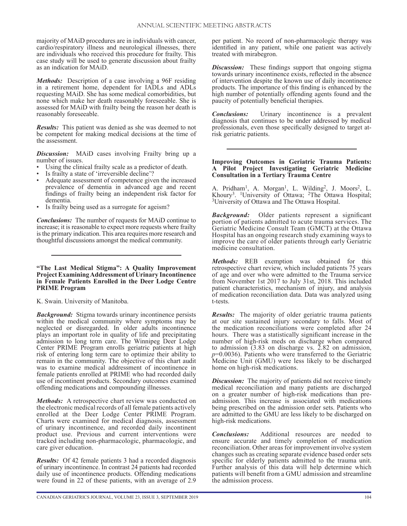majority of MAiD procedures are in individuals with cancer, cardio/respiratory illness and neurological illnesses, there are individuals who received this procedure for frailty. This case study will be used to generate discussion about frailty as an indication for MAiD.

*Methods:* Description of a case involving a 96F residing in a retirement home, dependent for IADLs and ADLs requesting MAiD. She has some medical comorbidities, but none which make her death reasonably foreseeable. She is assessed for MAiD with frailty being the reason her death is reasonably foreseeable.

*Results:* This patient was denied as she was deemed to not be competent for making medical decisions at the time of the assessment.

*Discussion:* MAiD cases involving Frailty bring up a number of issues.

- Using the clinical frailty scale as a predictor of death.
- Is frailty a state of 'irreversible decline'?
- Adequate assessment of competence given the increased prevalence of dementia in advanced age and recent findings of frailty being an independent risk factor for dementia.
- Is frailty being used as a surrogate for ageism?

*Conclusions:* The number of requests for MAiD continue to increase; it is reasonable to expect more requests where frailty is the primary indication. This area requires more research and thoughtful discussions amongst the medical community.

#### **"The Last Medical Stigma": A Quality Improvement Project Examining Addressment of Urinary Incontinence in Female Patients Enrolled in the Deer Lodge Centre PRIME Program**

K. Swain. University of Manitoba.

*Background:* Stigma towards urinary incontinence persists within the medical community where symptoms may be neglected or disregarded. In older adults incontinence plays an important role in quality of life and precipitating admission to long term care. The Winnipeg Deer Lodge Center PRIME Program enrolls geriatric patients at high risk of entering long term care to optimize their ability to remain in the community. The objective of this chart audit was to examine medical addressment of incontinence in female patients enrolled at PRIME who had recorded daily use of incontinent products. Secondary outcomes examined offending medications and compounding illnesses.

*Methods:* A retrospective chart review was conducted on the electronic medical records of all female patients actively enrolled at the Deer Lodge Center PRIME Program. Charts were examined for medical diagnosis, assessment of urinary incontinence, and recorded daily incontinent product use. Previous and current interventions were tracked including non-pharmacologic, pharmacologic, and care giver education.

*Results:* Of 42 female patients 3 had a recorded diagnosis of urinary incontinence. In contrast 24 patients had recorded daily use of incontinence products. Offending medications were found in 22 of these patients, with an average of 2.9

per patient. No record of non-pharmacologic therapy was identified in any patient, while one patient was actively treated with mirabegron.

**Discussion:** These findings support that ongoing stigma towards urinary incontinence exists, reflected in the absence of intervention despite the known use of daily incontinence products. The importance of this finding is enhanced by the high number of potentially offending agents found and the paucity of potentially beneficial therapies.

*Conclusions:* Urinary incontinence is a prevalent diagnosis that continues to be under addressed by medical professionals, even those specifically designed to target atrisk geriatric patients.

## **Improving Outcomes in Geriatric Trauma Patients: A Pilot Project Investigating Geriatric Medicine Consultation in a Tertiary Trauma Centre**

A. Pridham<sup>1</sup>, A. Morgan<sup>1</sup>, L. Wilding<sup>2</sup>, J. Moors<sup>2</sup>, L. Khoury<sup>3</sup>. <sup>1</sup>University of Ottawa; <sup>2</sup>The Ottawa Hospital; <sup>3</sup>University of Ottawa and The Ottawa Hospital.

*Background:* Older patients represent a significant portion of patients admitted to acute trauma services. The Geriatric Medicine Consult Team (GMCT) at the Ottawa Hospital has an ongoing research study examining ways to improve the care of older patients through early Geriatric medicine consultation.

*Methods:* REB exemption was obtained for this retrospective chart review, which included patients 75 years of age and over who were admitted to the Trauma service from November 1st 2017 to July 31st, 2018. This included patient characteristics, mechanism of injury, and analysis of medication reconciliation data. Data was analyzed using t-tests.

*Results:* The majority of older geriatric trauma patients at our site sustained injury secondary to falls. Most of the medication reconciliations were completed after 24 hours. There was a statistically significant increase in the number of high-risk meds on discharge when compared to admission (3.83 on discharge vs. 2.82 on admission, *p*=0.0036). Patients who were transferred to the Geriatric Medicine Unit (GMU) were less likely to be discharged home on high-risk medications.

*Discussion:* The majority of patients did not receive timely medical reconciliation and many patients are discharged on a greater number of high-risk medications than preadmission. This increase is associated with medications being prescribed on the admission order sets. Patients who are admitted to the GMU are less likely to be discharged on high-risk medications.

*Conclusions:* Additional resources are needed to ensure accurate and timely completion of medication reconciliation. Other areas for improvement involve system changes such as creating separate evidence based order sets specific for elderly patients admitted to the trauma unit. Further analysis of this data will help determine which patients will benefit from a GMU admission and streamline the admission process.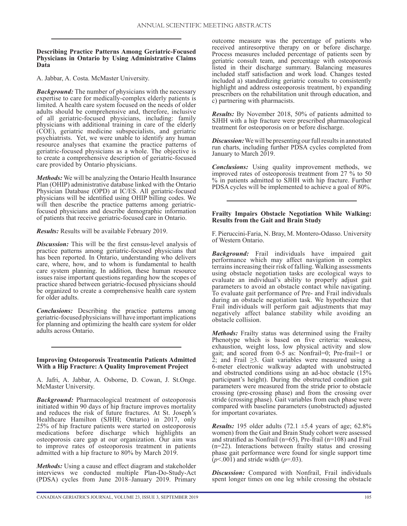## **Describing Practice Patterns Among Geriatric-Focused Physicians in Ontario by Using Administrative Claims Data**

A. Jabbar, A. Costa. McMaster University.

*Background:* The number of physicians with the necessary expertise to care for medically-complex elderly patients is limited. A health care system focused on the needs of older adults should be comprehensive and, therefore, inclusive of all geriatric-focused physicians, including: family physicians with additional training in care of the elderly (COE), geriatric medicine subspecialists, and geriatric psychiatrists. Yet, we were unable to identify any human resource analyses that examine the practice patterns of geriatric-focused physicians as a whole. The objective is to create a comprehensive description of geriatric-focused care provided by Ontario physicians.

*Methods:* We will be analyzing the Ontario Health Insurance Plan (OHIP) administrative database linked with the Ontario Physician Database (OPD) at IC/ES. All geriatric-focused physicians will be identified using OHIP billing codes. We will then describe the practice patterns among geriatricfocused physicians and describe demographic information of patients that receive geriatric-focused care in Ontario.

*Results:* Results will be available February 2019.

*Discussion:* This will be the first census-level analysis of practice patterns among geriatric-focused physicians that has been reported. In Ontario, understanding who delivers care, where, how, and to whom is fundamental to health care system planning. In addition, these human resource issues raise important questions regarding how the scopes of practice shared between geriatric-focused physicians should be organized to create a comprehensive health care system for older adults.

*Conclusions:* Describing the practice patterns among geriatric-focused physicians will have important implications for planning and optimizing the health care system for older adults across Ontario.

## **Improving Osteoporosis Treatmentin Patients Admitted With a Hip Fracture: A Quality Improvement Project**

A. Jafri, A. Jabbar, A. Osborne, D. Cowan, J. St.Onge. McMaster University.

*Background:* Pharmacological treatment of osteoporosis initiated within 90 days of hip fracture improves mortality and reduces the risk of future fractures. At St. Joseph's Healthcare Hamilton (SJHH; Ontario) in 2017, only 25% of hip fracture patients were started on osteoporosis medications before discharge which highlights an osteoporosis care gap at our organization. Our aim was to improve rates of osteoporosis treatment in patients admitted with a hip fracture to 80% by March 2019.

*Methods:* Using a cause and effect diagram and stakeholder interviews we conducted multiple Plan-Do-Study-Act (PDSA) cycles from June 2018–January 2019. Primary outcome measure was the percentage of patients who received antiresorptive therapy on or before discharge. Process measures included percentage of patients seen by geriatric consult team, and percentage with osteoporosis listed in their discharge summary. Balancing measures included staff satisfaction and work load. Changes tested included a) standardizing geriatric consults to consistently highlight and address osteoporosis treatment, b) expanding prescribers on the rehabilitation unit through education, and c) partnering with pharmacists.

*Results:* By November 2018, 50% of patients admitted to SJHH with a hip fracture were prescribed pharmacological treatment for osteoporosis on or before discharge.

*Discussion:* We will be presenting our full results in annotated run charts, including further PDSA cycles completed from January to March 2019.

*Conclusions:* Using quality improvement methods, we improved rates of osteoporosis treatment from 27 % to 50 % in patients admitted to SJHH with hip fracture. Further PDSA cycles will be implemented to achieve a goal of 80%.

## **Frailty Impairs Obstacle Negotiation While Walking: Results from the Gait and Brain Study**

F. Pieruccini-Faria, N. Bray, M. Montero-Odasso. University of Western Ontario.

*Background:* Frail individuals have impaired gait performance which may affect navigation in complex terrains increasing their risk of falling. Walking assessments using obstacle negotiation tasks are ecological ways to evaluate an individual's ability to properly adjust gait parameters to avoid an obstacle contact while navigating. To evaluate gait performance of Pre- and Frail individuals during an obstacle negotiation task. We hypothesize that Frail individuals will perform gait adjustments that may negatively affect balance stability while avoiding an obstacle collision.

*Methods:* Frailty status was determined using the Frailty Phenotype which is based on five criteria: weakness, exhaustion, weight loss, low physical activity and slow gait; and scored from 0-5 as: Nonfrail=0; Pre-frail=1 or 2; and Frail  $\geq$ 3. Gait variables were measured using a 6-meter electronic walkway adapted with unobstructed and obstructed conditions using an ad-hoc obstacle (15% participant's height). During the obstructed condition gait parameters were measured from the stride prior to obstacle crossing (pre-crossing phase) and from the crossing over stride (crossing phase). Gait variables from each phase were compared with baseline parameters (unobstructed) adjusted for important covariates.

*Results:* 195 older adults (72.1 ±5.4 years of age; 62.8% women) from the Gait and Brain Study cohort were assessed and stratified as Nonfrail (n=65), Pre-frail (n=108) and Frail (n=22). Interactions between frailty status and crossing phase gait performance were found for single support time (*p*<.001) and stride width (*p*=.03).

*Discussion:* Compared with Nonfrail, Frail individuals spent longer times on one leg while crossing the obstacle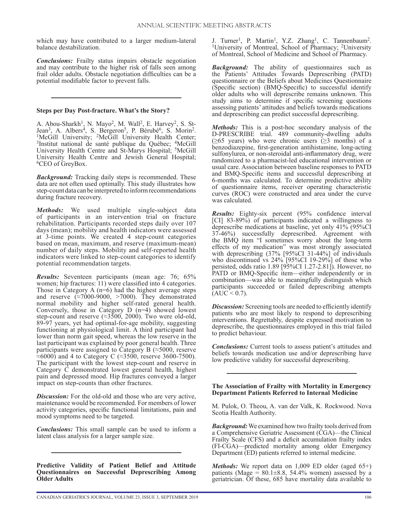which may have contributed to a larger medium-lateral balance destabilization.

*Conclusions:* Frailty status impairs obstacle negotiation and may contribute to the higher risk of falls seen among frail older adults. Obstacle negotiation difficulties can be a potential modifiable factor to prevent falls.

## **Steps per Day Post-fracture. What's the Story?**

A. Abou-Sharkh<sup>1</sup>, N. Mayo<sup>2</sup>, M. Wall<sup>2</sup>, E. Harvey<sup>2</sup>, S. St-Jean<sup>3</sup>, A. Albers<sup>4</sup>, S. Bergeron<sup>5</sup>, P. Bérubé<sup>6</sup>, S. Morin<sup>2</sup>.<br><sup>1</sup>McGill University; <sup>2</sup>McGill University Health Center; <sup>3</sup>Institut national de santé publique du Québec; <sup>4</sup>McGill University Health Centre and St-Marys Hospital; <sup>5</sup>McGill University Health Centre and Jewish General Hospital; <sup>6</sup>CEO of GreyBox.

*Background:* Tracking daily steps is recommended. These data are not often used optimally. This study illustrates how step-count data can be interpreted to inform recommendations during fracture recovery.

*Methods:* We used multiple single-subject data of participants in an intervention trial on fracture rehabilitation. Participants recorded steps daily over 107 days (mean); mobility and health indicators were assessed at 3-time points. We created 4 step-count categories based on mean, maximum, and reserve (maximum-mean) number of daily steps. Mobility and self-reported health indicators were linked to step-count categories to identify potential recommendation targets.

*Results:* Seventeen participants (mean age: 76; 65% women; hip fractures: 11) were classified into 4 categories. Those in Category A  $(n=6)$  had the highest average steps and reserve  $\left(\approx 7000-9000\right)$ , >7000). They demonstrated normal mobility and higher self-rated general health. Conversely, those in Category D (n=4) showed lowest step-count and reserve  $(\approx 3500, 2000)$ . Two were old-old, 89-97 years, yet had optimal-for-age mobility, suggesting functioning at physiological limit. A third participant had lower than norm gait speed, whereas the low reserve in the last participant was explained by poor general health. Three participants were assigned to Category B (≈5000, reserve  $\approx$ 6000) and 4 to Category C ( $\approx$ 3500, reserve 3600-7500). The participant with the lowest step-count and reserve in Category C demonstrated lowest general health, highest pain and depressed mood. Hip fractures conveyed a larger impact on step-counts than other fractures.

*Discussion:* For the old-old and those who are very active, maintenance would be recommended. For members of lower activity categories, specific functional limitations, pain and mood symptoms need to be targeted.

*Conclusions:* This small sample can be used to inform a latent class analysis for a larger sample size.

**Predictive Validity of Patient Belief and Attitude Questionnaires on Successful Deprescribing Among Older Adults**

J. Turner<sup>1</sup>, P. Martin<sup>1</sup>, Y.Z. Zhang<sup>1</sup>, C. Tannenbaum<sup>2</sup>. <sup>1</sup>University of Montreal, School of Pharmacy; <sup>2</sup>University of Montreal, School of Medicine and School of Pharmacy.

*Background:* The ability of questionnaires such as the Patients' Attitudes Towards Deprescribing (PATD) questionnaire or the Beliefs about Medicines Questionnaire (Specific section) (BMQ-Specific) to successful identify older adults who will deprescribe remains unknown. This study aims to determine if specific screening questions assessing patients' attitudes and beliefs towards medications and deprescribing can predict successful deprescribing.

*Methods:* This is a post-hoc secondary analysis of the D-PRESCRIBE trial. 489 community-dwelling adults ( $\geq 65$  years) who were chronic users ( $\geq 3$  months) of a benzodiazepine, first-generation antihistamine, long-acting sulfonylurea, or non-steroidal anti-inflammatory drug, were randomized to a pharmacist-led educational intervention or usual care. Association between baseline responses to PATD and BMQ-Specific items and successful deprescribing at 6-months was calculated. To determine predictive ability of questionnaire items, receiver operating characteristic curves (ROC) were constructed and area under the curve was calculated.

*Results:* Eighty-six percent (95% confidence interval [CI] 83-89%) of participants indicated a willingness to deprescribe medications at baseline, yet only 41% (95%CI 37-46%) successfully deprescribed. Agreement with the BMQ item "I sometimes worry about the long-term effects of my medication" was most strongly associated with deprescribing (37% [95%CI 31-44%] of individuals who discontinued vs  $24\%$  [95%CI 19-29%] of those who persisted, odds ratio 1.89 [95%CI 1.27-2.81]). However, no PATD or BMQ-Specific item—either independently or in combination—was able to meaningfully distinguish which participants succeeded or failed deprescribing attempts  $[AUC < 0.7]$ .

*Discussion:* Screening tools are needed to efficiently identify patients who are most likely to respond to deprescribing interventions. Regrettably, despite expressed motivation to deprescribe, the questionnaires employed in this trial failed to predict behaviour.

*Conclusions:* Current tools to assess patient's attitudes and beliefs towards medication use and/or deprescribing have low predictive validity for successful deprescribing.

#### **The Association of Frailty with Mortality in Emergency Department Patients Referred to Internal Medicine**

M. Pulok, O. Theou, A. van der Valk, K. Rockwood. Nova Scotia Health Authority.

*Background:* We examined how two frailty tools derived from a Comprehensive Geriatric Assessment (CGA)—the Clinical Frailty Scale (CFS) and a deficit accumulation frailty index (FI-CGA)—predicted mortality among older Emergency Department (ED) patients referred to internal medicine.

*Methods:* We report data on 1,009 ED older (aged 65+) patients (Mage =  $80.1 \pm 8.8$ , 54.4% women) assessed by a geriatrician. Of these, 685 have mortality data available to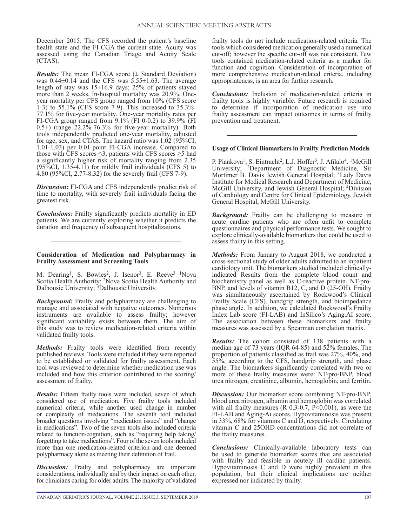December 2015. The CFS recorded the patient's baseline health state and the FI-CGA the current state. Acuity was assessed using the Canadian Triage and Acuity Scale (CTAS).

*Results:* The mean FI-CGA score  $(\pm$  Standard Deviation) was  $0.44\pm0.14$  and the CFS was  $5.55\pm1.63$ . The average length of stay was 15±16.9 days; 25% of patients stayed more than 2 weeks. In-hospital mortality was 20.9%. Oneyear mortality per CFS group ranged from 10% (CFS score 1-3) to  $55.1\%$  (CFS score 7-9). This increased to  $35.3\%$ -77.1% for five-year mortality. One-year mortality rates per FI-CGA group ranged from 9.1% (FI 0-0.2) to 39.9% (FI 0.5+) (range 22.2%-76.3% for five-year mortality). Both tools independently predicted one-year mortality, adjusted for age, sex, and CTAS. The hazard ratio was 1.02 (95%CI, 1.01-1.03) per 0.01-point FI-CGA increase. Compared to those with CFS scores  $\leq$ 3, patients with CFS scores  $\geq$ 5 had a significantly higher risk of mortality ranging from 2.35  $(95\%CI, 1.35-4.11)$  for mildly frail individuals (CFS 5) to 4.80 (95%CI, 2.77-8.32) for the severely frail (CFS 7-9).

*Discussion:* FI-CGA and CFS independently predict risk of time to mortality, with severely frail individuals facing the greatest risk.

*Conclusions:* Frailty significantly predicts mortality in ED patients. We are currently exploring whether it predicts the duration and frequency of subsequent hospitalizations.

#### **Consideration of Medication and Polypharmacy in Frailty Assessment and Screening Tools**

M. Dearing<sup>1</sup>, S. Bowles<sup>2</sup>, J. Isenor<sup>3</sup>, E. Reeve<sup>3</sup> <sup>1</sup>Nova Scotia Health Authority; <sup>2</sup>Nova Scotia Health Authority and Dalhousie University; 3Dalhousie University.

*Background:* Frailty and polypharmacy are challenging to manage and associated with negative outcomes. Numerous instruments are available to assess frailty; however significant variability exists between them. The aim of this study was to review medication-related criteria within validated frailty tools.

*Methods:* Frailty tools were identified from recently published reviews. Tools were included if they were reported to be established or validated for frailty assessment. Each tool was reviewed to determine whether medication use was included and how this criterion contributed to the scoring/ assessment of frailty.

*Results:* Fifteen frailty tools were included, seven of which considered use of medication. Five frailty tools included numerical criteria, while another used change in number or complexity of medications. The seventh tool included broader questions involving "medication issues" and "change in medications". Two of the seven tools also included criteria related to function/cognition, such as "requiring help taking/ forgetting to take medications". Four of the seven tools included more than one medication-related criterion and one deemed polypharmacy alone as meeting their definition of frail.

**Discussion:** Frailty and polypharmacy are important considerations, individually and by their impact on each other, for clinicians caring for older adults. The majority of validated frailty tools do not include medication-related criteria. The tools which considered medication generally used a numerical cut-off; however the specific cut-off was not consistent. Few tools contained medication-related criteria as a marker for function and cognition. Consideration of incorporation of more comprehensive medication-related criteria, including appropriateness, is an area for further research.

*Conclusions:* Inclusion of medication-related criteria in frailty tools is highly variable. Future research is required to determine if incorporation of medication use into frailty assessment can impact outcomes in terms of frailty prevention and treatment.

## **Usage of Clinical Biomarkers in Frailty Prediction Models**

P. Piankova<sup>1</sup>, S. Eintracht<sup>2</sup>, L.J. Hoffer<sup>3</sup>, J. Afilalo<sup>4</sup>. <sup>1</sup>McGill University; 2Department of Diagnostic Medicine, Sir Mortimer B. Davis Jewish General Hospital; <sup>3</sup>Lady Davis Institute for Medical Research and Department of Medicine, McGill University, and Jewish General Hospital; 4Division of Cardiology and Centre for Clinical Epidemiology, Jewish General Hospital, McGill University.

*Background:* Frailty can be challenging to measure in acute cardiac patients who are often unfit to complete questionnaires and physical performance tests. We sought to explore clinically-available biomarkers that could be used to assess frailty in this setting.

*Methods:* From January to August 2018, we conducted a cross-sectional study of older adults admitted to an inpatient cardiology unit. The biomarkers studied included clinicallyindicated Results from the complete blood count and biochemistry panel as well as C-reactive protein, NT-pro-BNP, and levels of vitamin B12, C, and D (25-OH). Frailty was simultaneously ascertained by Rockwood's Clinical Frailty Scale (CFS), handgrip strength, and bioimpedance phase angle. In addition, we calculated Rockwood's Frailty Index Lab score (FI-LAB) and InSilico's Aging.AI score. The association between these biomarkers and frailty measures was assessed by a Spearman correlation matrix.

*Results:* The cohort consisted of 138 patients with a median age of 73 years (IQR 64-85) and 52% females. The proportion of patients classified as frail was 27%, 40%, and 55%, according to the CFS, handgrip strength, and phase angle. The biomarkers significantly correlated with two or more of these frailty measures were: NT-pro-BNP, blood urea nitrogen, creatinine, albumin, hemoglobin, and ferritin.

*Discussion:* Our biomarker score combining NT-pro-BNP, blood urea nitrogen, albumin and hemoglobin was correlated with all frailty measures (R  $0.3-0.7$ , P<0.001), as were the FI-LAB and Aging-Ai scores. Hypovitaminosis was present in 33%, 68% for vitamins C and D, respectively. Circulating vitamin C and 25OHD concentrations did not correlate of the frailty measures.

*Conclusions:* Clinically-available laboratory tests can be used to generate biomarker scores that are associated with frailty and feasible in acutely ill cardiac patients. Hypovitaminosis C and D were highly prevalent in this population, but their clinical implications are neither expressed nor indicated by frailty.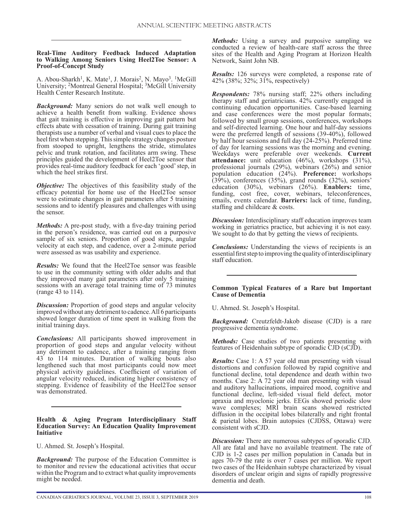## **Real-Time Auditory Feedback Induced Adaptation to Walking Among Seniors Using Heel2Toe Sensor: A Proof-of-Concept Study**

A. Abou-Sharkh<sup>1</sup>, K. Mate<sup>1</sup>, J. Morais<sup>2</sup>, N. Mayo<sup>3</sup>. <sup>1</sup>McGill University; 2Montreal General Hospital; 3McGill University Health Center Research Institute.

*Background:* Many seniors do not walk well enough to achieve a health benefit from walking. Evidence shows that gait training is effective in improving gait pattern but effects abate with cessation of training. During gait training therapists use a number of verbal and visual cues to place the heel first when stepping. This simple strategy changes posture from stooped to upright, lengthens the stride, stimulates pelvic and trunk rotation, and facilitates arm swing. These principles guided the development of Heel2Toe sensor that provides real-time auditory feedback for each 'good' step, in which the heel strikes first.

*Objective:* The objectives of this feasibility study of the efficacy potential for home use of the Heel2Toe sensor were to estimate changes in gait parameters after 5 training sessions and to identify pleasures and challenges with using the sensor.

*Methods:* A pre-post study, with a five-day training period in the person's residence, was carried out on a purposive sample of six seniors. Proportion of good steps, angular velocity at each step, and cadence, over a 2-minute period were assessed as was usability and experience.

*Results:* We found that the Heel2Toe sensor was feasible to use in the community setting with older adults and that they improved many gait parameters after only 5 training sessions with an average total training time of 73 minutes (range 43 to 114).

*Discussion:* Proportion of good steps and angular velocity improved without any detriment to cadence. All 6 participants showed longer duration of time spent in walking from the initial training days.

*Conclusions:* All participants showed improvement in proportion of good steps and angular velocity without any detriment to cadence, after a training ranging from 43 to 114 minutes. Duration of walking bouts also lengthened such that most participants could now meet physical activity guidelines. Coefficient of variation of angular velocity reduced, indicating higher consistency of stepping. Evidence of feasibility of the Heel2Toe sensor was demonstrated.

#### **Health & Aging Program Interdisciplinary Staff Education Survey: An Education Quality Improvement Initiative**

U. Ahmed. St. Joseph's Hospital.

*Background:* The purpose of the Education Committee is to monitor and review the educational activities that occur within the Program and to extract what quality improvements might be needed.

*Methods:* Using a survey and purposive sampling we conducted a review of health-care staff across the three sites of the Health and Aging Program at Horizon Health Network, Saint John NB.

*Results:* 126 surveys were completed, a response rate of 42% (38%; 32%; 31%, respectively)

*Respondents:* 78% nursing staff; 22% others including therapy staff and geriatricians. 42% currently engaged in continuing education opportunities. Case-based learning and case conferences were the most popular formats; followed by small group sessions, conferences, workshops and self-directed learning. One hour and half-day sessions were the preferred length of sessions (39-40%), followed by half hour sessions and full day (24-25%). Preferred time of day for learning sessions was the morning and evening. Weekdays were preferable over weekends. **Current attendance:** unit education (46%), workshops (31%), professional journals (29%), webinars (26%) and senior population education (24%). **Preference:** workshops (39%), conferences (35%), grand rounds (32%), seniors' education (30%), webinars (26%). **Enablers:** time, funding, cost free, cover, webinars, teleconferences, emails, events calendar. **Barriers:** lack of time, funding, staffing and childcare & costs.

*Discussion:* Interdisciplinary staff education improves team working in geriatrics practice, but achieving it is not easy. We sought to do that by getting the views of recipients.

*Conclusions:* Understanding the views of recipients is an essential first step to improving the quality of interdisciplinary staff education.

## **Common Typical Features of a Rare but Important Cause of Dementia**

U. Ahmed. St. Joseph's Hospital.

*Background:* Creutzfeldt-Jakob disease (CJD) is a rare progressive dementia syndrome.

*Methods:* Case studies of two patients presenting with features of Heidenhain subtype of sporadic CJD (sCJD).

*Results:* Case 1: A 57 year old man presenting with visual distortions and confusion followed by rapid cognitive and functional decline, total dependence and death within two months. Case 2: A 72 year old man presenting with visual and auditory hallucinations, impaired mood, cognitive and functional decline, left-sided visual field defect, motor apraxia and myoclonic jerks. EEGs showed periodic slow wave complexes; MRI brain scans showed restricted diffusion in the occipital lobes bilaterally and right frontal & parietal lobes. Brain autopsies (CJDSS, Ottawa) were consistent with sCJD.

*Discussion:* There are numerous subtypes of sporadic CJD. All are fatal and have no available treatment. The rate of CJD is 1-2 cases per million population in Canada but in ages 70-79 the rate is over 7 cases per million. We report two cases of the Heidenhain subtype characterized by visual disorders of unclear origin and signs of rapidly progressive dementia and death.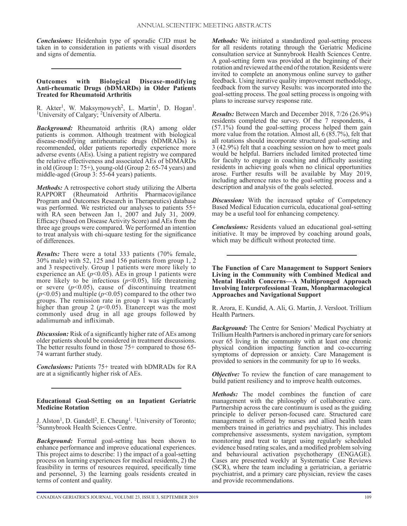*Conclusions:* Heidenhain type of sporadic CJD must be taken in to consideration in patients with visual disorders and signs of dementia.

#### **Outcomes with Biological Disease-modifying Anti-rheumatic Drugs (bDMARDs) in Older Patients Treated for Rheumatoid Arthritis**

R. Akter<sup>1</sup>, W. Maksymowych<sup>2</sup>, L. Martin<sup>1</sup>, D. Hogan<sup>1</sup>. <sup>1</sup>University of Calgary; <sup>2</sup>University of Alberta.

*Background:* Rheumatoid arthritis (RA) among older patients is common. Although treatment with biological disease-modifying antirheumatic drugs (bDMRADs) is recommended, older patients reportedly experience more adverse events (AEs). Using a patient registry we compared the relative effectiveness and associated AEs of bDMARDs in old (Group 1: 75+), young-old (Group 2: 65-74 years) and middle-aged (Group 3: 55-64 years) patients.

*Methods:* A retrospective cohort study utilizing the Alberta RAPPORT (Rheumatoid Arthritis Pharmacovigilance Program and Outcomes Research in Therapeutics) database was performed. We restricted our analyses to patients 55+ with RA seen between Jan 1, 2007 and July 31, 2009. Efficacy (based on Disease Activity Score) and AEs from the three age groups were compared. We performed an intention to treat analysis with chi-square testing for the significance of differences.

*Results:* There were a total 333 patients (70% female, 30% male) with 52, 125 and 156 patients from group 1, 2 and 3 respectively. Group 1 patients were more likely to experience an AE  $(p<0.05)$ . AEs in group 1 patients were more likely to be infectious  $(p< 0.05)$ , life threatening or severe  $(p<0.05)$ , cause of discontinuing treatment  $(p<0.05)$  and multiple  $(p<0.05)$  compared to the other two groups. The remission rate in group 1 was significantly higher than group 2 ( $p$ <0.05). Etanercept was the most commonly used drug in all age groups followed by adalimumab and infliximab.

*Discussion:* Risk of a significantly higher rate of AEs among older patients should be considered in treatment discussions. The better results found in those 75+ compared to those 65- 74 warrant further study.

*Conclusions:* Patients 75+ treated with bDMRADs for RA are at a significantly higher risk of AEs.

## **Educational Goal-Setting on an Inpatient Geriatric Medicine Rotation**

J. Alston<sup>1</sup>, D. Gandell<sup>2</sup>, E. Cheung<sup>1</sup>. <sup>1</sup>University of Toronto; <sup>2</sup>Sunnybrook Health Sciences Centre.

*Background:* Formal goal-setting has been shown to enhance performance and improve educational experiences. This project aims to describe: 1) the impact of a goal-setting process on learning experiences for medical residents, 2) the feasibility in terms of resources required, specifically time and personnel, 3) the learning goals residents created in terms of content and quality.

*Methods:* We initiated a standardized goal-setting process for all residents rotating through the Geriatric Medicine consultation service at Sunnybrook Health Sciences Centre. A goal-setting form was provided at the beginning of their rotation and reviewed at the end of the rotation. Residents were invited to complete an anonymous online survey to gather feedback. Using iterative quality improvement methodology, feedback from the survey Results: was incorporated into the goal-setting process. The goal setting process is ongoing with plans to increase survey response rate.

*Results:* Between March and December 2018, 7/26 (26.9%) residents completed the survey. Of the 7 respondents, 4 (57.1%) found the goal-setting process helped them gain more value from the rotation. Almost all, 6 (85.7%), felt that all rotations should incorporate structured goal-setting and 3 (42.9%) felt that a coaching session on how to meet goals would be helpful. Barriers included limited protected time for faculty to engage in coaching and difficulty assisting residents in achieving goals when no clinical opportunities arose. Further results will be available by May 2019, including adherence rates to the goal-setting process and a description and analysis of the goals selected.

*Discussion:* With the increased uptake of Competency Based Medical Education curricula, educational goal-setting may be a useful tool for enhancing competency.

*Conclusions:* Residents valued an educational goal-setting initiative. It may be improved by coaching around goals, which may be difficult without protected time.

**The Function of Care Management to Support Seniors Living in the Community with Combined Medical and Mental Health Concerns—A Multipronged Approach Involving Interprofessional Team, Monpharmacological Approaches and Navigational Support**

R. Arora, E. Kundid, A. Ali, G. Martin, J. Versloot. Trillium Health Partners.

*Background:* The Centre for Seniors' Medical Psychiatry at Trillium Health Partners is anchored in primary care for seniors over 65 living in the community with at least one chronic physical condition impacting function and co-occurring symptoms of depression or anxiety. Care Management is provided to seniors in the community for up to 16 weeks.

*Objective:* To review the function of care management to build patient resiliency and to improve health outcomes.

*Methods:* The model combines the function of care management with the philosophy of collaborative care. Partnership across the care continuum is used as the guiding principle to deliver person-focused care. Structured care management is offered by nurses and allied health team members trained in geriatrics and psychiatry. This includes comprehensive assessments, system navigation, symptom monitoring and treat to target using regularly scheduled evidence based rating scales, and a modified problem solving and behavioural activation psychotherapy (ENGAGE). Cases are presented weekly at Systematic Case Reviews (SCR), where the team including a geriatrician, a geriatric psychiatrist, and a primary care physician, review the cases and provide recommendations.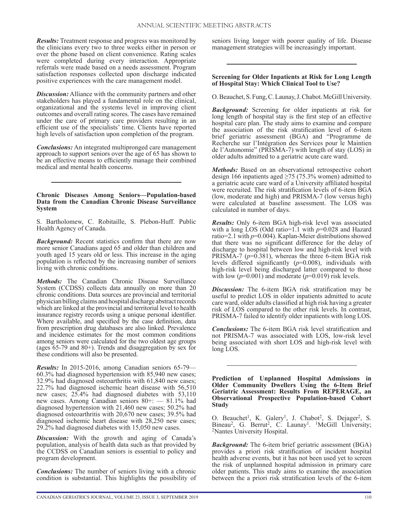*Results:* Treatment response and progress was monitored by the clinicians every two to three weeks either in person or over the phone based on client convenience. Rating scales were completed during every interaction. Appropriate referrals were made based on a needs assessment. Program satisfaction responses collected upon discharge indicated positive experiences with the care management model.

*Discussion:* Alliance with the community partners and other stakeholders has played a fundamental role on the clinical, organizational and the systems level in improving client outcomes and overall rating scores. The cases have remained under the care of primary care providers resulting in an efficient use of the specialists' time. Clients have reported high levels of satisfaction upon completion of the program.

*Conclusions:* An integrated multipronged care management approach to support seniors over the age of 65 has shown to be an effective means to efficiently manage their combined medical and mental health concerns.

#### **Chronic Diseases Among Seniors—Population-based Data from the Canadian Chronic Disease Surveillance System**

S. Bartholomew, C. Robitaille, S. Plebon-Huff. Public Health Agency of Canada.

*Background:* Recent statistics confirm that there are now more senior Canadians aged 65 and older than children and youth aged 15 years old or less. This increase in the aging population is reflected by the increasing number of seniors living with chronic conditions.

*Methods:* The Canadian Chronic Disease Surveillance System (CCDSS) collects data annually on more than 20 chronic conditions. Data sources are provincial and territorial physician billing claims and hospital discharge abstract records which are linked at the provincial and territorial level to health insurance registry records using a unique personal identifier. Where available, and specified by the case definition, data from prescription drug databases are also linked. Prevalence and incidence estimates for the most common conditions among seniors were calculated for the two oldest age groups (ages 65-79 and 80+). Trends and disaggregation by sex for these conditions will also be presented.

*Results:* In 2015-2016, among Canadian seniors 65-79— 60.3% had diagnosed hypertension with 85,940 new cases; 32.9% had diagnosed osteoarthritis with 61,840 new cases; 22.7% had diagnosed ischemic heart disease with 56,510 new cases; 25.4% had diagnosed diabetes with 53,110 new cases. Among Canadian seniors 80+: — 81.1% had diagnosed hypertension with 21,460 new cases; 50.2% had diagnosed osteoarthritis with 20,670 new cases; 39.5% had diagnosed ischemic heart disease with 28,250 new cases; 29.2% had diagnosed diabetes with 15,050 new cases.

*Discussion:* With the growth and aging of Canada's population, analysis of health data such as that provided by the CCDSS on Canadian seniors is essential to policy and program development.

*Conclusions:* The number of seniors living with a chronic condition is substantial. This highlights the possibility of seniors living longer with poorer quality of life. Disease management strategies will be increasingly important.

## **Screening for Older Inpatients at Risk for Long Length of Hospital Stay: Which Clinical Tool to Use?**

O. Beauchet, S. Fung, C. Launay, J. Chabot. McGill University.

*Background:* Screening for older inpatients at risk for long length of hospital stay is the first step of an effective hospital care plan. The study aims to examine and compare the association of the risk stratification level of 6-item brief geriatric assessment (BGA) and "Programme de Recherche sur l'Intégration des Services pour le Maintien de l'Autonomie" (PRISMA-7) with length of stay (LOS) in older adults admitted to a geriatric acute care ward.

*Methods:* Based on an observational retrospective cohort design 166 inpatients aged  $\geq$ 75 (75.3% women) admitted to a geriatric acute care ward of a University affiliated hospital were recruited. The risk stratification levels of 6-item BGA (low, moderate and high) and PRISMA-7 (low versus high) were calculated at baseline assessment. The LOS was calculated in number of days.

*Results:* Only 6-item BGA high-risk level was associated with a long LOS (Odd ratio=1.1 with *p*=0.028 and Hazard ratio=2.1 with *p*=0.004). Kaplan-Meier distributions showed that there was no significant difference for the delay of discharge to hospital between low and high-risk level with PRISMA-7 ( $p=0.381$ ), whereas the three 6-item BGA risk levels differed significantly (*p*=0.008), individuals with high-risk level being discharged latter compared to those with low  $(p=0.001)$  and moderate  $(p=0.019)$  risk levels.

*Discussion:* The 6-item BGA risk stratification may be useful to predict LOS in older inpatients admitted to acute care ward, older adults classified at high risk having a greater risk of LOS compared to the other risk levels. In contrast, PRISMA-7 failed to identify older inpatients with long LOS.

*Conclusions:* The 6-item BGA risk level stratification and not PRISMA-7 was associated with LOS, low-risk level being associated with short LOS and high-risk level with long LOS.

**Prediction of Unplanned Hospital Admissions in Older Community Dwellers Using the 6-Item Brief Geriatric Assessment: Results From REPERAGE, an Observational Prospective Population-based Cohort Study**

O. Beauchet<sup>1</sup>, K. Galery<sup>1</sup>, J. Chabot<sup>2</sup>, S. Dejager<sup>2</sup>, S. Bineau<sup>2</sup>, G. Berrut<sup>2</sup>, C. Launay<sup>1</sup>. <sup>1</sup>McGill University;<br><sup>2</sup>Nantes University Hospital.

*Background:* The 6-item brief geriatric assessment (BGA) provides a priori risk stratification of incident hospital health adverse events, but it has not been used yet to screen the risk of unplanned hospital admission in primary care older patients. This study aims to examine the association between the a priori risk stratification levels of the 6-item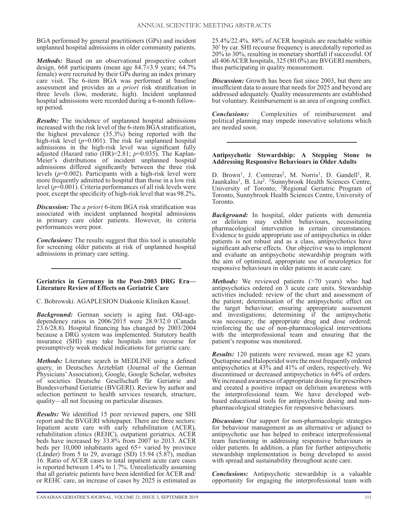BGA performed by general practitioners (GPs) and incident unplanned hospital admissions in older community patients.

*Methods:* Based on an observational prospective cohort design, 668 participants (mean age 84.7±3.9 years; 64.7% female) were recruited by their GPs during an index primary care visit. The 6-item BGA was performed at baseline assessment and provides an *a priori* risk stratification in three levels (low, moderate, high). Incident unplanned hospital admissions were recorded during a 6-month followup period.

*Results:* The incidence of unplanned hospital admissions increased with the risk level of the 6-item BGA stratification, the highest prevalence (35.3%) being reported with the high-risk level ( $p=0.001$ ). The risk for unplanned hospital admissions in the high-risk level was significant fully adjusted (Hazard ratio (HR)=2.81; *p*=0.035). The Kaplan-Meier's distributions of incident unplanned hospital admissions differed significantly between the three risk levels (*p*=0.002). Participants with a high-risk level were more frequently admitted to hospital than those in a low risk level (*p*=0.001). Criteria performances of all risk levels were poor, except the specificity of high-risk level that was 98.2%.

*Discussion:* The *a priori* 6-item BGA risk stratification was associated with incident unplanned hospital admissions in primary care older patients. However, its criteria performances were poor.

*Conclusions:* The results suggest that this tool is unsuitable for screening older patients at risk of unplanned hospital admissions in primary care setting.

## **Geriatrics in Germany in the Post-2003 DRG Era— Literature Review of Effects on Geriatric Care**

C. Bobrowski. AGAPLESION Diakonie Kliniken Kassel.

*Background:* German society is aging fast. Old-agedependency ratios in 2006/2015 were 28.9/32.0 (Canada 23.6/28.8). Hospital financing has changed by 2003/2004 because a DRG system was implemented. Statutory health insurance (SHI) may take hospitals into recourse for presumptively weak medical indications for geriatric care.

*Methods:* Literature search in MEDLINE using a defined query, in Deutsches Ärzteblatt (Journal of the German Physicians' Association), Google, Google Scholar, websites of societies Deutsche Gesellschaft für Geriatrie and Bundesverband Geriatrie (BVGERI). Review by author and selection pertinent to health services research, structure, quality—all not focusing on particular diseases.

*Results:* We identified 15 peer reviewed papers, one SHI report and the BVGERI whitepaper. There are three sectors: Inpatient acute care with early rehabilitation (ACER), rehabilitation clinics (REHC), outpatient geriatrics. ACER beds have increased by 33.8% from 2007 to 2013. ACER beds per 10,000 inhabitants aged 65+ varied by province (Länder) from 5 to 29, average (SD) 15.94 (5.87), median 16. Ratio of ACER cases to total inpatient acute care cases is reported between 1.4% to 1.7%. Unrealistically assuming that all geriatric patients have been identified for ACER and  $\overline{I}$ or REHC care, an increase of cases by 2025 is estimated as 25.4%/22.4%. 88% of ACER hospitals are reachable within 30' by car. SHI recourse frequency is anecdotally reported as 20% to 30%, resulting in monetary shortfall if successful. Of all 406 ACER hospitals, 325 (80.0%) are BVGERI members, thus participating in quality measurement.

*Discussion:* Growth has been fast since 2003, but there are insufficient data to assure that needs for 2025 and beyond are addressed adequately. Quality measurements are established but voluntary. Reimbursement is an area of ongoing conflict.

*Conclusions:* Complexities of reimbursement and political planning may impede innovative solutions which are needed soon.

## **Antipsychotic Stewardship: A Stepping Stone to Addressing Responsive Behaviours in Older Adults**

D. Brown<sup>1</sup>, J. Contreras<sup>2</sup>, M. Norris<sup>1</sup>, D. Gandell<sup>1</sup>, R. Jaunkalns<sup>1</sup>, B. Liu<sup>2</sup>. <sup>1</sup>Sunnybrook Health Sciences Centre, University of Toronto; <sup>2</sup>Regional Geriatric Program of Toronto, Sunnybrook Health Sciences Centre, University of Toronto.

*Background:* In hospital, older patients with dementia or delirium may exhibit behaviours, necessitating pharmacological intervention in certain circumstances. Evidence to guide appropriate use of antipsychotics in older patients is not robust and as a class, antipsychotics have significant adverse effects. Our objective was to implement and evaluate an antipsychotic stewardship program with the aim of optimized, appropriate use of neuroleptics for responsive behaviours in older patients in acute care.

*Methods:* We reviewed patients (>70 years) who had antipsychotics ordered on 3 acute care units. Stewardship activities included: review of the chart and assessment of the patient; determination of the antipsychotic effect on the target behaviour; ensuring appropriate assessment and investigations; determining if the antipsychotic was necessary; the appropriate drug and dose ordered; reinforcing the use of non-pharmacological interventions with the interprofessional team and ensuring that the patient's response was monitored.

*Results:* 120 patients were reviewed, mean age 82 years. Quetiapine and Haloperidol were the most frequently ordered antipsychotics at 43% and 41% of orders, respectively. We discontinued or decreased antipsychotics in 64% of orders. We increased awareness of appropriate dosing for prescribers and created a positive impact on delirium awareness with the interprofessional team. We have developed webbased educational tools for antipsychotic dosing and nonpharmacological strategies for responsive behaviours.

*Discussion:* Our support for non-pharmacologic strategies for behaviour management as an alternative or adjunct to antipsychotic use has helped to embrace interprofessional team functioning in addressing responsive behaviours in older patients. In addition, a plan for further antipsychotic stewardship implementation is being developed to assist with spread and sustainability throughout acute care.

*Conclusions:* Antipsychotic stewardship is a valuable opportunity for engaging the interprofessional team with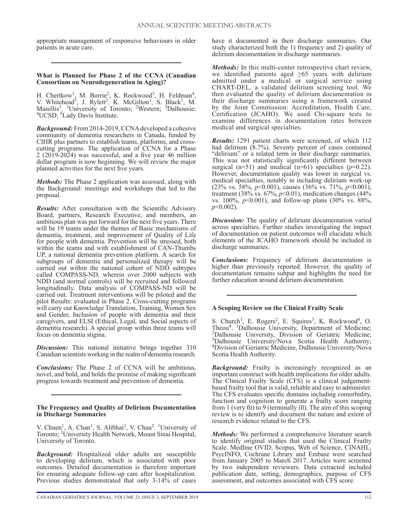appropriate management of responsive behaviours in older patients in acute care.

## **What is Planned for Phase 2 of the CCNA (Canadian Consortium on Neurodegeneration in Aging)?**

H. Chertkow<sup>1</sup>, M. Borrie<sup>2</sup>, K. Rockwood<sup>3</sup>, H. Feldman<sup>4</sup>, V. Whitehead<sup>5</sup>, J. Rylett<sup>2</sup>, K. McGilton<sup>1</sup>, S. Black<sup>1</sup>, M. Masellis<sup>1</sup>. <sup>1</sup>University of Toronto; <sup>2</sup>Western; <sup>3</sup>Dalhousie; <sup>4</sup>UCSD; <sup>5</sup>Lady Davis Institute.

*Background:* From 2014-2019, CCNA developed a cohesive community of dementia researchers in Canada, funded by CIHR plus partners to establish teams, platforms, and crosscutting programs. The application of CCNA for a Phase  $2(20\overline{1}9-20\overline{2}4)$  was successful, and a five year 46 million dollar program is now beginning. We will review the major planned activities for the next five years.

*Methods:* The Phase 2 application was assessed, along with the Background: meetings and workshops that led to the proposal.

*Results:* After consultation with the Scientific Advisory Board, partners, Research Executive, and members, an ambitious plan was put forward for the next five years. There will be 19 teams under the themes of Basic mechanisms of dementia, treatment, and improvement of Quality of Life for people with dementia. Prevention will be stressed, both within the teams and with establishment of CAN-Thumbs UP, a national dementia prevention platform. A search for subgroups of dementia and personalized therapy will be carried out within the national cohort of NDD subtypes called COMPASS-ND, wherein over 2000 subjects with NDD (and normal controls) will be recruited and followed longitudinally. Data analysis of COMPASS-ND will be carried out. Treatment interventions will be piloted and the pilot Results: evaluated in Phase 2. Cross-cutting programs will carry out Knowledge Translation, Training, Women Sex and Gender, Inclusion of people with dementia and their caregivers, and ELSI (Ethical, Legal, and Social aspects of dementia research). A special group within three teams will focus on dementia stigma.

*Discussion:* This national initiative brings together 310 Canadian scientists working in the realm of dementia research.

*Conclusions:* The Phase 2 of CCNA will be ambitious, novel, and bold, and holds the promise of making significant progress towards treatment and prevention of dementia.

#### **The Frequency and Quality of Delirium Documentation in Discharge Summaries**

V. Chuen<sup>1</sup>, A. Chan<sup>1</sup>, S. Alibhai<sup>2</sup>, V. Chau<sup>2</sup>. <sup>1</sup>University of Toronto; 2University Health Network, Mount Sinai Hospital, University of Toronto.

*Background:* Hospitalized older adults are susceptible to developing delirium, which is associated with poor outcomes. Detailed documentation is therefore important for ensuring adequate follow-up care after hospitalization. Previous studies demonstrated that only 3-14% of cases

CANADIAN GERIATRICS JOURNAL, VOLUME 23, ISSUE 3, SEPTEMBER 2019

have it documented in their discharge summaries. Our study characterized both the 1) frequency and 2) quality of delirium documentation in discharge summaries.

*Methods:* In this multi-center retrospective chart review, we identified patients aged  $\geq 65$  years with delirium admitted under a medical or surgical service using CHART-DEL, a validated delirium screening tool. We then evaluated the quality of delirium documentation in their discharge summaries using a framework created by the Joint Commission: Accreditation, Health Care, Certification (JCAHO). We used Chi-square tests to examine differences in documentation rates between medical and surgical specialties.

*Results:* 1291 patient charts were screened, of which 112 had delirium  $(8.7%)$ . Seventy percent of cases contained "delirium" or a related term in their discharge summaries. This was not statistically significantly different between surgical ( $n=51$ ) and medical ( $n=61$ ) specialties ( $p=0.22$ ). However, documentation quality was lower in surgical vs. medical specialties, notably in including delirium work-up (23% vs. 58%, *p*<0.001), causes (36% vs. 71%, *p*<0.001), treatment (38% vs. 67%, *p*<0.01), medication changes (44% vs. 100%, *p*<0.001), and follow-up plans (30% vs. 88%, *p*<0.002).

*Discussion:* The quality of delirium documentation varied across specialties. Further studies investigating the impact of documentation on patient outcomes will elucidate which elements of the JCAHO framework should be included in discharge summaries.

*Conclusions:* Frequency of delirium documentation is higher than previously reported. However, the quality of documentation remains subpar and highlights the need for further education around delirium documentation.

## **A Scoping Review on the Clinical Frailty Scale**

S. Church<sup>1</sup>, E. Rogers<sup>2</sup>, E. Squires<sup>3</sup>, K. Rockwood<sup>4</sup>, O. Theou4. 1Dalhousie University, Department of Medicine; 2Dalhousie University, Division of Geriatric Medicine; 3Dalhousie University/Nova Scotia Health Authority; 4Division of Geriatric Medicine, Dalhousie University/Nova Scotia Health Authority.

**Background:** Frailty is increasingly recognized as an important construct with health implications for older adults. The Clinical Frailty Scale (CFS) is a clinical judgementbased frailty tool that is valid, reliable and easy to administer. The CFS evaluates specific domains including comorbidity, function and cognition to generate a frailty score ranging from 1 (very fit) to 9 (terminally ill). The aim of this scoping review is to identify and document the nature and extent of research evidence related to the CFS.

*Methods:* We performed a comprehensive literature search to identify original studies that used the Clinical Frailty Scale. Medline OVID, Scopus, Web of Science, CINAHL, PsycINFO, Cochrane Library and Embase were searched from January 2005 to March 2017. Articles were screened by two independent reviewers. Data extracted included publication date, setting, demographics, purpose of CFS assessment, and outcomes associated with CFS score.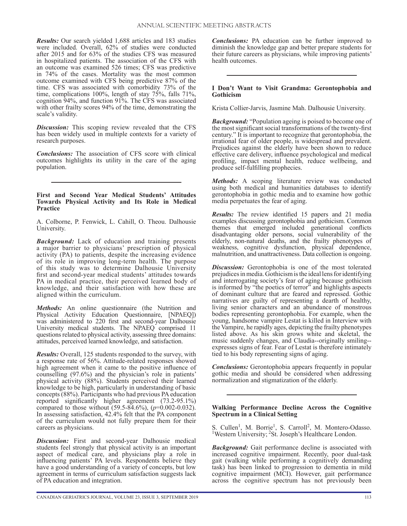*Results:* Our search yielded 1,688 articles and 183 studies were included. Overall, 62% of studies were conducted after 2015 and for 63% of the studies CFS was measured in hospitalized patients. The association of the CFS with an outcome was examined 526 times; CFS was predictive in 74% of the cases. Mortality was the most common outcome examined with CFS being predictive 87% of the time. CFS was associated with comorbidity 73% of the time, complications 100%, length of stay 75%, falls 71%, cognition 94%, and function 91%. The CFS was associated with other frailty scores 94% of the time, demonstrating the scale's validity.

*Discussion:* This scoping review revealed that the CFS has been widely used in multiple contexts for a variety of research purposes.

*Conclusions:* The association of CFS score with clinical outcomes highlights its utility in the care of the aging population.

#### **First and Second Year Medical Students' Attitudes Towards Physical Activity and Its Role in Medical Practice**

A. Colborne, P. Fenwick, L. Cahill, O. Theou. Dalhousie University.

*Background:* Lack of education and training presents a major barrier to physicians' prescription of physical activity (PA) to patients, despite the increasing evidence of its role in improving long-term health. The purpose of this study was to determine Dalhousie University first and second-year medical students' attitudes towards PA in medical practice, their perceived learned body of knowledge, and their satisfaction with how these are aligned within the curriculum.

*Methods:* An online questionnaire (the Nutrition and Physical Activity Education Questionnaire, [NPAEQ]) was administered to 220 first and second-year Dalhousie University medical students. The NPAEQ comprised 11 questions related to physical activity, assessing three domains: attitudes, perceived learned knowledge, and satisfaction.

*Results:* Overall, 125 students responded to the survey, with a response rate of 56%. Attitude-related responses showed high agreement when it came to the positive influence of counselling (97.6%) and the physician's role in patients' physical activity (88%). Students perceived their learned knowledge to be high, particularly in understanding of basic concepts (88%). Participants who had previous PA education reported significantly higher agreement (73.2-95.1%) compared to those without (59.5-84.6%), (*p*=0.002-0.032). In assessing satisfaction, 42.4% felt that the PA component of the curriculum would not fully prepare them for their careers as physicians.

*Discussion:* First and second-year Dalhousie medical students feel strongly that physical activity is an important aspect of medical care, and physicians play a role in influencing patients' PA levels. Respondents believe they have a good understanding of a variety of concepts, but low agreement in terms of curriculum satisfaction suggests lack of PA education and integration.

CANADIAN GERIATRICS JOURNAL, VOLUME 23, ISSUE 3, SEPTEMBER 2019

*Conclusions:* PA education can be further improved to diminish the knowledge gap and better prepare students for their future careers as physicians, while improving patients' health outcomes.

## **I Don't Want to Visit Grandma: Gerontophobia and Gothicism**

Krista Collier-Jarvis, Jasmine Mah. Dalhousie University.

*Background:* "Population ageing is poised to become one of the most significant social transformations of the twenty-first century." It is important to recognize that gerontophobia, the irrational fear of older people, is widespread and prevalent. Prejudices against the elderly have been shown to reduce effective care delivery, influence psychological and medical profiling, impact mental health, reduce wellbeing, and produce self-fulfilling prophecies.

*Methods:* A scoping literature review was conducted using both medical and humanities databases to identify gerontophobia in gothic media and to examine how gothic media perpetuates the fear of aging.

*Results:* The review identified 15 papers and 21 media examples discussing gerontophobia and gothicism. Common themes that emerged included generational conflicts disadvantaging older persons, social vulnerability of the elderly, non-natural deaths, and the frailty phenotypes of weakness, cognitive dysfunction, physical dependence, malnutrition, and unattractiveness. Data collection is ongoing.

*Discussion:* Gerontophobia is one of the most tolerated prejudices in media. Gothicism is the ideal lens for identifying and interrogating society's fear of aging because gothicism is informed by "the poetics of terror" and highlights aspects of dominant culture that are feared and repressed. Gothic narratives are guilty of representing a dearth of healthy, living senior characters and an abundance of monstrous bodies representing gerontophobia. For example, when the young, handsome vampire Lestat is killed in Interview with the Vampire, he rapidly ages, depicting the frailty phenotypes listed above. As his skin grows white and skeletal, the music suddenly changes, and Claudia--originally smiling- expresses signs of fear. Fear of Lestat is therefore intimately tied to his body representing signs of aging.

*Conclusions:* Gerontophobia appears frequently in popular gothic media and should be considered when addressing normalization and stigmatization of the elderly.

#### **Walking Performance Decline Across the Cognitive Spectrum in a Clinical Setting**

S. Cullen<sup>1</sup>, M. Borrie<sup>1</sup>, S. Carroll<sup>2</sup>, M. Montero-Odasso. <sup>1</sup>Western University; <sup>2</sup>St. Joseph's Healthcare London.

*Background:* Gait performance decline is associated with increased cognitive impairment. Recently, poor dual-task gait (walking while performing a cognitively demanding task) has been linked to progression to dementia in mild cognitive impairment (MCI). However, gait performance across the cognitive spectrum has not previously been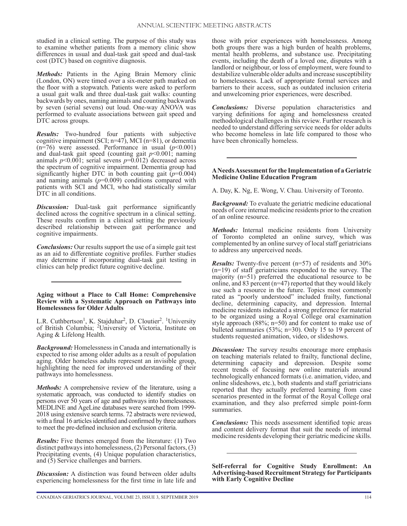studied in a clinical setting. The purpose of this study was to examine whether patients from a memory clinic show differences in usual and dual-task gait speed and dual-task cost (DTC) based on cognitive diagnosis.

*Methods:* Patients in the Aging Brain Memory clinic (London, ON) were timed over a six-meter path marked on the floor with a stopwatch. Patients were asked to perform a usual gait walk and three dual-task gait walks: counting backwards by ones, naming animals and counting backwards by seven (serial sevens) out loud. One-way ANOVA was performed to evaluate associations between gait speed and DTC across groups.

*Results:* Two-hundred four patients with subjective cognitive impairment (SCI; n=47), MCI (n=81), or dementia  $(n=76)$  were assessed. Performance in usual  $(p<0.001)$ and dual-task gait speed (counting gait  $p<0.001$ ; naming animals  $p<0.001$ ; serial sevens  $p=0.012$ ) decreased across the spectrum of cognitive impairment. Dementia group had significantly higher DTC in both counting gait  $(p=0.004)$ and naming animals  $(p=0.009)$  conditions compared with patients with SCI and MCI, who had statistically similar DTC in all conditions.

*Discussion:* Dual-task gait performance significantly declined across the cognitive spectrum in a clinical setting. These results confirm in a clinical setting the previously described relationship between gait performance and cognitive impairments.

*Conclusions:* Our results support the use of a simple gait test as an aid to differentiate cognitive profiles. Further studies may determine if incorporating dual-task gait testing in clinics can help predict future cognitive decline.

**Aging without a Place to Call Home: Comprehensive Review with a Systematic Approach on Pathways into Homelessness for Older Adults**

L.R. Cuthbertson<sup>1</sup>, K. Stajduhar<sup>2</sup>, D. Cloutier<sup>2</sup>. <sup>1</sup>University of British Columbia; 2University of Victoria, Institute on Aging & Lifelong Health.

*Background:* Homelessness in Canada and internationally is expected to rise among older adults as a result of population aging. Older homeless adults represent an invisible group, highlighting the need for improved understanding of their pathways into homelessness.

*Methods:* A comprehensive review of the literature, using a systematic approach, was conducted to identify studies on persons over 50 years of age and pathways into homelessness. MEDLINE and AgeLine databases were searched from 1999- 2018 using extensive search terms. 72 abstracts were reviewed, with a final 16 articles identified and confirmed by three authors to meet the pre-defined inclusion and exclusion criteria.

*Results:* Five themes emerged from the literature: (1) Two distinct pathways into homelessness, (2) Personal factors, (3) Precipitating events, (4) Unique population characteristics, and (5) Service challenges and barriers.

*Discussion:* A distinction was found between older adults experiencing homelessness for the first time in late life and those with prior experiences with homelessness. Among both groups there was a high burden of health problems, mental health problems, and substance use. Precipitating events, including the death of a loved one, disputes with a landlord or neighbour, or loss of employment, were found to destabilize vulnerable older adults and increase susceptibility to homelessness. Lack of appropriate formal services and barriers to their access, such as outdated inclusion criteria and unwelcoming prior experiences, were described.

*Conclusions:* Diverse population characteristics and varying definitions for aging and homelessness created methodological challenges in this review. Further research is needed to understand differing service needs for older adults who become homeless in late life compared to those who have been chronically homeless.

## **A Needs Assessment for the Implementation of a Geriatric Medicine Online Education Program**

A. Day, K. Ng, E. Wong, V. Chau. University of Toronto.

*Background:* To evaluate the geriatric medicine educational needs of core internal medicine residents prior to the creation of an online resource.

*Methods:* Internal medicine residents from University of Toronto completed an online survey, which was complemented by an online survey of local staff geriatricians to address any unperceived needs.

*Results:* Twenty-five percent (n=57) of residents and 30% (n=19) of staff geriatricians responded to the survey. The majority (n=51) preferred the educational resource to be online, and 83 percent (n=47) reported that they would likely use such a resource in the future. Topics most commonly rated as "poorly understood" included frailty, functional decline, determining capacity, and depression. Internal medicine residents indicated a strong preference for material to be organized using a Royal College oral examination style approach  $(88\%; n=50)$  and for content to make use of bulleted summaries (53%; n=30). Only 15 to 19 percent of students requested animation, video, or slideshows.

*Discussion:* The survey results encourage more emphasis on teaching materials related to frailty, functional decline, determining capacity and depression. Despite some recent trends of focusing new online materials around technologically enhanced formats (i.e. animation, video, and online slideshows, etc.), both students and staff geriatricians reported that they actually preferred learning from case scenarios presented in the format of the Royal College oral examination, and they also preferred simple point-form summaries.

*Conclusions:* This needs assessment identified topic areas and content delivery format that suit the needs of internal medicine residents developing their geriatric medicine skills.

**Self-referral for Cognitive Study Enrollment: An Advertising-based Recruitment Strategy for Participants with Early Cognitive Decline**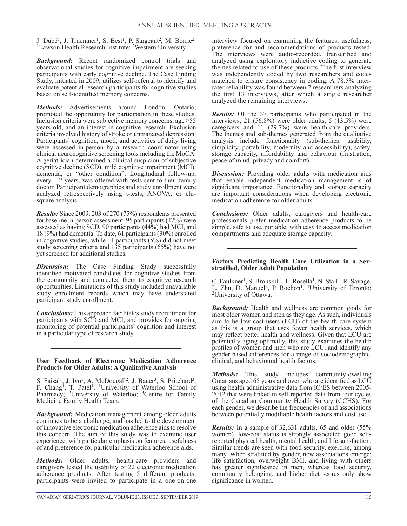J. Dubé<sup>1</sup>, J. Truemner<sup>1</sup>, S. Best<sup>1</sup>, P. Sargeant<sup>2</sup>, M. Borrie<sup>2</sup>. <sup>1</sup>Lawson Health Research Institute; <sup>2</sup>Western University.

*Background:* Recent randomized control trials and observational studies for cognitive impairment are seeking participants with early cognitive decline. The Case Finding Study, initiated in 2009, utilizes self-referral to identify and evaluate potential research participants for cognitive studies based on self-identified memory concerns.

*Methods:* Advertisements around London, Ontario, promoted the opportunity for participation in these studies. Inclusion criteria were subjective memory concerns, age  $\geq 55$ years old, and an interest in cognitive research. Exclusion criteria involved history of stroke or unmanaged depression. Participants' cognition, mood, and activities of daily living were assessed in-person by a research coordinator using clinical neurocognitive screening tools including the MoCA. A geriatrician determined a clinical suspicion of subjective cognitive decline (SCD), mild cognitive impairment (MCI), dementia, or "other condition". Longitudinal follow-up, every 1-2 years, was offered with tests sent to their family doctor. Participant demographics and study enrollment were analyzed retrospectively using t-tests, ANOVA, or chisquare analysis.

*Results:* Since 2009, 203 of 270 (75%) respondents presented for baseline in-person assessment. 95 participants (47%) were assessed as having SCD, 90 participants (44%) had MCI, and 18 (9%) had dementia. To date, 61 participants (30%) enrolled in cognitive studies, while 11 participants (5%) did not meet study screening criteria and 135 participants (65%) have not yet screened for additional studies.

*Discussion:* The Case Finding Study successfully identified motivated candidates for cognitive studies from the community and connected them to cognitive research opportunities. Limitations of this study included unavailable study enrollment records which may have understated participant study enrollment.

*Conclusions:* This approach facilitates study recruitment for participants with SCD and MCI, and provides for ongoing monitoring of potential participants' cognition and interest in a particular type of research study.

## **User Feedback of Electronic Medication Adherence Products for Older Adults: A Qualitative Analysis**

S. Faisal<sup>1</sup>, J. Ivo<sup>1</sup>, A. McDougall<sup>2</sup>, J. Bauer<sup>3</sup>, S. Pritchard<sup>3</sup>, F. Chang<sup>1</sup>, T. Patel<sup>1</sup>. <sup>1</sup>University of Waterloo School of Pharmacy; <sup>2</sup>University of Waterloo; <sup>3</sup>Centre for Family Medicine Family Health Team.

*Background:* Medication management among older adults continues to be a challenge, and has led to the development of innovative electronic medication adherence aids to resolve this concern. The aim of this study was to examine user experience, with particular emphasis on features, usefulness of and preference for particular medication adherence aids.

*Methods:* Older adults, health-care providers and caregivers tested the usability of 22 electronic medication adherence products. After testing 5 different products, participants were invited to participate in a one-on-one

interview focused on examining the features, usefulness, preference for and recommendations of products tested. The interviews were audio-recorded, transcribed and analyzed using exploratory inductive coding to generate themes related to use of these products. The first interview was independently coded by two researchers and codes matched to ensure consistency in coding. A 78.5% interrater reliability was found between 2 researchers analyzing the first 13 interviews, after which a single researcher analyzed the remaining interviews.

*Results:* Of the 37 participants who participated in the interviews, 21 (56.8%) were older adults, 5 (13.5%) were caregivers and 11 (29.7%) were health-care providers. The themes and sub-themes generated from the qualitative analysis include functionality (sub-themes: usability, simplicity, portability, modernity and accessibility), safety, storage capacity, affordability and behaviour (frustration, peace of mind, privacy and comfort).

*Discussion:* Providing older adults with medication aids that enable independent medication management is of significant importance. Functionality and storage capacity are important considerations when developing electronic medication adherence for older adults.

*Conclusions:* Older adults, caregivers and health-care professionals prefer medication adherence products to be simple, safe to use, portable, with easy to access medication compartments and adequate storage capacity.

## **Factors Predicting Health Care Utilization in a Sexstratified, Older Adult Population**

C. Faulkner<sup>1</sup>, S. Bronskill<sup>1</sup>, L. Rosella<sup>1</sup>, N. Stall<sup>1</sup>, R. Savage, L. Zhu, D. Manuel<sup>2</sup>, P. Rochon<sup>1</sup>. <sup>1</sup>University of Toronto; <sup>2</sup>University of Ottawa.

*Background:* Health and wellness are common goals for most older women and men as they age. As such, individuals aim to be low-cost users (LCU) of the health care system as this is a group that uses fewer health services, which may reflect better health and wellness. Given that LCU are potentially aging optimally, this study examines the health profiles of women and men who are LCU, and identify any gender-based differences for a range of sociodemographic, clinical, and behavioural health factors.

*Methods:* This study includes community-dwelling Ontarians aged 65 years and over, who are identified as LCU using health administrative data from IC/ES between 2005- 2012 that were linked to self-reported data from four cycles of the Canadian Community Health Survey (CCHS). For each gender, we describe the frequencies of and associations between potentially modifiable health factors and cost use.

*Results:* In a sample of 32,631 adults, 65 and older (55% women), low-cost status is strongly associated good selfreported physical health, mental health, and life satisfaction. Similar trends are seen with food security, exercise, among many. When stratified by gender, new associations emerge: life satisfaction, overweight BMI, and living with others has greater significance in men, whereas food security, community belonging, and higher diet scores only show significance in women.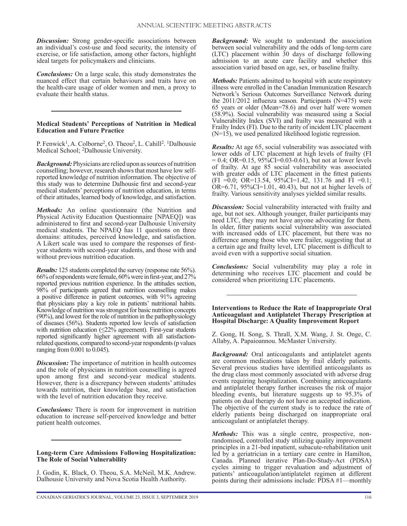*Discussion:* Strong gender-specific associations between an individual's cost-use and food security, the intensity of exercise, or life satisfaction, among other factors, highlight ideal targets for policymakers and clinicians.

*Conclusions:* On a large scale, this study demonstrates the nuanced effect that certain behaviours and traits have on the health-care usage of older women and men, a proxy to evaluate their health status.

## **Medical Students' Perceptions of Nutrition in Medical Education and Future Practice**

P. Fenwick<sup>1</sup>, A. Colborne<sup>2</sup>, O. Theou<sup>2</sup>, L. Cahill<sup>2</sup>. <sup>1</sup>Dalhousie Medical School; 2Dalhousie University.

*Background:* Physicians are relied upon as sources of nutrition counselling; however, research shows that most have low selfreported knowledge of nutrition information. The objective of this study was to determine Dalhousie first and second-year medical students' perceptions of nutrition education, in terms of their attitudes, learned body of knowledge, and satisfaction.

*Methods:* An online questionnaire (the Nutrition and Physical Activity Education Questionnaire [NPAEQ]) was administered to first and second-year Dalhousie University medical students. The NPAEQ has 11 questions on three domains: attitudes, perceived knowledge, and satisfaction. A Likert scale was used to compare the responses of firstyear students with second-year students, and those with and without previous nutrition education.

*Results:* 125 students completed the survey (response rate 56%). 66% of respondents were female, 60% were in first-year, and 27% reported previous nutrition experience. In the attitudes section, 98% of participants agreed that nutrition counselling makes a positive difference in patient outcomes, with 91% agreeing that physicians play a key role in patients' nutritional habits. Knowledge of nutrition was strongest for basic nutrition concepts (90%), and lowest for the role of nutrition in the pathophysiology of diseases (56%). Students reported low levels of satisfaction with nutrition education  $(\leq 22\%$  agreement). First-year students reported significantly higher agreement with all satisfactionrelated questions, compared to second-year respondents (p values ranging from 0.001 to 0.045).

*Discussion:* The importance of nutrition in health outcomes and the role of physicians in nutrition counselling is agreed upon among first and second-year medical students. However, there is a discrepancy between students' attitudes towards nutrition, their knowledge base, and satisfaction with the level of nutrition education they receive.

*Conclusions:* There is room for improvement in nutrition education to increase self-perceived knowledge and better patient health outcomes.

#### **Long-term Care Admissions Following Hospitalization: The Role of Social Vulnerability**

J. Godin, K. Black, O. Theou, S.A. McNeil, M.K. Andrew. Dalhousie University and Nova Scotia Health Authority.

*Background:* We sought to understand the association between social vulnerability and the odds of long-term care (LTC) placement within 30 days of discharge following admission to an acute care facility and whether this association varied based on age, sex, or baseline frailty.

*Methods:* Patients admitted to hospital with acute respiratory illness were enrolled in the Canadian Immunization Research Network's Serious Outcomes Surveillance Network during the 2011/2012 influenza season. Participants (N=475) were 65 years or older (Mean=78.6) and over half were women (58.9%). Social vulnerability was measured using a Social Vulnerability Index (SVI) and frailty was measured with a Frailty Index (FI). Due to the rarity of incident LTC placement (N=15), we used penalized likelihood logistic regression.

*Results:* At age 65, social vulnerability was associated with lower odds of LTC placement at high levels of frailty (FI  $= 0.4$ ; OR=0.15, 95%CI=0.03-0.61), but not at lower levels of frailty. At age 85 social vulnerability was associated with greater odds of LTC placement in the fittest patients  $(FI = 0.0; OR=13.54, 95\%CI=1.42, 131.76 \text{ and } FI = 0.1;$  $OR=6.71$ ,  $95\%CI=1.01$ ,  $40.43$ ), but not at higher levels of frailty. Various sensitivity analyses yielded similar results.

*Discussion:* Social vulnerability interacted with frailty and age, but not sex. Although younger, frailer participants may need LTC, they may not have anyone advocating for them. In older, fitter patients social vulnerability was associated with increased odds of LTC placement, but there was no difference among those who were frailer, suggesting that at a certain age and frailty level, LTC placement is difficult to avoid even with a supportive social situation.

*Conclusions:* Social vulnerability may play a role in determining who receives LTC placement and could be considered when prioritizing LTC placements.

**Interventions to Reduce the Rate of Inappropriate Oral Anticoagulant and Antiplatelet Therapy Prescription at Hospital Discharge: A Quality Improvement Report**

Z. Gong, H. Song, S. Thrall, X.M. Wang, J. St. Onge, C. Allaby, A. Papaioannou. McMaster University.

*Background:* Oral anticoagulants and antiplatelet agents are common medications taken by frail elderly patients. Several previous studies have identified anticoagulants as the drug class most commonly associated with adverse drug events requiring hospitalization. Combining anticoagulants and antiplatelet therapy further increases the risk of major bleeding events, but literature suggests up to 95.3% of patients on dual therapy do not have an accepted indication. The objective of the current study is to reduce the rate of elderly patients being discharged on inappropriate oral anticoagulant or antiplatelet therapy.

*Methods:* This was a single centre, prospective, nonrandomised, controlled study utilizing quality improvement principles in a 21-bed inpatient, subacute-rehabilitation unit led by a geriatrician in a tertiary care centre in Hamilton, Canada. Planned iterative Plan-Do-Study-Act (PDSA) cycles aiming to trigger revaluation and adjustment of patients' anticoagulation/antiplatelet regimen at different points during their admissions include: PDSA #1—monthly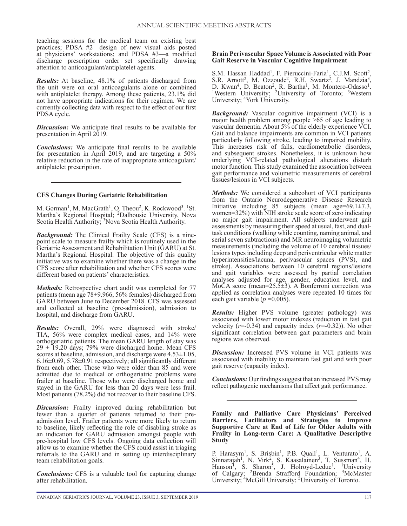teaching sessions for the medical team on existing best practices; PDSA #2—design of new visual aids posted at physicians' workstations; and PDSA #3—a modified discharge prescription order set specifically drawing attention to anticoagulant/antiplatelet agents.

*Results:* At baseline, 48.1% of patients discharged from the unit were on oral anticoagulants alone or combined with antiplatelet therapy. Among these patients, 23.1% did not have appropriate indications for their regimen. We are currently collecting data with respect to the effect of our first PDSA cycle.

*Discussion:* We anticipate final results to be available for presentation in April 2019.

*Conclusions:* We anticipate final results to be available for presentation in April 2019, and are targeting a 50% relative reduction in the rate of inappropriate anticoagulant/ antiplatelet prescription.

## **CFS Changes During Geriatric Rehabilitation**

M. Gorman<sup>1</sup>, M. MacGrath<sup>1</sup>, O. Theou<sup>2</sup>, K. Rockwood<sup>3</sup>. <sup>1</sup>St. Martha's Regional Hospital; 2Dalhousie University, Nova Scotia Health Authority; <sup>3</sup>Nova Scotia Health Authority.

*Background:* The Clinical Frailty Scale (CFS) is a ninepoint scale to measure frailty which is routinely used in the Geriatric Assessment and Rehabilitation Unit (GARU) at St. Martha's Regional Hospital. The objective of this quality initiative was to examine whether there was a change in the CFS score after rehabilitation and whether CFS scores were different based on patients' characteristics.

*Methods:* Retrospective chart audit was completed for 77 patients (mean age 78±9.966, 56% females) discharged from GARU between June to December 2018. CFS was assessed and collected at baseline (pre-admission), admission to hospital, and discharge from GARU.

*Results:* Overall, 29% were diagnosed with stroke/ TIA, 56% were complex medical cases, and 14% were orthogeriatric patients. The mean GARU length of stay was  $29 \pm 19.20$  days; 79% were discharged home. Mean CFS scores at baseline, admission, and discharge were  $4.53\pm1.05$ , 6.16±0.69, 5.78±0.91 respectively; all significantly different from each other. Those who were older than 85 and were admitted due to medical or orthogeriatric problems were frailer at baseline. Those who were discharged home and stayed in the GARU for less than 20 days were less frail. Most patients (78.2%) did not recover to their baseline CFS.

**Discussion:** Frailty improved during rehabilitation but fewer than a quarter of patients returned to their preadmission level. Frailer patients were more likely to return to baseline, likely reflecting the role of disabling stroke as an indication for GARU admission amongst people with pre-hospital low CFS levels. Ongoing data collection will allow us to examine whether the CFS could assist in triaging referrals to the GARU and in setting up interdisciplinary team rehabilitation goals.

*Conclusions:* CFS is a valuable tool for capturing change after rehabilitation.

## **Brain Perivascular Space Volume is Associated with Poor Gait Reserve in Vascular Cognitive Impairment**

S.M. Hassan Haddad<sup>1</sup>, F. Pieruccini-Faria<sup>1</sup>, C.J.M. Scott<sup>2</sup>, S.R. Arnott<sup>2</sup>, M. Ozzoude<sup>2</sup>, R.H. Swartz<sup>2</sup>, J. Mandzia<sup>3</sup>, D. Kwan<sup>4</sup>, D. Beaton<sup>2</sup>, R. Bartha<sup>1</sup>, M. Montero-Odasso<sup>1</sup>.<br><sup>1</sup>Western University; <sup>2</sup>University of Toronto; <sup>3</sup>Western University; 4York University.

*Background:* Vascular cognitive impairment (VCI) is a major health problem among people  $\geq 65$  of age leading to vascular dementia. About 5% of the elderly experience VCI. Gait and balance impairments are common in VCI patients particularly following stroke, leading to impaired mobility. This increases risk of falls, cardiometabolic disorders, and subsequent strokes. Nonetheless, it is unknown how underlying VCI-related pathological alterations disturb motor function. This study examined the association between gait performance and volumetric measurements of cerebral tissues/lesions in VCI subjects.

*Methods:* We considered a subcohort of VCI participants from the Ontario Neurodegenerative Disease Research Initiative including 85 subjects (mean age= $69.1 \pm 7.3$ , women=32%) with NIH stroke scale score of zero indicating no major gait impairment. All subjects underwent gait assessments by measuring their speed at usual, fast, and dualtask conditions (walking while counting, naming animal, and serial seven subtractions) and MR neuroimaging volumetric measurements (including the volume of 10 cerebral tissues/ lesions types including deep and periventricular white matter hyperintensities/lacuna, perivascular spaces (PVS), and stroke). Associations between 10 cerebral regions/lesions and gait variables were assessed by partial correlation analyses adjusted for age, gender, education level, and MoCA score (mean= $25.5\pm3$ ). A Bonferroni correction was applied as correlation analyses were repeated 10 times for each gait variable  $(p=0.005)$ .

*Results:* Higher PVS volume (greater pathology) was associated with lower motor indexes (reduction in fast gait velocity  $(r=0.34)$  and capacity index  $(r=0.32)$ ). No other significant correlation between gait parameters and brain regions was observed.

*Discussion:* Increased PVS volume in VCI patients was associated with inability to maintain fast gait and with poor gait reserve (capacity index).

*Conclusions:* Our findings suggest that an increased PVS may reflect pathogenic mechanisms that affect gait performance.

**Family and Palliative Care Physicians' Perceived Barriers, Facilitators and Strategies to Improve Supportive Care at End of Life for Older Adults with Frailty in Long-term Care: A Qualitative Descriptive Study**

P. Harasym<sup>1</sup>, S. Brisbin<sup>1</sup>, P.B. Quail<sup>1</sup>, L. Venturato<sup>1</sup>, A. Sinnarajah<sup>1</sup>, N. Virk<sup>2</sup>, S. Kaasalainen<sup>3</sup>, T. Sussman<sup>4</sup>, H. Hanson<sup>1</sup>, S. Sharon<sup>5</sup>, J. Holroyd-Leduc<sup>1</sup>. <sup>1</sup>University of Calgary; <sup>2</sup>Brenda Strafford Foundation; <sup>3</sup>McMaster University; <sup>4</sup>McGill University; <sup>5</sup>University of Toronto.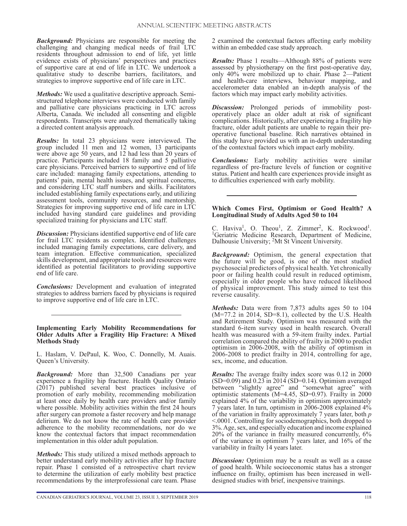*Background:* Physicians are responsible for meeting the challenging and changing medical needs of frail LTC residents throughout admission to end of life, yet little evidence exists of physicians' perspectives and practices of supportive care at end of life in LTC. We undertook a qualitative study to describe barriers, facilitators, and strategies to improve supportive end of life care in LTC.

*Methods:* We used a qualitative descriptive approach. Semistructured telephone interviews were conducted with family and palliative care physicians practicing in LTC across Alberta, Canada. We included all consenting and eligible respondents. Transcripts were analyzed thematically taking a directed content analysis approach.

*Results:* In total 23 physicians were interviewed. The group included 11 men and 12 women, 13 participants were above age 50 years, and 12 had less than 20 years of practice. Participants included 18 family and 5 palliative care physicians. Perceived barriers to supportive end of life care included: managing family expectations, attending to patients' pain, mental health issues, and spiritual concerns, and considering LTC staff numbers and skills. Facilitators included establishing family expectations early, and utilizing assessment tools, community resources, and mentorship. Strategies for improving supportive end of life care in LTC included having standard care guidelines and providing specialized training for physicians and LTC staff.

*Discussion:* Physicians identified supportive end of life care for frail LTC residents as complex. Identified challenges included managing family expectations, care delivery, and team integration. Effective communication, specialized skills development, and appropriate tools and resources were identified as potential facilitators to providing supportive end of life care.

*Conclusions:* Development and evaluation of integrated strategies to address barriers faced by physicians is required to improve supportive end of life care in LTC.

**Implementing Early Mobility Recommendations for Older Adults After a Fragility Hip Fracture: A Mixed Methods Study**

L. Haslam, V. DePaul, K. Woo, C. Donnelly, M. Auais. Queen's University.

*Background:* More than 32,500 Canadians per year experience a fragility hip fracture. Health Quality Ontario (2017) published several best practices inclusive of promotion of early mobility, recommending mobilization at least once daily by health care providers and/or family where possible. Mobility activities within the first 24 hours after surgery can promote a faster recovery and help manage delirium. We do not know the rate of health care provider adherence to the mobility recommendations, nor do we know the contextual factors that impact recommendation implementation in this older adult population.

*Methods:* This study utilized a mixed methods approach to better understand early mobility activities after hip fracture repair. Phase 1 consisted of a retrospective chart review to determine the utilization of early mobility best practice recommendations by the interprofessional care team. Phase

2 examined the contextual factors affecting early mobility within an embedded case study approach.

*Results:* Phase 1 results—Although 88% of patients were assessed by physiotherapy on the first post-operative day, only 40% were mobilized up to chair. Phase 2—Patient and health-care interviews, behaviour mapping, and accelerometer data enabled an in-depth analysis of the factors which may impact early mobility activities.

*Discussion:* Prolonged periods of immobility postoperatively place an older adult at risk of significant complications. Historically, after experiencing a fragility hip fracture, older adult patients are unable to regain their preoperative functional baseline. Rich narratives obtained in this study have provided us with an in-depth understanding of the contextual factors which impact early mobility.

*Conclusions:* Early mobility activities were similar regardless of pre-fracture levels of function or cognitive status. Patient and health care experiences provide insight as to difficulties experienced with early mobility.

## **Which Comes First, Optimism or Good Health? A Longitudinal Study of Adults Aged 50 to 104**

C. Haviva<sup>1</sup>, O. Theou<sup>1</sup>, Z. Zimmer<sup>2</sup>, K. Rockwood<sup>1</sup>. <sup>1</sup>Geriatric Medicine Research, Department of Medicine, Dalhousie University; 2Mt St Vincent University.

*Background:* Optimism, the general expectation that the future will be good, is one of the most studied psychosocial predictors of physical health. Yet chronically poor or failing health could result in reduced optimism, especially in older people who have reduced likelihood of physical improvement. This study aimed to test this reverse causality.

*Methods:* Data were from 7,873 adults ages 50 to 104  $(M=77.2 \text{ in } 2014, SD=8.1)$ , collected by the U.S. Health and Retirement Study. Optimism was measured with the standard 6-item survey used in health research. Overall health was measured with a 59-item frailty index. Partial correlation compared the ability of frailty in 2000 to predict optimism in 2006-2008, with the ability of optimism in 2006-2008 to predict frailty in 2014, controlling for age, sex, income, and education.

*Results:* The average frailty index score was 0.12 in 2000 (SD=0.09) and  $0.23$  in 2014 (SD=0.14). Optimism averaged between "slightly agree" and "somewhat agree" with optimistic statements (M=4.45, SD=0.97). Frailty in 2000 explained 4% of the variability in optimism approximately 7 years later. In turn, optimism in 2006-2008 explained 4% of the variation in frailty approximately 7 years later, both *p* <.0001. Controlling for sociodemographics, both dropped to 3%. Age, sex, and especially education and income explained 20% of the variance in frailty measured concurrently, 6% of the variance in optimism  $\tilde{7}$  years later, and 16% of the variability in frailty 14 years later.

*Discussion:* Optimism may be a result as well as a cause of good health. While socioeconomic status has a stronger influence on frailty, optimism has been increased in welldesigned studies with brief, inexpensive trainings.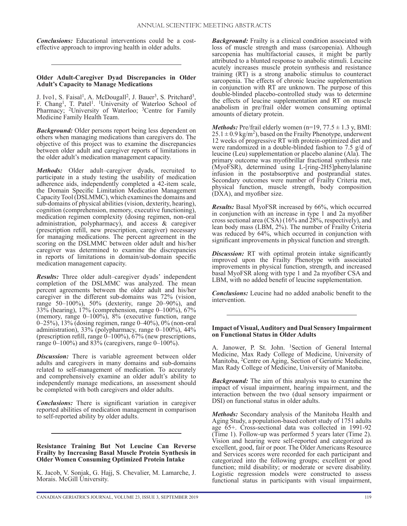*Conclusions:* Educational interventions could be a costeffective approach to improving health in older adults.

#### **Older Adult-Caregiver Dyad Discrepancies in Older Adult's Capacity to Manage Medications**

J. Ivo1, S. Faisal<sup>1</sup>, A. McDougall<sup>2</sup>, J. Bauer<sup>3</sup>, S. Pritchard<sup>3</sup>, F. Chang<sup>1</sup>, T. Patel<sup>1</sup>. <sup>1</sup>University of Waterloo School of Pharmacy; <sup>2</sup>University of Waterloo; <sup>3</sup>Centre for Family Medicine Family Health Team.

*Background:* Older persons report being less dependent on others when managing medications than caregivers do. The objective of this project was to examine the discrepancies between older adult and caregiver reports of limitations in the older adult's medication management capacity.

*Methods:* Older adult–caregiver dyads, recruited to participate in a study testing the usability of medication adherence aids, independently completed a 42-item scale, the Domain Specific Limitation Medication Management Capacity Tool (DSLMMC), which examines the domains and sub-domains of physical abilities (vision, dexterity, hearing), cognition (comprehension, memory, executive functioning), medication regimen complexity (dosing regimen, non-oral administration, polypharmacy), and access & caregiver (prescription refill, new prescription, caregiver) necessary for managing medications. The percent agreement in the scoring on the DSLMMC between older adult and his/her caregiver was determined to examine the discrepancies in reports of limitations in domain/sub-domain specific medication management capacity.

*Results:* Three older adult–caregiver dyads' independent completion of the DSLMMC was analyzed. The mean percent agreements between the older adult and his/her caregiver in the different sub-domains was 72% (vision, range 50–100%), 50% (dexterity, range 20–90%), and 33% (hearing), 17% (comprehension, range 0–100%), 67% (memory, range 0–100%), 8% (executive function, range 0–25%), 13% (dosing regimen, range 0–40%), 0% (non-oral administration), 33% (polypharmacy, range 0–100%), 44% (prescription refill, range  $0-100\%$ ), 67% (new prescriptions, range  $0-100\%$ ) and 83% (caregivers, range  $0-100\%$ ).

*Discussion:* There is variable agreement between older adults and caregivers in many domains and sub-domains related to self-management of medication. To accurately and comprehensively examine an older adult's ability to independently manage medications, an assessment should be completed with both caregivers and older adults.

*Conclusions:* There is significant variation in caregiver reported abilities of medication management in comparison to self-reported ability by older adults.

**Resistance Training But Not Leucine Can Reverse Frailty by Increasing Basal Muscle Protein Synthesis in Older Women Consuming Optimized Protein Intake**

K. Jacob, V. Sonjak, G. Hajj, S. Chevalier, M. Lamarche, J. Morais. McGill University.

*Background:* Frailty is a clinical condition associated with loss of muscle strength and mass (sarcopenia). Although sarcopenia has multifactorial causes, it might be partly attributed to a blunted response to anabolic stimuli. Leucine acutely increases muscle protein synthesis and resistance training (RT) is a strong anabolic stimulus to counteract sarcopenia. The effects of chronic leucine supplementation in conjunction with RT are unknown. The purpose of this double-blinded placebo-controlled study was to determine the effects of leucine supplementation and RT on muscle anabolism in pre/frail older women consuming optimal amounts of dietary protein.

*Methods:* Pre/frail elderly women  $(n=19, 77.5 \pm 1.3 \text{ y}, \text{BMI:})$  $25.1 \pm 0.9$  kg/m<sup>2</sup>), based on the Frailty Phenotype, underwent 12 weeks of progressive RT with protein-optimized diet and were randomized in a double-blinded fashion to 7.5 g/d of leucine (Leu) supplementation or placebo alanine (Ala). The primary outcome was myofibrillar fractional synthesis rate (MyoFSR), determined using L-[ring-2H5]phenylalanine infusion in the postabsorptive and postprandial states. Secondary outcomes were number of Frailty Criteria met, physical function, muscle strength, body composition (DXA), and myofiber size.

*Results:* Basal MyoFSR increased by 66%, which occurred in conjunction with an increase in type 1 and 2a myofiber cross sectional area (CSA) (16% and 28%, respectively), and lean body mass (LBM, 2%). The number of Frailty Criteria was reduced by 64%, which occurred in conjunction with significant improvements in physical function and strength.

*Discussion:* RT with optimal protein intake significantly improved upon the Frailty Phenotype with associated improvements in physical function, strength, and increased basal MyoFSR along with type 1 and 2a myofiber CSA and LBM, with no added benefit of leucine supplementation.

*Conclusions:* Leucine had no added anabolic benefit to the intervention.

#### **Impact of Visual, Auditory and Dual Sensory Impairment on Functional Status in Older Adults**

A. Janower, P. St. John. 1Section of General Internal Medicine, Max Rady College of Medicine, University of Manitoba, 2Centre on Aging, Section of Geriatric Medicine, Max Rady College of Medicine, University of Manitoba.

*Background:* The aim of this analysis was to examine the impact of visual impairment, hearing impairment, and the interaction between the two (dual sensory impairment or DSI) on functional status in older adults.

*Methods:* Secondary analysis of the Manitoba Health and Aging Study, a population-based cohort study of 1751 adults age 65+. Cross-sectional data was collected in 1991-92 (Time 1). Follow-up was performed 5 years later (Time 2). Vision and hearing were self-reported and categorized as excellent, good, fair or poor. The Older Americans Resource and Services scores were recorded for each participant and categorized into the following groups; excellent or good function; mild disability; or moderate or severe disability. Logistic regression models were constructed to assess functional status in participants with visual impairment,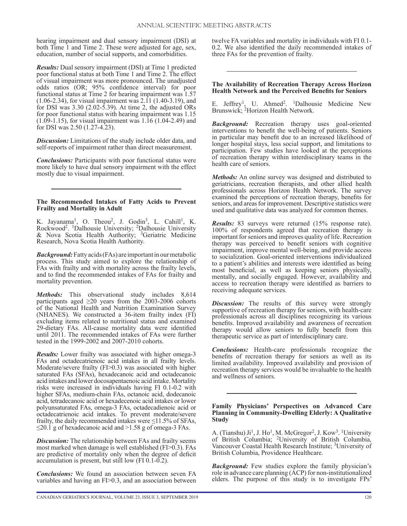hearing impairment and dual sensory impairment (DSI) at both Time 1 and Time 2. These were adjusted for age, sex, education, number of social supports, and comorbidities.

*Results:* Dual sensory impairment (DSI) at Time 1 predicted poor functional status at both Time 1 and Time 2. The effect of visual impairment was more pronounced. The unadjusted odds ratios (OR; 95% confidence interval) for poor functional status at Time 2 for hearing impairment was 1.57 (1.06-2.34), for visual impairment was 2.11 (1.40-3.19), and for DSI was  $3.30$  (2.02-5.39). At time 2, the adjusted ORs for poor functional status with hearing impairment was 1.15 (1.09-1.15), for visual impairment was 1.16 (1.04-2.49) and for DSI was 2.50 (1.27-4.23).

*Discussion:* Limitations of the study include older data, and self-reports of impairment rather than direct measurement.

*Conclusions:* Participants with poor functional status were more likely to have dual sensory impairment with the effect mostly due to visual impairment.

## **The Recommended Intakes of Fatty Acids to Prevent Frailty and Mortality in Adult**

K. Jayanama<sup>1</sup>, O. Theou<sup>2</sup>, J. Godin<sup>3</sup>, L. Cahill<sup>1</sup>, K. Rockwood2. 1Dalhousie University; 2Dalhousie University & Nova Scotia Health Authority; 3Geriatric Medicine Research, Nova Scotia Health Authority.

*Background:* Fatty acids (FAs) are important in our metabolic process. This study aimed to explore the relationship of FAs with frailty and with mortality across the frailty levels, and to find the recommended intakes of FAs for frailty and mortality prevention.

*Methods:* This observational study includes 8,614 participants aged ≥20 years from the 2003-2006 cohorts of the National Health and Nutrition Examination Survey (NHANES). We constructed a 36-item frailty index (FI) excluding items related to nutritional status and examined 29-dietary FAs. All-cause mortality data were identified until 2011. The recommended intakes of FAs were further tested in the 1999-2002 and 2007-2010 cohorts.

*Results:* Lower frailty was associated with higher omega-3 FAs and octadecatrienoic acid intakes in all frailty levels. Moderate/severe frailty (FI>0.3) was associated with higher saturated FAs (SFAs), hexadecanoic acid and octadecanoic acid intakes and lower docosapentaenoic acid intake. Mortality risks were increased in individuals having FI 0.1-0.2 with higher SFAs, medium-chain FAs, octanoic acid, dodecanoic acid, tetradecanoic acid or hexadecenoic acid intakes or lower polyunsaturated FAs, omega-3 FAs, octadecadienoic acid or octadecatrienoic acid intakes. To prevent moderate/severe frailty, the daily recommended intakes were  $\leq$ 11.5% of SFAs,  $\leq$ 20.1 g of hexadecanoic acid and >1.58 g of omega-3 FAs.

*Discussion:* The relationship between FAs and frailty seems most marked when damage is well established (FI>0.3). FAs are predictive of mortality only when the degree of deficit accumulation is present, but still low (FI 0.1-0.2).

*Conclusions:* We found an association between seven FA variables and having an FI>0.3, and an association between

twelve FA variables and mortality in individuals with FI 0.1- 0.2. We also identified the daily recommended intakes of three FAs for the prevention of frailty.

## **The Availability of Recreation Therapy Across Horizon Health Network and the Perceived Benefits for Seniors**

E. Jeffrey<sup>1</sup>, U. Ahmed<sup>2</sup>. <sup>1</sup>Dalhousie Medicine New Brunswick; <sup>2</sup>Horizon Health Network.

*Background:* Recreation therapy uses goal-oriented interventions to benefit the well-being of patients. Seniors in particular may benefit due to an increased likelihood of longer hospital stays, less social support, and limitations to participation. Few studies have looked at the perceptions of recreation therapy within interdisciplinary teams in the health care of seniors.

*Methods:* An online survey was designed and distributed to geriatricians, recreation therapists, and other allied health professionals across Horizon Health Network. The survey examined the perceptions of recreation therapy, benefits for seniors, and areas for improvement. Descriptive statistics were used and qualitative data was analyzed for common themes.

*Results:* 83 surveys were returned (15% response rate). 100% of respondents agreed that recreation therapy is important for seniors and improves quality of life. Recreation therapy was perceived to benefit seniors with cognitive impairment, improve mental well-being, and provide access to socialization. Goal-oriented interventions individualized to a patient's abilities and interests were identified as being most beneficial, as well as keeping seniors physically, mentally, and socially engaged. However, availability and access to recreation therapy were identified as barriers to receiving adequate services.

*Discussion:* The results of this survey were strongly supportive of recreation therapy for seniors, with health-care professionals across all disciplines recognizing its various benefits. Improved availability and awareness of recreation therapy would allow seniors to fully benefit from this therapeutic service as part of interdisciplinary care.

*Conclusions:* Health-care professionals recognize the benefits of recreation therapy for seniors as well as its limited availability. Improved availability and provision of recreation therapy services would be invaluable to the health and wellness of seniors.

#### **Family Physicians' Perspectives on Advanced Care Planning in Community-Dwelling Elderly: A Qualitative Study**

A. (Tianshu)  $Ji^1$ , J. Ho<sup>1</sup>, M. McGregor<sup>2</sup>, J. Kow<sup>3</sup>. <sup>1</sup>University of British Columbia; 2University of British Columbia, Vancouver Coastal Health Research Institute; 3University of British Columbia, Providence Healthcare.

*Background:* Few studies explore the family physician's role in advance care planning (ACP) for non-institutionalized elders. The purpose of this study is to investigate FPs'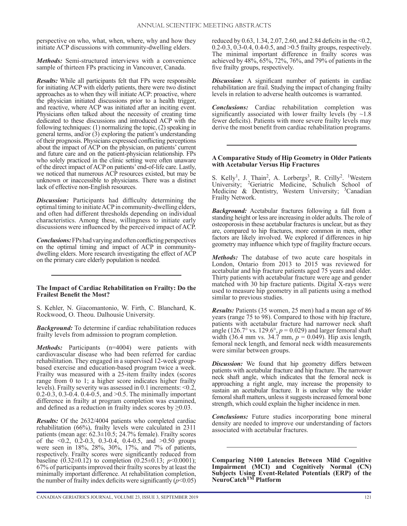perspective on who, what, when, where, why and how they initiate ACP discussions with community-dwelling elders.

*Methods:* Semi-structured interviews with a convenience sample of thirteen FPs practicing in Vancouver, Canada.

*Results:* While all participants felt that FPs were responsible for initiating ACP with elderly patients, there were two distinct approaches as to when they will initiate ACP: proactive, where the physician initiated discussions prior to a health trigger, and reactive, where ACP was initiated after an inciting event. Physicians often talked about the necessity of creating time dedicated to these discussions and introduced ACP with the following techniques: (1) normalizing the topic, (2) speaking in general terms, and/or (3) exploring the patient's understanding of their prognosis. Physicians expressed conflicting perceptions about the impact of ACP on the physician, on patients' current and future care and on the patient-physician relationship. FPs who solely practiced in the clinic setting were often unaware of the direct impact of ACP on patients' end-of-life care. Lastly, we noticed that numerous ACP resources existed, but may be unknown or inaccessible to physicians. There was a distinct lack of effective non-English resources.

*Discussion:* Participants had difficulty determining the optimal timing to initiate ACP in community-dwelling elders, and often had different thresholds depending on individual characteristics. Among these, willingness to initiate early discussions were influenced by the perceived impact of ACP.

*Conclusions:* FPs had varying and often conflicting perspectives on the optimal timing and impact of ACP in communitydwelling elders. More research investigating the effect of ACP on the primary care elderly population is needed.

## **The Impact of Cardiac Rehabilitation on Frailty: Do the Frailest Benefit the Most?**

S. Kehler, N. Giacomantonio, W. Firth, C. Blanchard, K. Rockwood, O. Theou. Dalhousie University.

*Background:* To determine if cardiac rehabilitation reduces frailty levels from admission to program completion.

Methods: Participants (n=4004) were patients with cardiovascular disease who had been referred for cardiac rehabilitation. They engaged in a supervised 12-week groupbased exercise and education-based program twice a week. Frailty was measured with a 25-item frailty index (scores range from 0 to 1; a higher score indicates higher frailty levels). Frailty severity was assessed in 0.1 increments: <0.2, 0.2-0.3, 0.3-0.4. 0.4-0.5, and >0.5. The minimally important difference in frailty at program completion was examined, and defined as a reduction in frailty index scores by  $\geq 0.03$ .

*Results:* Of the 2632/4004 patients who completed cardiac rehabilitation (66%), frailty levels were calculated in 2311 patients (mean age: 62.3±10.5; 24.7% female). Frailty scores of the  $\leq 0.2$ , 0.2-0.3, 0.3-0.4, 0.4-0.5, and  $\geq 0.50$  groups were seen in 18%, 28%, 30%, 17%, and 7% of patients, respectively. Frailty scores were significantly reduced from baseline (0.32 $\pm$ 0.12) to completion (0.25 $\pm$ 0.13; *p*<0.0001); 67% of participants improved their frailty scores by at least the minimally important difference. At rehabilitation completion, the number of frailty index deficits were significantly  $(p<0.05)$ 

reduced by 0.63, 1.34, 2.07, 2.60, and 2.84 deficits in the <0.2, 0.2-0.3, 0.3-0.4, 0.4-0.5, and >0.5 frailty groups, respectively. The minimal important difference in frailty scores was achieved by 48%, 65%, 72%, 76%, and 79% of patients in the five frailty groups, respectively.

*Discussion:* A significant number of patients in cardiac rehabilitation are frail. Studying the impact of changing frailty levels in relation to adverse health outcomes is warranted.

*Conclusions:* Cardiac rehabilitation completion was significantly associated with lower frailty levels (by  $\sim$ 1.8) fewer deficits). Patients with more severe frailty levels may derive the most benefit from cardiac rehabilitation programs.

## **A Comparative Study of Hip Geometry in Older Patients with Acetabular Versus Hip Fractures**

S. Kelly<sup>1</sup>, J. Thain<sup>2</sup>, A. Lorbergs<sup>3</sup>, R. Crilly<sup>2</sup>. <sup>1</sup>Western University; <sup>2</sup>Geriatric Medicine, Schulich School of Medicine & Dentistry, Western University; <sup>3</sup>Canadian Frailty Network.

*Background:* Acetabular fractures following a fall from a standing height or less are increasing in older adults. The role of osteoporosis in these acetabular fractures is unclear, but as they are, compared to hip fractures, more common in men, other factors are likely involved. We explored if differences in hip geometry may influence which type of fragility fracture occurs.

*Methods:* The database of two acute care hospitals in London, Ontario from 2013 to 2015 was reviewed for acetabular and hip fracture patients aged 75 years and older. Thirty patients with acetabular fracture were age and gender matched with 30 hip fracture patients. Digital X-rays were used to measure hip geometry in all patients using a method similar to previous studies.

*Results:* Patients (35 women, 25 men) had a mean age of 86 years (range 75 to 98). Compared to those with hip fracture, patients with acetabular fracture had narrower neck shaft angle (126.7° vs. 129.6°,  $p = 0.029$ ) and larger femoral shaft width (36.4 mm vs. 34.7 mm, *p* = 0.049). Hip axis length, femoral neck length, and femoral neck width measurements were similar between groups.

*Discussion:* We found that hip geometry differs between patients with acetabular fracture and hip fracture. The narrower neck shaft angle, which indicates that the femoral neck is approaching a right angle, may increase the propensity to sustain an acetabular fracture. It is unclear why the wider femoral shaft matters, unless it suggests increased femoral bone strength, which could explain the higher incidence in men.

*Conclusions:* Future studies incorporating bone mineral density are needed to improve our understanding of factors associated with acetabular fractures.

**Comparing N100 Latencies Between Mild Cognitive Impairment (MCI) and Cognitively Normal (CN) Subjects Using Event-Related Potentials (ERP) of the NeuroCatchTM Platform**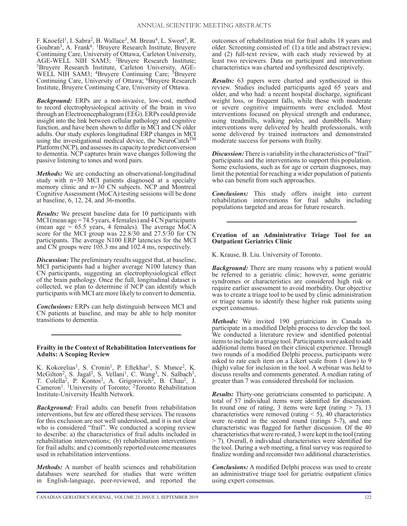F. Knoefel<sup>1</sup>, I. Sabra<sup>2</sup>, B. Wallace<sup>3</sup>, M. Breau<sup>4</sup>, L. Sweet<sup>5</sup>, R. Goubran<sup>3</sup>, A. Frank<sup>6</sup>. <sup>1</sup>Bruyere Research Institute, Bruyere Continuing Care, University of Ottawa, Carleton University, AGE-WELL NIH SAM3; <sup>2</sup>Bruyere Research Institute; <sup>3</sup>Bruyere Research Institute, Carleton University, AGE-WELL NIH SAM3; <sup>4</sup>Bruyere Continuing Care; <sup>5</sup>Bruyere Continuing Care, University of Ottawa; <sup>6</sup>Bruyere Research Institute, Bruyere Continuing Care, University of Ottawa.

*Background:* ERPs are a non-invasive, low-cost, method to record electrophysiological activity of the brain in vivo through an Electroencephalogram (EEG). ERPs could provide insight into the link between cellular pathology and cognitive function, and have been shown to differ in MCI and CN older adults. Our study explores longitudinal ERP changes in MCI using the investigational medical device, the NeuroCatch<sup>TM</sup> Platform (NCP), and assesses its capacity to predict conversion to dementia. NCP captures brain wave changes following the passive listening to tones and word pairs.

*Methods:* We are conducting an observational-longitudinal study with n=30 MCI patients diagnosed at a specialty memory clinic and n=30 CN subjects. NCP and Montreal Cognitive Assessment (MoCA) testing sessions will be done at baseline, 6, 12, 24, and 36-months.

*Results:* We present baseline data for 10 participants with MCI (mean age = 74.5 years, 4 females) and 4 CN participants (mean age  $= 65.5$  years, 4 females). The average MoCA score for the MCI group was 22.8/30 and 27.5/30 for CN participants. The average N100 ERP latencies for the MCI and CN groups were 105.3 ms and 102.4 ms, respectively.

*Discussion:* The preliminary results suggest that, at baseline, MCI participants had a higher average N100 latency than CN participants, suggesting an electrophysiological effect of the brain pathology. Once the full, longitudinal dataset is collected, we plan to determine if NCP can identify which participants with MCI are more likely to convert to dementia.

*Conclusions:* ERPs can help distinguish between MCI and CN patients at baseline, and may be able to help monitor transitions to dementia.

#### **Frailty in the Context of Rehabilitation Interventions for Adults: A Scoping Review**

K. Kokorelias<sup>1</sup>, S. Cronin<sup>1</sup>, P. Eftekhar<sup>1</sup>, S. Munce<sup>2</sup>, K. McGilton<sup>2</sup>, S. Jagal<sup>2</sup>, S. Vellani<sup>1</sup>, C. Wang<sup>1</sup>, N. Salbach<sup>1</sup>, T. Colella<sup>2</sup>, P. Kontos<sup>2</sup>, A. Grigorovich<sup>2</sup>, B. Chau<sup>2</sup>, J. Cameron<sup>1</sup>. <sup>1</sup>University of Toronto; <sup>2</sup>Toronto Rehabilitation Institute-University Health Network.

*Background:* Frail adults can benefit from rehabilitation interventions, but few are offered these services. The reasons for this exclusion are not well understood, and it is not clear who is considered "frail". We conducted a scoping review to describe: a) the characteristics of frail adults included in rehabilitation interventions; (b) rehabilitation interventions for frail adults; and c) commonly reported outcome measures used in rehabilitation interventions.

*Methods:* A number of health sciences and rehabilitation databases were searched for studies that were written in English-language, peer-reviewed, and reported the

outcomes of rehabilitation trial for frail adults 18 years and older. Screening consisted of: (1) a title and abstract review; and (2) full-text review, with each study reviewed by at least two reviewers. Data on participant and intervention characteristics was charted and synthesized descriptively.

*Results:* 63 papers were charted and synthesized in this review. Studies included participants aged 65 years and older, and who had: a recent hospital discharge, significant weight loss, or frequent falls, while those with moderate or severe cognitive impairments were excluded. Most interventions focused on physical strength and endurance, using treadmills, walking poles, and dumbbells. Many interventions were delivered by health professionals, with some delivered by trained instructors and demonstrated moderate success for persons with frailty.

**Discussion:** There is variability in the characteristics of "frail" participants and the interventions to support this population. Some exclusions, such as for age or certain diagnoses, may limit the potential for reaching a wider population of patients who can benefit from such approaches.

*Conclusions:* This study offers insight into current rehabilitation interventions for frail adults including populations targeted and areas for future research.

## **Creation of an Administrative Triage Tool for an Outpatient Geriatrics Clinic**

K. Krause, B. Liu. University of Toronto.

*Background:* There are many reasons why a patient would be referred to a geriatric clinic; however, some geriatric syndromes or characteristics are considered high risk or require earlier assessment to avoid morbidity. Our objective was to create a triage tool to be used by clinic administration or triage teams to identify these higher risk patients using expert consensus.

*Methods:* We invited 190 geriatricians in Canada to participate in a modified Delphi process to develop the tool. We conducted a literature review and identified potential items to include in a triage tool. Participants were asked to add additional items based on their clinical experience. Through two rounds of a modified Delphi process, participants were asked to rate each item on a Likert scale from 1 (low) to 9 (high) value for inclusion in the tool. A webinar was held to discuss results and comments generated. A median rating of greater than 7 was considered threshold for inclusion.

*Results:* Thirty-one geriatricians consented to participate. A total of 57 individual items were identified for discussion. In round one of rating, 3 items were kept (rating  $> 7$ ), 13 characteristics were removed (rating  $\le$  5), 40 characteristics were re-rated in the second round (ratings 5-7), and one characteristic was flagged for further discussion. Of the 40 characteristics that were re-rated, 3 were kept in the tool (rating > 7). Overall, 6 individual characteristics were identified for the tool. During a web meeting, a final survey was required to finalize wording and reconsider two additional characteristics.

*Conclusions:* A modified Delphi process was used to create an administrative triage tool for geriatric outpatient clinics using expert consensus.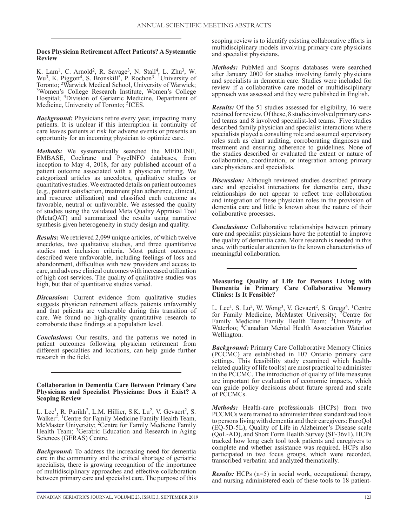## **Does Physician Retirement Affect Patients? A Systematic Review**

K. Lam<sup>1</sup>, C. Arnold<sup>2</sup>, R. Savage<sup>3</sup>, N. Stall<sup>4</sup>, L. Zhu<sup>3</sup>, W. Wu<sup>3</sup>, K. Piggott<sup>4</sup>, S. Bronskill<sup>5</sup>, P. Rochon<sup>3</sup>. <sup>1</sup>University of Toronto; <sup>2</sup>Warwick Medical School, University of Warwick; <sup>3</sup>Women's College Research Institute, Women's College Hospital; 4Division of Geriatric Medicine, Department of Medicine, University of Toronto; <sup>5</sup>ICES.

*Background:* Physicians retire every year, impacting many patients. It is unclear if this interruption in continuity of care leaves patients at risk for adverse events or presents an opportunity for an incoming physician to optimize care.

*Methods:* We systematically searched the MEDLINE, EMBASE, Cochrane and PsycINFO databases, from inception to May 4, 2018, for any published account of a patient outcome associated with a physician retiring. We categorized articles as anecdotes, qualitative studies or quantitative studies. We extracted details on patient outcomes (e.g., patient satisfaction, treatment plan adherence, clinical, and resource utilization) and classified each outcome as favorable, neutral or unfavorable. We assessed the quality of studies using the validated Meta Quality Appraisal Tool (MetaQAT) and summarized the results using narrative synthesis given heterogeneity in study design and quality.

*Results:* We retrieved 2,099 unique articles, of which twelve anecdotes, two qualitative studies, and three quantitative studies met inclusion criteria. Most patient outcomes described were unfavorable, including feelings of loss and abandonment, difficulties with new providers and access to care, and adverse clinical outcomes with increased utilization of high cost services. The quality of qualitative studies was high, but that of quantitative studies varied.

*Discussion:* Current evidence from qualitative studies suggests physician retirement affects patients unfavorably and that patients are vulnerable during this transition of care. We found no high-quality quantitative research to corroborate these findings at a population level.

*Conclusions:* Our results, and the patterns we noted in patient outcomes following physician retirement from different specialties and locations, can help guide further research in the field.

#### **Collaboration in Dementia Care Between Primary Care Physicians and Specialist Physicians: Does it Exist? A Scoping Review**

L. Lee<sup>1</sup>, R. Parikh<sup>2</sup>, L.M. Hillier, S.K. Lu<sup>2</sup>, V. Gevaert<sup>2</sup>, S. Walker<sup>2</sup>. <sup>1</sup>Centre for Family Medicine Family Health Team, McMaster University; <sup>2</sup>Centre for Family Medicine Family Health Team; <sup>3</sup>Geratric Education and Research in Aging Sciences (GERAS) Centre.

*Background:* To address the increasing need for dementia care in the community and the critical shortage of geriatric specialists, there is growing recognition of the importance of multidisciplinary approaches and effective collaboration between primary care and specialist care. The purpose of this scoping review is to identify existing collaborative efforts in multidisciplinary models involving primary care physicians and specialist physicians.

*Methods:* PubMed and Scopus databases were searched after January 2000 for studies involving family physicians and specialists in dementia care. Studies were included for review if a collaborative care model or multidisciplinary approach was assessed and they were published in English.

*Results:* Of the 51 studies assessed for eligibility, 16 were retained for review. Of these, 8 studies involved primary careled teams and 8 involved specialist-led teams. Five studies described family physician and specialist interactions where specialists played a consulting role and assumed supervisory roles such as chart auditing, corroborating diagnoses and treatment and ensuring adherence to guidelines. None of the studies described or evaluated the extent or nature of collaboration, coordination, or integration among primary care physicians and specialists.

*Discussion:* Although reviewed studies described primary care and specialist interactions for dementia care, these relationships do not appear to reflect true collaboration and integration of these physician roles in the provision of dementia care and little is known about the nature of their collaborative processes.

*Conclusions:* Collaborative relationships between primary care and specialist physicians have the potential to improve the quality of dementia care. More research is needed in this area, with particular attention to the known characteristics of meaningful collaboration.

## **Measuring Quality of Life for Persons Living with Dementia in Primary Care Collaborative Memory Clinics: Is It Feasible?**

L. Lee<sup>1</sup>, S. Lu<sup>2</sup>, W. Wong<sup>3</sup>, V. Gevaert<sup>2</sup>, S. Gregg<sup>4</sup>. <sup>1</sup>Centre for Family Medicine, McMaster University; <sup>2</sup>Centre for Family Medicine Family Health Team; <sup>3</sup>University of Waterloo; 4Canadian Mental Health Association Waterloo Wellington.

*Background:* Primary Care Collaborative Memory Clinics (PCCMC) are established in 107 Ontario primary care settings. This feasibility study examined which healthrelated quality of life tool(s) are most practical to administer in the PCCMC. The introduction of quality of life measures are important for evaluation of economic impacts, which can guide policy decisions about future spread and scale of PCCMCs.

*Methods:* Health-care professionals (HCPs) from two PCCMCs were trained to administer three standardized tools to persons living with dementia and their caregivers: EuroQol (EQ-5D-5L), Quality of Life in Alzheimer's Disease scale (QoL-AD), and Short Form Health Survey (SF-36v1). HCPs tracked how long each tool took patients and caregivers to complete and whether assistance was required. HCPs also participated in two focus groups, which were recorded, transcribed verbatim and analyzed thematically.

*Results:* HCPs (n=5) in social work, occupational therapy, and nursing administered each of these tools to 18 patient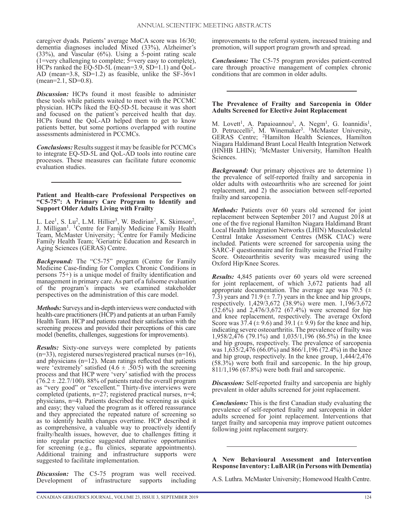caregiver dyads. Patients' average MoCA score was 16/30; dementia diagnoses included Mixed (33%), Alzheimer's  $(33\%)$ , and Vascular  $(6\%)$ . Using a 5-point rating scale (1=very challenging to complete; 5=very easy to complete), HCPs ranked the EQ-5D-5L (mean=3.9, SD=1.1) and QoL-AD (mean=3.8,  $SD=1.2$ ) as feasible, unlike the  $SF-36v1$ (mean=2.1, SD=0.8).

*Discussion:* HCPs found it most feasible to administer these tools while patients waited to meet with the PCCMC physician. HCPs liked the EQ-5D-5L because it was short and focused on the patient's perceived health that day. HCPs found the QoL-AD helped them to get to know patients better, but some portions overlapped with routine assessments administered in PCCMCs.

*Conclusions:* Results suggest it may be feasible for PCCMCs to integrate EQ-5D-5L and QoL-AD tools into routine care processes. These measures can facilitate future economic evaluation studies.

#### **Patient and Health-care Professional Perspectives on "C5-75": A Primary Care Program to Identify and Support Older Adults Living with Frailty**

L. Lee<sup>1</sup>, S. Lu<sup>2</sup>, L.M. Hillier<sup>3</sup>, W. Bedirian<sup>2</sup>, K. Skimson<sup>2</sup>, J. Milligan<sup>1</sup>. <sup>1</sup>Centre for Family Medicine Family Health Team, McMaster University; <sup>2</sup>Centre for Family Medicine Family Health Team; <sup>3</sup>Geriatric Education and Research in Aging Sciences (GERAS) Centre.

*Background:* The "C5-75" program (Centre for Family Medicine Case-finding for Complex Chronic Conditions in persons 75+) is a unique model of frailty identification and management in primary care. As part of a fulsome evaluation of the program's impacts we examined stakeholder perspectives on the administration of this care model.

*Methods:* Surveys and in-depth interviews were conducted with health-care practitioners (HCP) and patients at an urban Family Health Team. HCP and patients rated their satisfaction with the screening process and provided their perceptions of this care model (benefits, challenges, suggestions for improvements).

*Results:* Sixty-one surveys were completed by patients  $(n=33)$ , registered nurses/registered practical nurses  $(n=16)$ , and physicians (n=12). Mean ratings reflected that patients were 'extremely' satisfied  $(4.6 \pm .50/5)$  with the screening process and that HCP were 'very' satisfied with the process  $(76.2 \pm .22.7/100)$ . 88% of patients rated the overall program as "very good" or "excellent." Thirty-five interviews were completed (patients, n=27; registered practical nurses, n=4; physicians, n=4). Patients described the screening as quick and easy; they valued the program as it offered reassurance and they appreciated the repeated nature of screening so as to identify health changes overtime. HCP described it as comprehensive, a valuable way to proactively identify frailty/health issues, however, due to challenges fitting it into regular practice suggested alternative opportunities for screening (e.g., flu clinics, separate appointments). Additional training and infrastructure supports were suggested to facilitate implementation.

*Discussion:* The C5-75 program was well received. Development of infrastructure supports including Development of infrastructure

improvements to the referral system, increased training and promotion, will support program growth and spread.

*Conclusions:* The C5-75 program provides patient-centred care through proactive management of complex chronic conditions that are common in older adults.

## **The Prevalence of Frailty and Sarcopenia in Older Adults Screened for Elective Joint Replacement**

M. Lovett<sup>1</sup>, A. Papaioannou<sup>1</sup>, A. Negm<sup>1</sup>, G. Ioannidis<sup>1</sup>, D. Petruccelli<sup>2</sup>, M. Winemaker<sup>3</sup>. <sup>1</sup>McMaster University, GERAS Centre; 2Hamilton Health Sciences, Hamilton Niagara Haldimand Brant Local Health Integration Network (HNHB LHIN); 3McMaster University, Hamilton Health Sciences.

*Background:* Our primary objectives are to determine 1) the prevalence of self-reported frailty and sarcopenia in older adults with osteoarthritis who are screened for joint replacement, and 2) the association between self-reported frailty and sarcopenia.

*Methods:* Patients over 60 years old screened for joint replacement between September 2017 and August 2018 at one of the five regional Hamilton Niagara Haldimand Brant Local Health Integration Networks (LHIN) Musculoskeletal Central Intake Assessment Centres (MSK CIAC) were included. Patients were screened for sarcopenia using the SARC-F questionnaire and for frailty using the Fried Frailty Score. Osteoarthritis severity was measured using the Oxford Hip/Knee Scores.

*Results:* 4,845 patients over 60 years old were screened for joint replacement, of which 3,672 patients had all appropriate documentation. The average age was 70.5 ( $\pm$ 7.3) years and 71.9 ( $\pm$  7.7) years in the knee and hip groups, respectively. 1,429/3,672 (38.9%) were men. 1,196/3,672 (32.6%) and 2,476/3,672 (67.4%) were screened for hip and knee replacement, respectively. The average Oxford Score was  $37.4 \ (\pm 9.6)$  and  $39.1 \ (\pm 9.9)$  for the knee and hip, indicating severe osteoarthritis. The prevalence of frailty was 1,958/2,476 (79.1%) and 1,035/1,196 (86.5%) in the knee and hip groups, respectively. The prevalence of sarcopenia was  $1,635/2,476$  (66.0%) and 866/1,196 (72.4%) in the knee and hip group, respectively. In the knee group, 1,444/2,476 (58.3%) were both frail and sarcopenic. In the hip group, 811/1,196 (67.8%) were both frail and sarcopenic.

*Discussion:* Self-reported frailty and sarcopenia are highly prevalent in older adults screened for joint replacement.

*Conclusions:* This is the first Canadian study evaluating the prevalence of self-reported frailty and sarcopenia in older adults screened for joint replacement. Interventions that target frailty and sarcopenia may improve patient outcomes following joint replacement surgery.

**A New Behavioural Assessment and Intervention Response Inventory: LuBAIR (in Persons with Dementia)**

A.S. Luthra. McMaster University; Homewood Health Centre.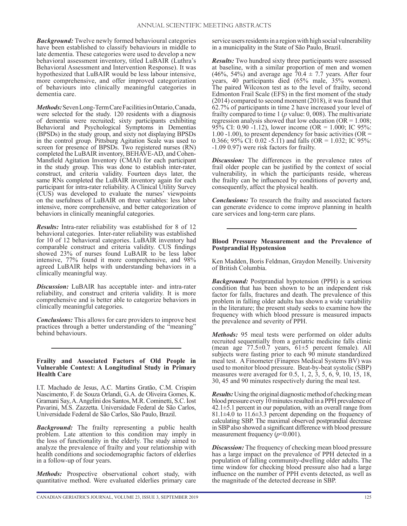*Background:* Twelve newly formed behavioural categories have been established to classify behaviours in middle to late dementia. These categories were used to develop a new behavioral assessment inventory, titled LuBAIR (Luthra's Behavioral Assessment and Intervention Response). It was hypothesized that LuBAIR would be less labour intensive, more comprehensive, and offer improved categorization of behaviours into clinically meaningful categories in dementia care.

*Methods:* Seven Long-Term Care Facilities in Ontario, Canada, were selected for the study. 120 residents with a diagnosis of dementia were recruited; sixty participants exhibiting Behavioral and Psychological Symptoms in Dementias (BPSDs) in the study group, and sixty not displaying BPSDs in the control group. Pittsburg Agitation Scale was used to screen for presence of BPSDs. Two registered nurses (RN) completed the LuBAIR inventory, BEHAVE-AD, and Cohen-Mansfield Agitation Inventory (CMAI) for each participant in the study group. This was done to establish inter-rater, construct, and criteria validity. Fourteen days later, the same RNs completed the LuBAIR inventory again for each participant for intra-rater reliability. A Clinical Utility Survey (CUS) was developed to evaluate the nurses' viewpoints on the usefulness of LuBAIR on three variables: less labor intensive, more comprehensive, and better categorization of behaviors in clinically meaningful categories.

*Results:* Intra-rater reliability was established for 8 of 12 behavioral categories. Inter-rater reliability was established for 10 of 12 behavioral categories. LuBAIR inventory had comparable construct and criteria validity. CUS findings showed 23% of nurses found LuBAIR to be less labor intensive, 77% found it more comprehensive, and 98% agreed LuBAIR helps with understanding behaviors in a clinically meaningful way.

*Discussion:* LuBAIR has acceptable inter- and intra-rater reliability, and construct and criteria validity. It is more comprehensive and is better able to categorize behaviors in clinically meaningful categories.

*Conclusions:* This allows for care providers to improve best practices through a better understanding of the "meaning" behind behaviours.

#### **Frailty and Associated Factors of Old People in Vulnerable Context: A Longitudinal Study in Primary Health Care**

I.T. Machado de Jesus, A.C. Martins Gratão, C.M. Crispim Nascimento, F. de Souza Orlandi, G.A. de Oliveira Gomes, K. Gramani Say, A. Angelini dos Santos, M.R. Cominetti, S.C. Iost Pavarini, M.S. Zazzetta. Universidade Federal de São Carlos, Universidade Federal de São Carlos, São Paulo, Brazil.

*Background:* The frailty representing a public health problem. Late attention to this condition may imply in the loss of functionality in the elderly. The study aimed to analyze the prevalence of frailty and your relationship with health conditions and sociodemographic factors of elderlies in a follow-up of four years.

*Methods:* Prospective observational cohort study, with quantitative method. Were evaluated elderlies primary care *Results:* Two hundred sixty three participants were assessed at baseline, with a similar proportion of men and women (46%, 54%) and average age  $70.4 \pm 7.7$  years. After four years, 40 participants died (65% male, 35% women). The paired Wilcoxon test as to the level of frailty, second Edmonton Frail Scale (EFS) in the first moment of the study (2014) compared to second moment (2018), it was found that 62.7% of participants in time 2 have increased your level of frailty compared to time 1 (*p* value: 0, 008). The multivariate regression analysis showed that low education ( $OR = 1.008$ ; 95% CI: 0.90 -1.12), lower income (OR = 1.000; IC 95%: 1.00 -1.00), to present dependency for basic activities ( $OR =$ 0.366; 95% CI: 0.02 -5.11) and falls (OR = 1.032; IC 95%: -1.09 0.97) were risk factors for frailty.

*Discussion:* The differences in the prevalence rates of frail older people can be justified by the context of social vulnerability, in which the participants reside, whereas the frailty can be influenced by conditions of poverty and, consequently, affect the physical health.

*Conclusions:* To research the frailty and associated factors can generate evidence to come improve planning in health care services and long-term care plans.

## **Blood Pressure Measurement and the Prevalence of Postprandial Hypotension**

Ken Madden, Boris Feldman, Graydon Meneilly. University of British Columbia.

*Background:* Postprandial hypotension (PPH) is a serious condition that has been shown to be an independent risk factor for falls, fractures and death. The prevalence of this problem in falling older adults has shown a wide variability in the literature; the present study seeks to examine how the frequency with which blood pressure is measured impacts the prevalence and severity of PPH.

*Methods:* 95 meal tests were performed on older adults recruited sequentially from a geriatric medicine falls clinic (mean age 77.5±0.7 years, 61±5 percent female). All subjects were fasting prior to each 90 minute standardized meal test. A Finometer (Finapres Medical Systems BV) was used to monitor blood pressure. Beat-by-beat systolic (SBP) measures were averaged for 0.5, 1, 2, 3, 5, 6, 9, 10, 15, 18, 30, 45 and 90 minutes respectively during the meal test.

*Results:* Using the original diagnostic method of checking mean blood pressure every 10 minutes resulted in a PPH prevalence of 42.1±5.1 percent in our population, with an overall range from 81.1±4.0 to 11.6±3.3 percent depending on the frequency of calculating SBP. The maximal observed postprandial decrease in SBP also showed a significant difference with blood pressure measurement frequency (*p*<0.001).

*Discussion:* The frequency of checking mean blood pressure has a large impact on the prevalence of PPH detected in a population of falling community-dwelling older adults. The time window for checking blood pressure also had a large influence on the number of PPH events detected, as well as the magnitude of the detected decrease in SBP.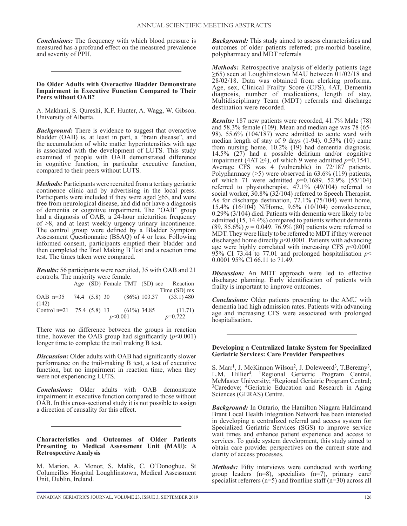*Conclusions:* The frequency with which blood pressure is measured has a profound effect on the measured prevalence and severity of PPH.

#### **Do Older Adults with Overactive Bladder Demonstrate Impairment in Executive Function Compared to Their Peers without OAB?**

A. Makhani, S. Qureshi, K.F. Hunter, A. Wagg, W. Gibson. University of Alberta.

*Background:* There is evidence to suggest that overactive bladder (OAB) is, at least in part, a "brain disease", and the accumulation of white matter hyperintensities with age is associated with the development of LUTS. This study examined if people with OAB demonstrated difference in cognitive function, in particular executive function, compared to their peers without LUTS.

*Methods:* Participants were recruited from a tertiary geriatric continence clinic and by advertising in the local press. Participants were included if they were aged  $\geq 65$ , and were free from neurological disease, and did not have a diagnosis of dementia or cognitive impairment. The "OAB" group had a diagnosis of OAB, a 24-hour micturition frequency of >8, and at least weekly urgency urinary incontinence. The control group were defined by a Bladder Symptom Assessment Questionnaire (BSAQ) of 4 or less. Following informed consent, participants emptied their bladder and then completed the Trail Making B Test and a reaction time test. The times taken were compared.

*Results:* 56 participants were recruited, 35 with OAB and 21 controls. The majority were female.

|                                             |  |         |  |  | Age (SD) Female TMT (SD) sec Reaction |
|---------------------------------------------|--|---------|--|--|---------------------------------------|
|                                             |  |         |  |  | Time (SD) ms                          |
| OAB $n=35$ 74.4 (5.8) 30                    |  |         |  |  | $(86\%)$ 103.37 $(33.1)$ 480          |
| (142)                                       |  |         |  |  |                                       |
| Control n=21 75.4 $(5.8)$ 13 $(61\%)$ 34.85 |  |         |  |  | (11.71)                               |
|                                             |  | p<0.001 |  |  | $p=0.722$                             |

There was no difference between the groups in reaction time, however the OAB group had significantly  $(p<0.001)$ longer time to complete the trail making B test.

*Discussion:* Older adults with OAB had significantly slower performance on the trail-making B test, a test of executive function, but no impairment in reaction time, when they were not experiencing LUTS.

*Conclusions:* Older adults with OAB demonstrate impairment in executive function compared to those without OAB. In this cross-sectional study it is not possible to assign a direction of causality for this effect.

**Characteristics and Outcomes of Older Patients Presenting to Medical Assessment Unit (MAU): A Retrospective Analysis**

M. Marion, A. Monor, S. Malik, C. O'Donoghue. St Columcilles Hospital Loughlinstown, Medical Assessment Unit, Dublin, Ireland.

*Background:* This study aimed to assess characteristics and outcomes of older patients referred; pre-morbid baseline, polypharmacy and MDT referrals

*Methods:* Retrospective analysis of elderly patients (age  $\geq$ 65) seen at Loughlinstown MAU between 01/02/18 and 28/02/18. Data was obtained from clerking proforma. Age, sex, Clinical Frailty Score (CFS), 4AT, Dementia diagnosis, number of medications, length of stay, Multidisciplinary Team (MDT) referrals and discharge destination were recorded.

*Results:* 187 new patients were recorded, 41.7% Male (78) and 58.3% female (109). Mean and median age was 78 (65- 98). 55.6% (104/187) were admitted to acute ward with median length of stay of 9 days (1-94). 0.53% (10) came from nursing home. 10.2% (19) had dementia diagnosis. 14.5% (27) had a possible delirium and/or cognitive impairment (4AT  $\geq$ 4), of which 9 were admitted  $p=0.1541$ . Average CFS was 4 (vulnerable) in 72/187 patients. Polypharmacy (>5) were observed in 63.6% (119) patients, of which 71 were admitted *p*=0.1689. 52.9% (55/104) referred to physiotherapist, 47.1% (49/104) referred to social worker, 30.8% (32/104) referred to Speech Therapist. As for discharge destination, 72.1% (75/104) went home, 15.4% (16/104) N/Home, 9.6% (10/104) convalescence, 0.29% (3/104) died. Patients with dementia were likely to be admitted (15, 14.4%) compared to patients without dementia  $(89, 85.6\%) p = 0.049.76.9\% (80)$  patients were referred to MDT. They were likely to be referred to MDT if they were not discharged home directly *p*<0.0001. Patients with advancing age were highly correlated with increasing CFS *p*<0.0001 95% CI 73.44 to 77.01 and prolonged hospitalisation  $p <$ 0.0001 95% CI 66.11 to 71.49.

*Discussion:* An MDT approach were led to effective discharge planning. Early identification of patients with frailty is important to improve outcomes.

*Conclusions:* Older patients presenting to the AMU with dementia had high admission rates. Patients with advancing age and increasing CFS were associated with prolonged hospitalisation.

#### **Developing a Centralized Intake System for Specialized Geriatric Services: Care Provider Perspectives**

S. Marr<sup>1</sup>, J. McKinnon Wilson<sup>2</sup>, J. Doleweerd<sup>3</sup>, T.Berezny<sup>3</sup>, L.M. Hillier<sup>4</sup>. <sup>1</sup>Regional Geriatric Program Central, McMaster University; <sup>2</sup>Regional Geriatric Program Central; <sup>3</sup>Caredove; <sup>4</sup>Geriatric Education and Research in Aging Sciences (GERAS) Centre.

*Background:* In Ontario, the Hamilton Niagara Haldimand Brant Local Health Integration Network has been interested in developing a centralized referral and access system for Specialized Geriatric Services (SGS) to improve service wait times and enhance patient experience and access to services. To guide system development, this study aimed to obtain care provider perspectives on the current state and clarity of access processes.

*Methods:* Fifty interviews were conducted with working group leaders (n=8), specialists (n=7), primary care/ specialist referrers  $(n=5)$  and frontline staff  $(n=30)$  across all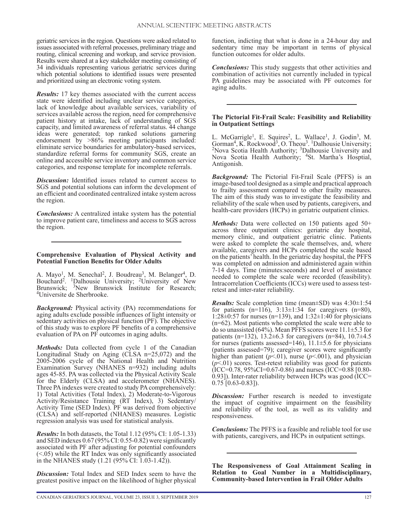geriatric services in the region. Questions were asked related to issues associated with referral processes, preliminary triage and routing, clinical screening and workup, and service provision. Results were shared at a key stakeholder meeting consisting of 34 individuals representing various geriatric services during which potential solutions to identified issues were presented and prioritized using an electronic voting system.

*Results:* 17 key themes associated with the current access state were identified including unclear service categories, lack of knowledge about available services, variability of services available across the region, need for comprehensive patient history at intake, lack of understanding of SGS capacity, and limited awareness of referral status. 44 change ideas were generated; top ranked solutions garnering endorsement by >86% meeting participants included: eliminate service boundaries for ambulatory-based services, standardize referral forms for community SGS, create an online and accessible service inventory and common service categories, and response template for incomplete referrals.

*Discussion:* Identified issues related to current access to SGS and potential solutions can inform the development of an efficient and coordinated centralized intake system across the region.

*Conclusions:* A centralized intake system has the potential to improve patient care, timeliness and access to SGS across the region.

#### **Comprehensive Evaluation of Physical Activity and Potential Function Benefits for Older Adults**

A. Mayo<sup>1</sup>, M. Senechal<sup>2</sup>, J. Boudreau<sup>3</sup>, M. Belanger<sup>4</sup>, D. Bouchard<sup>2</sup>. <sup>1</sup>Dalhousie University; <sup>2</sup>University of New Brunswick; <sup>3</sup>New Brunswick Institute for Research; 4Universite de Sherbrooke.

*Background:* Physical activity (PA) recommendations for aging adults exclude possible influences of light intensity or sedentary activities on physical function (PF). The objective of this study was to explore PF benefits of a comprehensive evaluation of PA on PF outcomes in aging adults.

*Methods:* Data collected from cycle 1 of the Canadian Longitudinal Study on Aging (CLSA n=25,072) and the 2005-2006 cycle of the National Health and Nutrition Examination Survey (NHANES n=932) including adults ages 45-85. PA was collected via the Physical Activity Scale for the Elderly (CLSA) and accelerometer (NHANES). Three PA indexes were created to study PA comprehensively: 1) Total Activities (Total Index), 2) Moderate-to-Vigorous Activity/Resistance Training (RT Index), 3) Sedentary/ Activity Time (SED Index). PF was derived from objective (CLSA) and self-reported (NHANES) measures. Logistic regression analysis was used for statistical analysis.

*Results:* In both datasets, the Total 1.12 (95% CI: 1.05-1.33) and SED indexes 0.67 (95% CI: 0.55-0.82) were significantly associated with PF after adjusting for potential confounders  $(< 0.05$ ) while the RT Index was only significantly associated in the NHANES study (1.21 (95% CI: 1.03-1.42)).

*Discussion:* Total Index and SED Index seem to have the greatest positive impact on the likelihood of higher physical

function, indicting that what is done in a 24-hour day and sedentary time may be important in terms of physical function outcomes for older adults.

*Conclusions:* This study suggests that other activities and combination of activities not currently included in typical PA guidelines may be associated with PF outcomes for aging adults.

#### **The Pictorial Fit-Frail Scale: Feasibility and Reliability in Outpatient Settings**

L. McGarrigle<sup>1</sup>, E. Squires<sup>2</sup>, L. Wallace<sup>1</sup>, J. Godin<sup>3</sup>, M. Gorman<sup>4</sup>, K. Rockwood<sup>3</sup>, O. Theou<sup>3</sup>. <sup>1</sup>Dalhousie University;<br><sup>2</sup>Nova Scotia Health Authority; <sup>3</sup>Dalhousie University and Nova Scotia Health Authority; 4St. Martha's Hosptial, Antigonish.

*Background:* The Pictorial Fit-Frail Scale (PFFS) is an image-based tool designed as a simple and practical approach to frailty assessment compared to other frailty measures. The aim of this study was to investigate the feasibility and reliability of the scale when used by patients, caregivers, and health-care providers (HCPs) in geriatric outpatient clinics.

*Methods:* Data were collected on 150 patients aged 50+ across three outpatient clinics: geriatric day hospital, memory clinic, and outpatient geriatric clinic. Patients were asked to complete the scale themselves, and, where available, caregivers and HCPs completed the scale based on the patients' health. In the geriatric day hospital, the PFFS was completed on admission and administered again within 7-14 days. Time (minutes:seconds) and level of assistance needed to complete the scale were recorded (feasibility). Intracorrelation Coefficients (ICCs) were used to assess testretest and inter-rater reliability.

*Results:* Scale completion time (mean±SD) was 4:30±1:54 for patients  $(n=116)$ ,  $3:13\pm1:34$  for caregivers  $(n=80)$ , 1:28 $\pm$ 0:57 for nurses (n=139), and 1:32 $\pm$ 1:40 for physicians (n=62). Most patients who completed the scale were able to do so unassisted (64%). Mean PFFS scores were  $11.1 \pm 5.3$  for patients (n=132), 13.2 $\pm$ 6.3 for caregivers (n=84), 10.7 $\pm$ 4.5 for nurses (patients assessed=146),  $11.1\pm5.6$  for physicians (patients assessed=79); caregiver scores were significantly higher than patient ( $p$ <.01), nurse ( $p$ <.001), and physician (*p*<.01) scores. Test-retest reliability was good for patients  $(ICC=0.78, 95\%CI=0.67-0.86)$  and nurses  $(ICC=0.88 [0.80-0.86)$ 0.93]). Inter-rater reliability between HCPs was good (ICC=  $0.75$  [0.63-0.83]).

*Discussion:* Further research is needed to investigate the impact of cognitive impairment on the feasibility and reliability of the tool, as well as its validity and responsiveness.

*Conclusions:* The PFFS is a feasible and reliable tool for use with patients, caregivers, and HCPs in outpatient settings.

**The Responsiveness of Goal Attainment Scaling in Relation to Goal Number in a Multidisciplinary, Community-based Intervention in Frail Older Adults**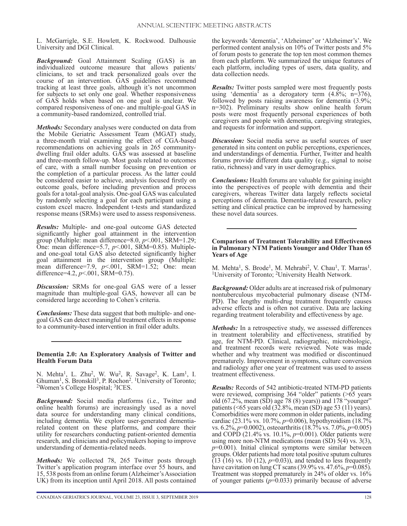L. McGarrigle, S.E. Howlett, K. Rockwood. Dalhousie University and DGI Clinical.

*Background:* Goal Attainment Scaling (GAS) is an individualized outcome measure that allows patients/ clinicians, to set and track personalized goals over the course of an intervention. GAS guidelines recommend tracking at least three goals, although it's not uncommon for subjects to set only one goal. Whether responsiveness of GAS holds when based on one goal is unclear. We compared responsiveness of one- and multiple-goal GAS in a community-based randomized, controlled trial.

*Methods:* Secondary analyses were conducted on data from the Mobile Geriatric Assessment Team (MGAT) study, a three-month trial examining the effect of CGA-based recommendations on achieving goals in 265 communitydwelling frail older adults. GAS was assessed at baseline and three-month follow-up. Most goals related to outcomes of care, with a small number focusing on prevention or the completion of a particular process. As the latter could be considered easier to achieve, analysis focused firstly on outcome goals, before including prevention and process goals for a total-goal analysis. One-goal GAS was calculated by randomly selecting a goal for each participant using a custom excel macro. Independent t-tests and standardized response means (SRMs) were used to assess responsiveness.

*Results:* Multiple- and one-goal outcome GAS detected significantly higher goal attainment in the intervention group (Multiple: mean difference=8.0, *p*<.001, SRM=1.29; One: mean difference=5.7, *p*<.001, SRM=0.85). Multipleand one-goal total GAS also detected significantly higher goal attainment in the intervention group (Multiple: mean difference=7.9,  $p$ <.001, SRM=1.52; One: mean difference=4.2,  $p<.001$ , SRM=0.75).

*Discussion:* SRMs for one-goal GAS were of a lesser magnitude than multiple-goal GAS, however all can be considered large according to Cohen's criteria.

*Conclusions:* These data suggest that both multiple- and onegoal GAS can detect meaningful treatment effects in response to a community-based intervention in frail older adults.

## **Dementia 2.0: An Exploratory Analysis of Twitter and Health Forum Data**

N. Mehta<sup>1</sup>, L. Zhu<sup>2</sup>, W. Wu<sup>2</sup>, R. Savage<sup>2</sup>, K. Lam<sup>1</sup>, I. Ghuman<sup>1</sup>, S. Bronskil<sup>13</sup>, P. Rochon<sup>2</sup>. <sup>1</sup>University of Toronto; <sup>2</sup>Women's College Hospital; <sup>3</sup>ICES.

*Background:* Social media platforms (i.e., Twitter and online health forums) are increasingly used as a novel data source for understanding many clinical conditions, including dementia. We explore user-generated dementiarelated content on these platforms, and compare their utility for researchers conducting patient-oriented dementia research, and clinicians and policymakers hoping to improve understanding of dementia-related needs.

*Methods:* We collected 78, 265 Twitter posts through Twitter's application program interface over 55 hours, and 15, 538 posts from an online forum (Alzheimer's Association UK) from its inception until April 2018. All posts contained

the keywords 'dementia', 'Alzheimer' or 'Alzheimer's'. We performed content analysis on 10% of Twitter posts and 5% of forum posts to generate the top ten most common themes from each platform. We summarized the unique features of each platform, including types of users, data quality, and data collection needs.

*Results:* Twitter posts sampled were most frequently posts using 'dementia' as a derogatory term  $(4.8\%; n=376)$ , followed by posts raising awareness for dementia (3.9%; n=302). Preliminary results show online health forum posts were most frequently personal experiences of both caregivers and people with dementia, caregiving strategies, and requests for information and support.

*Discussion:* Social media serve as useful sources of user generated in situ content on public perceptions, experiences, and understandings of dementia. Further, Twitter and health forums provide different data quality (e.g., signal to noise ratio, richness) and vary in user demographics.

*Conclusions:* Health forums are valuable for gaining insight into the perspectives of people with dementia and their caregivers, whereas Twitter data largely reflects societal perceptions of dementia. Dementia-related research, policy setting and clinical practice can be improved by harnessing these novel data sources.

## **Comparison of Treatment Tolerability and Effectiveness in Pulmonary NTM Patients Younger and Older Than 65 Years of Age**

M. Mehta<sup>1</sup>, S. Brode<sup>1</sup>, M. Mehrabi<sup>2</sup>, V. Chau<sup>1</sup>, T. Marras<sup>1</sup>. <sup>1</sup>University of Toronto; <sup>2</sup>University Health Network.

*Background:* Older adults are at increased risk of pulmonary nontuberculous mycobacterial pulmonary disease (NTM-PD). The lengthy multi-drug treatment frequently causes adverse effects and is often not curative. Data are lacking regarding treatment tolerability and effectiveness by age.

*Methods:* In a retrospective study, we assessed differences in treatment tolerability and effectiveness, stratified by age, for NTM-PD. Clinical, radiographic, microbiologic, and treatment records were reviewed. Note was made whether and why treatment was modified or discontinued prematurely. Improvement in symptoms, culture conversion and radiology after one year of treatment was used to assess treatment effectiveness.

*Results:* Records of 542 antibiotic-treated NTM-PD patients were reviewed, comprising 364 "older" patients (>65 years old (67.2%, mean (SD) age 78 (8) years)) and 178 "younger" patients ( $\leq 65$  years old (32.8%, mean (SD) age 53 (11) years). Comorbidities were more common in older patients, including cardiac (23.1% vs. 10.7%, *p*=0.006), hypothyroidism (18.7% vs. 6.2%, *p*=0.0002), osteoarthritis (18.7% vs. 7.0%, *p*=0.005) and COPD (21.4% vs. 10.1%, *p*=0.001). Older patients were using more non-NTM medications (mean (SD) 5(4) vs. 3(3), *p*=0.001). Initial clinical symptoms were similar between groups. Older patients had more total positive sputum cultures (13 (16) vs. 10 (12), *p*=0.03)), and tended to less frequently have cavitation on lung CT scans (39.9% vs. 47.6%, *p*=0.085). Treatment was stopped prematurely in 24% of older vs. 16% of younger patients (*p*=0.033) primarily because of adverse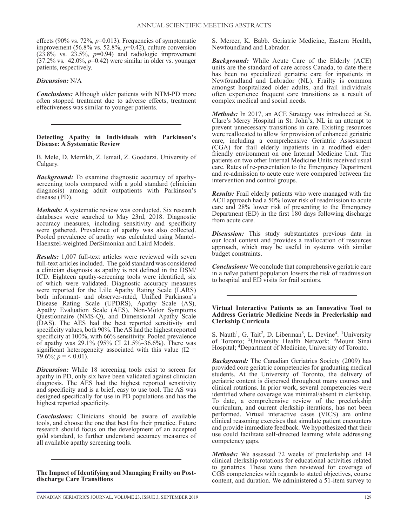effects (90% vs. 72%, *p*=0.013). Frequencies of symptomatic improvement (56.8% vs. 52.8%, *p*=0.42), culture conversion  $(2\overline{3}.\overline{8\%}$  vs.  $2\overline{3}.\overline{5\%}$ ,  $p=0.94$ ) and radiologic improvement (37.2% vs. 42.0%, *p*=0.42) were similar in older vs. younger patients, respectively.

## *Discussion:* N/A

*Conclusions:* Although older patients with NTM-PD more often stopped treatment due to adverse effects, treatment effectiveness was similar to younger patients.

## **Detecting Apathy in Individuals with Parkinson's Disease: A Systematic Review**

B. Mele, D. Merrikh, Z. Ismail, Z. Goodarzi. University of Calgary.

*Background:* To examine diagnostic accuracy of apathyscreening tools compared with a gold standard (clinician diagnosis) among adult outpatients with Parkinson's disease (PD).

*Methods:* A systematic review was conducted. Six research databases were searched to May 23rd, 2018. Diagnostic accuracy measures, including sensitivity and specificity were gathered. Prevalence of apathy was also collected. Pooled prevalence of apathy was calculated using Mantel-Haenszel-weighted DerSimonian and Laird Models.

*Results:* 1,007 full-text articles were reviewed with seven full-text articles included. The gold standard was considered a clinician diagnosis as apathy is not defined in the DSM/ ICD. Eighteen apathy-screening tools were identified, six of which were validated. Diagnostic accuracy measures were reported for the Lille Apathy Rating Scale (LARS) both informant- and observer-rated, Unified Parkinson's Disease Rating Scale (UPDRS), Apathy Scale (AS), Apathy Evaluation Scale (AES), Non-Motor Symptoms Questionnaire (NMS-Q), and Dimensional Apathy Scale (DAS). The AES had the best reported sensitivity and specificity values, both 90%. The AS had the highest reported specificity at 100%, with 66% sensitivity. Pooled prevalence of apathy was 29.1% (95% CI 21.5%–36.6%). There was significant heterogeneity associated with this value  $(12 =$ 79.6%;  $p = 0.01$ .

*Discussion:* While 18 screening tools exist to screen for apathy in PD, only six have been validated against clinician diagnosis. The AES had the highest reported sensitivity and specificity and is a brief, easy to use tool. The AS was designed specifically for use in PD populations and has the highest reported specificity.

*Conclusions:* Clinicians should be aware of available tools, and choose the one that best fits their practice. Future research should focus on the development of an accepted gold standard, to further understand accuracy measures of all available apathy screening tools.

**The Impact of Identifying and Managing Frailty on Postdischarge Care Transitions**

*Background:* While Acute Care of the Elderly (ACE) units are the standard of care across Canada, to date there has been no specialized geriatric care for inpatients in Newfoundland and Labrador (NL). Frailty is common amongst hospitalized older adults, and frail individuals often experience frequent care transitions as a result of complex medical and social needs.

*Methods:* In 2017, an ACE Strategy was introduced at St. Clare's Mercy Hospital in St. John's, NL in an attempt to prevent unnecessary transitions in care. Existing resources were reallocated to allow for provision of enhanced geriatric care, including a comprehensive Geriatric Assessment (CGA) for frail elderly inpatients in a modified elderfriendly environment on one Internal Medicine Unit. The patients on two other Internal Medicine Units received usual care. Rates of re-presentation to the Emergency Department and re-admission to acute care were compared between the intervention and control groups.

*Results:* Frail elderly patients who were managed with the ACE approach had a 50% lower risk of readmission to acute care and 28% lower risk of presenting to the Emergency Department (ED) in the first 180 days following discharge from acute care.

**Discussion:** This study substantiates previous data in our local context and provides a reallocation of resources approach, which may be useful in systems with similar budget constraints.

*Conclusions:* We conclude that comprehensive geriatric care in a naïve patient population lowers the risk of readmission to hospital and ED visits for frail seniors.

#### **Virtual Interactive Patients as an Innovative Tool to Address Geriatric Medicine Needs in Preclerkship and Clerkship Curricula**

S. Nauth<sup>1</sup>, G. Tait<sup>2</sup>, D. Liberman<sup>3</sup>, L. Devine<sup>4</sup>. <sup>1</sup>University of Toronto; 2University Health Network; 3Mount Sinai Hospital; 4Department of Medicine, University of Toronto.

*Background:* The Canadian Geriatrics Society (2009) has provided core geriatric competencies for graduating medical students. At the University of Toronto, the delivery of geriatric content is dispersed throughout many courses and clinical rotations. In prior work, several competencies were identified where coverage was minimal/absent in clerkship. To date, a comprehensive review of the preclerkship curriculum, and current clerkship iterations, has not been performed. Virtual interactive cases (VICS) are online clinical reasoning exercises that simulate patient encounters and provide immediate feedback. We hypothesized that their use could facilitate self-directed learning while addressing competency gaps.

*Methods:* We assessed 72 weeks of preclerkship and 14 clinical clerkship rotations for educational activities related to geriatrics. These were then reviewed for coverage of CGS competencies with regards to stated objectives, course content, and duration. We administered a 51-item survey to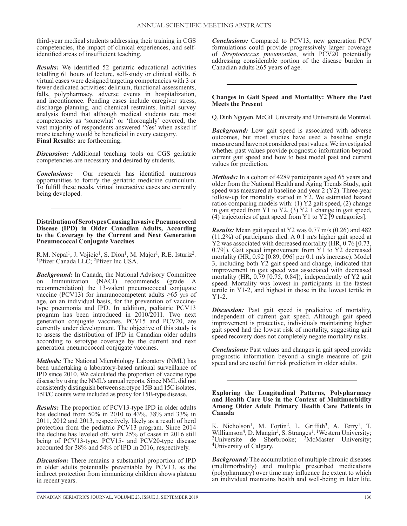third-year medical students addressing their training in CGS competencies, the impact of clinical experiences, and selfidentified areas of insufficient teaching.

*Results:* We identified 52 geriatric educational activities totalling 61 hours of lecture, self-study or clinical skills. 6 virtual cases were designed targeting competencies with 3 or fewer dedicated activities: delirium, functional assessments, falls, polypharmacy, adverse events in hospitalization, and incontinence. Pending cases include caregiver stress, discharge planning, and chemical restraints. Initial survey analysis found that although medical students rate most competencies as 'somewhat' or 'thoroughly' covered, the vast majority of respondents answered 'Yes' when asked if more teaching would be beneficial in every category. **Final Results:** are forthcoming.

*Discussion:* Additional teaching tools on CGS geriatric competencies are necessary and desired by students.

*Conclusions:* Our research has identified numerous opportunities to fortify the geriatric medicine curriculum. To fulfill these needs, virtual interactive cases are currently being developed.

**Distribution of Serotypes Causing Invasive Pneumococcal Disease (IPD) in Older Canadian Adults, According to the Coverage by the Current and Next Generation Pneumococcal Conjugate Vaccines**

R.M. Nepal<sup>1</sup>, J. Vojicic<sup>1</sup>, S. Dion<sup>1</sup>, M. Major<sup>1</sup>, R.E. Isturiz<sup>2</sup>. <sup>1</sup>Pfizer Canada LLC; <sup>2</sup>Pfizer Inc USA.

*Background:* In Canada, the National Advisory Committee on Immunization (NACI) recommends (grade A recommendation) the 13-valent pneumococcal conjugate vaccine (PCV13) for immunocompetent adults  $\geq 65$  yrs of age, on an individual basis, for the prevention of vaccinetype pneumonia and IPD. In addition, pediatric PCV13 program has been introduced in 2010/2011. Two next generation conjugate vaccines, PCV15 and PCV20, are currently under development. The objective of this study is to assess the distribution of IPD in Canadian older adults according to serotype coverage by the current and next generation pneumococcal conjugate vaccines.

*Methods:* The National Microbiology Laboratory (NML) has been undertaking a laboratory-based national surveillance of IPD since 2010. We calculated the proportion of vaccine type disease by using the NML's annual reports. Since NML did not consistently distinguish between serotype 15B and 15C isolates, 15B/C counts were included as proxy for 15B-type disease.

*Results:* The proportion of PCV13-type IPD in older adults has declined from 50% in 2010 to 43%, 38% and 33% in 2011, 2012 and 2013, respectively, likely as a result of herd protection from the pediatric PCV13 program. Since 2014 the decline has leveled off, with 25% of cases in 2016 still being of PCV13-type. PCV15- and PCV20-type disease accounted for 38% and 54% of IPD in 2016, respectively.

*Discussion:* There remains a substantial proportion of IPD in older adults potentially preventable by PCV13, as the indirect protection from immunizing children shows plateau in recent years.

*Conclusions:* Compared to PCV13, new generation PCV formulations could provide progressively larger coverage of *Streptococcus pneumoniae*, with PCV20 potentially addressing considerable portion of the disease burden in Canadian adults  $\geq 65$  years of age.

## **Changes in Gait Speed and Mortality: Where the Past Meets the Present**

Q. Dinh Nguyen. McGill University and Université de Montréal.

*Background:* Low gait speed is associated with adverse outcomes, but most studies have used a baseline single measure and have not considered past values. We investigated whether past values provide prognostic information beyond current gait speed and how to best model past and current values for prediction.

*Methods:* In a cohort of 4289 participants aged 65 years and older from the National Health and Aging Trends Study, gait speed was measured at baseline and year 2 (Y2). Three-year follow-up for mortality started in Y2. We estimated hazard ratios comparing models with: (1) Y2 gait speed, (2) change in gait speed from Y1 to Y2, (3)  $Y2 + change$  in gait speed, (4) trajectories of gait speed from Y1 to Y2 [9 categories].

*Results:* Mean gait speed at Y2 was 0.77 m/s (0.26) and 482 (11.2%) of participants died. A 0.1 m/s higher gait speed at Y2 was associated with decreased mortality (HR, 0.76 [0.73, 0.79]). Gait speed improvement from Y1 to Y2 decreased mortality (HR, 0.92 [0.89, 096] per 0.1 m/s increase). Model 3, including both Y2 gait speed and change, indicated that improvement in gait speed was associated with decreased mortality (HR, 0.79 [0.75, 0.84]), independently of Y2 gait speed. Mortality was lowest in participants in the fastest tertile in Y1-2, and highest in those in the lowest tertile in Y1-2.

*Discussion:* Past gait speed is predictive of mortality, independent of current gait speed. Although gait speed improvement is protective, individuals maintaining higher gait speed had the lowest risk of mortality, suggesting gait speed recovery does not completely negate mortality risks.

*Conclusions:* Past values and changes in gait speed provide prognostic information beyond a single measure of gait speed and are useful for risk prediction in older adults.

**Exploring the Longitudinal Patterns, Polypharmacy and Health Care Use in the Context of Multimorbidity Among Older Adult Primary Health Care Patients in Canada**

K. Nicholson<sup>1</sup>, M. Fortin<sup>2</sup>, L. Griffith<sup>3</sup>, A. Terry<sup>1</sup>, T. Williamson<sup>4</sup>, D. Mangin<sup>3</sup>, S. Stranges<sup>1</sup>. <sup>1</sup>Western University;  $2$ Universite de Sherbrooke;  $3$ McMaster University; 4University of Calgary.

*Background:* The accumulation of multiple chronic diseases (multimorbidity) and multiple prescribed medications (polypharmacy) over time may influence the extent to which an individual maintains health and well-being in later life.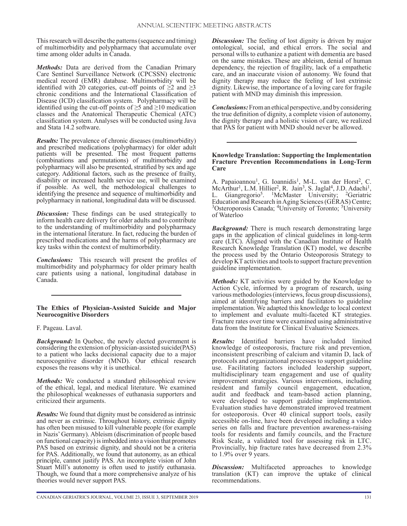This research will describe the patterns (sequence and timing) of multimorbidity and polypharmacy that accumulate over time among older adults in Canada.

*Methods:* Data are derived from the Canadian Primary Care Sentinel Surveillance Network (CPCSSN) electronic medical record (EMR) database. Multimorbidity will be identified with 20 categories, cut-off points of  $\geq 2$  and  $\geq 3$ chronic conditions and the International Classification of Disease (ICD) classification system. Polypharmacy will be identified using the cut-off points of  $\geq$ 5 and  $\geq$ 10 medication classes and the Anatomical Therapeutic Chemical (ATC) classification system. Analyses will be conducted using Java and Stata 14.2 software.

*Results:* The prevalence of chronic diseases (multimorbidity) and prescribed medications (polypharmacy) for older adult patients will be presented. The most frequent patterns (combinations and permutations) of multimorbidity and polypharmacy will also be presented, stratified by sex and age category. Additional factors, such as the presence of frailty, disability or increased health service use, will be examined if possible. As well, the methodological challenges to identifying the presence and sequence of multimorbidity and polypharmacy in national, longitudinal data will be discussed.

*Discussion:* These findings can be used strategically to inform health care delivery for older adults and to contribute to the understanding of multimorbidity and polypharmacy in the international literature. In fact, reducing the burden of prescribed medications and the harms of polypharmacy are key tasks within the context of multimorbidity.

*Conclusions:* This research will present the profiles of multimorbidity and polypharmacy for older primary health care patients using a national, longitudinal database in Canada.

## **The Ethics of Physician-Assisted Suicide and Major Neurocognitive Disorders**

F. Pageau. Laval.

*Background:* In Quebec, the newly elected government is considering the extension of physician-assisted suicide(PAS) to a patient who lacks decisional capacity due to a major neurocognitive disorder (MND). Our ethical research exposes the reasons why it is unethical.

*Methods:* We conducted a standard philosophical review of the ethical, legal, and medical literature. We examined the philosophical weaknesses of euthanasia supporters and criticized their arguments.

*Results:* We found that dignity must be considered as intrinsic and never as extrinsic. Throughout history, extrinsic dignity has often been misused to kill vulnerable people (for example in Nazis' Germany). Ableism (discrimination of people based on functional capacity) is imbedded into a vision that promotes PAS based on extrinsic dignity, and should not be a criteria for PAS. Additionally, we found that autonomy, as an ethical principle, cannot justify PAS. An incomplete vision of John Stuart Mill's autonomy is often used to justify euthanasia. Though, we found that a more comprehensive analyze of his theories would never support PAS.

*Discussion:* The feeling of lost dignity is driven by major ontological, social, and ethical errors. The social and personal wills to euthanize a patient with dementia are based on the same mistakes. These are ableism, denial of human dependency, the rejection of fragility, lack of a empathetic care, and an inaccurate vision of autonomy. We found that dignity therapy may reduce the feeling of lost extrinsic dignity. Likewise, the importance of a loving care for fragile patient with MND may diminish this impression.

*Conclusions:* From an ethical perspective, and by considering the true definition of dignity, a complete vision of autonomy, the dignity therapy and a holistic vision of care, we realized that PAS for patient with MND should never be allowed.

## **Knowledge Translation: Supporting the Implementation Fracture Prevention Recommendations in Long-Term Care**

A. Papaioannou<sup>1</sup>, G. Ioannidis<sup>1</sup>, M-L. van der Horst<sup>2</sup>, C. McArthur<sup>1</sup>, L.M. Hillier<sup>2</sup>, R. Jain<sup>3</sup>, S. Jaglal<sup>4</sup>, J.D. Adachi<sup>1</sup>, L. Giangregorio<sup>5</sup>. <sup>1</sup>McMaster University; <sup>2</sup>Geriatric Education and Research in Aging Sciences (GERAS) Centre; <sup>3</sup>Osteroporosis Canada; <sup>4</sup>University of Toronto; <sup>5</sup>University of Waterloo

*Background:* There is much research demonstrating large gaps in the application of clinical guidelines in long-term care (LTC). Aligned with the Canadian Institute of Health Research Knowledge Translation (KT) model, we describe the process used by the Ontario Osteoporosis Strategy to develop KT activities and tools to support fracture prevention guideline implementation.

*Methods:* KT activities were guided by the Knowledge to Action Cycle, informed by a program of research, using various methodologies (interviews, focus group discussions), aimed at identifying barriers and facilitators to guideline implementation. We adapted this knowledge to local context to implement and evaluate multi-faceted KT strategies. Fracture rates over time were examined using administrative data from the Institute for Clinical Evaluative Sciences.

*Results:* Identified barriers have included limited knowledge of osteoporosis, fracture risk and prevention, inconsistent prescribing of calcium and vitamin D, lack of protocols and organizational processes to support guideline use. Facilitating factors included leadership support, multidisciplinary team engagement and use of quality improvement strategies. Various interventions, including resident and family council engagement, education, audit and feedback and team-based action planning, were developed to support guideline implementation. Evaluation studies have demonstrated improved treatment for osteoporosis. Over 40 clinical support tools, easily accessible on-line, have been developed including a video series on falls and fracture prevention awareness-raising tools for residents and family councils, and the Fracture Risk Scale, a validated tool for assessing risk in LTC. Provincially, hip fracture rates have decreased from 2.3% to 1.9% over 9 years.

*Discussion:* Multifaceted approaches to knowledge translation (KT) can improve the uptake of clinical recommendations.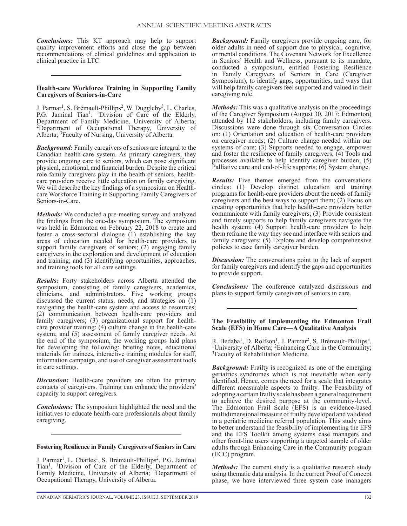*Conclusions:* This KT approach may help to support quality improvement efforts and close the gap between recommendations of clinical guidelines and application to clinical practice in LTC.

## **Health-care Workforce Training in Supporting Family Caregivers of Seniors-in-Care**

J. Parmar<sup>1</sup>, S. Brémault-Phillips<sup>2</sup>, W. Duggleby<sup>3</sup>, L. Charles, P.G. Jaminal Tian<sup>1</sup>. <sup>1</sup>Division of Care of the Elderly, Department of Family Medicine, University of Alberta; 2Department of Occupational Therapy, University of Alberta; 3Faculty of Nursing, University of Alberta.

*Background:* Family caregivers of seniors are integral to the Canadian health-care system. As primary caregivers, they provide ongoing care to seniors, which can pose significant physical, emotional, and financial burden. Despite the critical role family caregivers play in the health of seniors, healthcare providers receive little education on family caregiving. We will describe the key findings of a symposium on Healthcare Workforce Training in Supporting Family Caregivers of Seniors-in-Care.

*Methods:* We conducted a pre-meeting survey and analyzed the findings from the one-day symposium. The symposium was held in Edmonton on February 22, 2018 to create and foster a cross-sectoral dialogue (1) establishing the key areas of education needed for health-care providers to support family caregivers of seniors; (2) engaging family caregivers in the exploration and development of education and training; and (3) identifying opportunities, approaches, and training tools for all care settings.

*Results:* Forty stakeholders across Alberta attended the symposium, consisting of family caregivers, academics, clinicians, and administrators. Five working groups discussed the current status, needs, and strategies on (1) navigating the health-care system and access to resources; (2) communication between health-care providers and family caregivers; (3) organizational support for healthcare provider training; (4) culture change in the health-care system; and (5) assessment of family caregiver needs. At the end of the symposium, the working groups laid plans for developing the following: briefing notes, educational materials for trainees, interactive training modules for staff, information campaign, and use of caregiver assessment tools in care settings.

*Discussion:* Health-care providers are often the primary contacts of caregivers. Training can enhance the providers' capacity to support caregivers.

*Conclusions:* The symposium highlighted the need and the initiatives to educate health-care professionals about family caregiving.

#### **Fostering Resilience in Family Caregivers of Seniors in Care**

J. Parmar<sup>1</sup>, L. Charles<sup>1</sup>, S. Brémault-Phillips<sup>2</sup>, P.G. Jaminal Tian<sup>1</sup>. <sup>1</sup>Division of Care of the Elderly, Department of Family Medicine, University of Alberta; <sup>2</sup>Department of Occupational Therapy, University of Alberta.

*Background:* Family caregivers provide ongoing care, for older adults in need of support due to physical, cognitive, or mental conditions. The Covenant Network for Excellence in Seniors' Health and Wellness, pursuant to its mandate, conducted a symposium, entitled Fostering Resilience in Family Caregivers of Seniors in Care (Caregiver Symposium), to identify gaps, opportunities, and ways that will help family caregivers feel supported and valued in their caregiving role.

*Methods:* This was a qualitative analysis on the proceedings of the Caregiver Symposium (August 30, 2017; Edmonton) attended by 112 stakeholders, including family caregivers. Discussions were done through six Conversation Circles on: (1) Orientation and education of health-care providers on caregiver needs; (2) Culture change needed within our systems of care; (3) Supports needed to engage, empower and foster the resilience of family caregivers; (4) Tools and processes available to help identify caregiver burden; (5) Palliative care and end-of-life supports; (6) System change.

*Results:* Five themes emerged from the conversations circles: (1) Develop distinct education and training programs for health-care providers about the needs of family caregivers and the best ways to support them; (2) Focus on creating opportunities that help health-care providers better communicate with family caregivers; (3) Provide consistent and timely supports to help family caregivers navigate the health system; (4) Support health-care providers to help them reframe the way they see and interface with seniors and family caregivers; (5) Explore and develop comprehensive policies to ease family caregiver burden.

*Discussion:* The conversations point to the lack of support for family caregivers and identify the gaps and opportunities to provide support.

*Conclusions:* The conference catalyzed discussions and plans to support family caregivers of seniors in care.

#### **The Feasibility of Implementing the Edmonton Frail Scale (EFS) in Home Care—A Qualitative Analysis**

R. Bedaba<sup>1</sup>, D. Rolfson<sup>1</sup>, J. Parmar<sup>2</sup>, S. Brémault-Phillips<sup>3</sup>. <sup>1</sup>University of Alberta; <sup>2</sup>Enhancing Care in the Community; <sup>3</sup>Faculty of Rehabilitation Medicine.

*Background:* Frailty is recognized as one of the emerging geriatrics syndromes which is not inevitable when early identified. Hence, comes the need for a scale that integrates different measurable aspects to frailty. The Feasibility of adopting a certain frailty scale has been a general requirement to achieve the desired purpose at the community-level. The Edmonton Frail Scale (EFS) is an evidence-based multidimensional measure of frailty developed and validated in a geriatric medicine referral population. This study aims to better understand the feasibility of implementing the EFS and the EFS Toolkit among systems case managers and other front-line users supporting a targeted sample of older adults through Enhancing Care in the Community program (ECC) program.

*Methods:* The current study is a qualitative research study using thematic data analysis. In the current Proof of Concept phase, we have interviewed three system case managers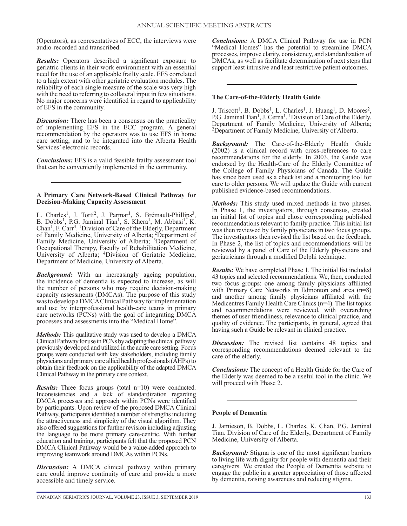(Operators), as representatives of ECC, the interviews were audio-recorded and transcribed.

*Results:* Operators described a significant exposure to geriatric clients in their work environment with an essential need for the use of an applicable frailty scale. EFS correlated to a high extent with other geriatric evaluation modules. The reliability of each single measure of the scale was very high with the need to referring to collateral input in few situations. No major concerns were identified in regard to applicability of EFS in the community.

*Discussion:* There has been a consensus on the practicality of implementing EFS in the ECC program. A general recommendation by the operators was to use EFS in home care setting, and to be integrated into the Alberta Health Services' electronic records.

*Conclusions:* EFS is a valid feasible frailty assessment tool that can be conveniently implemented in the community.

#### **A Primary Care Network-Based Clinical Pathway for Decision-Making Capacity Assessment**

L. Charles<sup>1</sup>, J. Torti<sup>2</sup>, J. Parmar<sup>1</sup>, S. Brémault-Phillips<sup>3</sup>, B. Dobbs<sup>1</sup>, P.G. Jaminal Tian<sup>1</sup>, S. Khera<sup>1</sup>, M. Abbasi<sup>1</sup>, K. Chan1, F. Carr4. 1Division of Care of the Elderly, Department of Family Medicine, University of Alberta; <sup>2</sup>Department of Family Medicine, University of Alberta; 3Department of Occupational Therapy, Faculty of Rehabilitation Medicine, University of Alberta; 4Division of Geriatric Medicine, Department of Medicine, University of Alberta.

*Background:* With an increasingly ageing population, the incidence of dementia is expected to increase, as will the number of persons who may require decision-making capacity assessments (DMCAs). The purpose of this study was to develop a DMCA Clinical Pathway for implementation and use by interprofessional health-care teams in primary care networks (PCNs) with the goal of integrating DMCA processes and assessments into the "Medical Home".

*Methods:* This qualitative study was used to develop a DMCA Clinical Pathway for use in PCNs by adapting the clinical pathway previously developed and utilized in the acute care setting. Focus groups were conducted with key stakeholders, including family physicians and primary care allied health professionals (AHPs) to obtain their feedback on the applicability of the adapted DMCA Clinical Pathway in the primary care context.

*Results:* Three focus groups (total n=10) were conducted. Inconsistencies and a lack of standardization regarding DMCA processes and approach within PCNs were identified by participants. Upon review of the proposed DMCA Clinical Pathway, participants identified a number of strengths including the attractiveness and simplicity of the visual algorithm. They also offered suggestions for further revision including adjusting the language to be more primary care-centric. With further education and training, participants felt that the proposed PCN DMCA Clinical Pathway would be a value-added approach to improving teamwork around DMCAs within PCNs.

*Discussion:* A DMCA clinical pathway within primary care could improve continuity of care and provide a more accessible and timely service.

*Conclusions:* A DMCA Clinical Pathway for use in PCN "Medical Homes" has the potential to streamline DMCA processes, improve clarity, consistency, and standardization of DMCAs, as well as facilitate determination of next steps that support least intrusive and least restrictive patient outcomes.

## **The Care-of-the-Elderly Health Guide**

J. Triscott<sup>1</sup>, B. Dobbs<sup>1</sup>, L. Charles<sup>1</sup>, J. Huang<sup>1</sup>, D. Moores<sup>2</sup>, P.G. Jaminal Tian<sup>1</sup>, J. Cerna<sup>1</sup>. <sup>1</sup>Division of Care of the Elderly, Department of Family Medicine, University of Alberta; 2Department of Family Medicine, University of Alberta.

*Background:* The Care-of-the-Elderly Health Guide (2002) is a clinical record with cross-references to care recommendations for the elderly. In 2003, the Guide was endorsed by the Health-Care of the Elderly Committee of the College of Family Physicians of Canada. The Guide has since been used as a checklist and a monitoring tool for care to older persons. We will update the Guide with current published evidence-based recommendations.

*Methods:* This study used mixed methods in two phases. In Phase 1, the investigators, through consensus, created an initial list of topics and chose corresponding published recommendations relevant to family practice. This initial list was then reviewed by family physicians in two focus groups. The investigators then revised the list based on the feedback. In Phase 2, the list of topics and recommendations will be reviewed by a panel of Care of the Elderly physicians and geriatricians through a modified Delphi technique.

*Results:* We have completed Phase 1. The initial list included 43 topics and selected recommendations. We, then, conducted two focus groups: one among family physicians affiliated with Primary Care Networks in Edmonton and area (n=8) and another among family physicians affiliated with the Medicentres Family Health Care Clinics (n=4). The list topics and recommendations were reviewed, with overarching themes of user-friendliness, relevance to clinical practice, and quality of evidence. The participants, in general, agreed that having such a Guide be relevant in clinical practice.

*Discussion:* The revised list contains 48 topics and corresponding recommendations deemed relevant to the care of the elderly.

*Conclusions:* The concept of a Health Guide for the Care of the Elderly was deemed to be a useful tool in the clinic. We will proceed with Phase 2.

## **People of Dementia**

J. Jamieson, B. Dobbs, L. Charles, K. Chan, P.G. Jaminal Tian. Division of Care of the Elderly, Department of Family Medicine, University of Alberta.

*Background:* Stigma is one of the most significant barriers to living life with dignity for people with dementia and their caregivers. We created the People of Dementia website to engage the public in a greater appreciation of those affected by dementia, raising awareness and reducing stigma.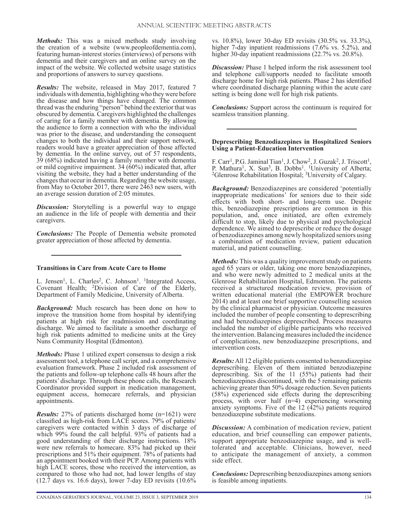*Methods:* This was a mixed methods study involving the creation of a website (www.peopleofdementia.com), featuring human-interest stories (interviews) of persons with dementia and their caregivers and an online survey on the impact of the website. We collected website usage statistics and proportions of answers to survey questions.

*Results:* The website, released in May 2017, featured 7 individuals with dementia, highlighting who they were before the disease and how things have changed. The common thread was the enduring "person" behind the exterior that was obscured by dementia. Caregivers highlighted the challenges of caring for a family member with dementia. By allowing the audience to form a connection with who the individual was prior to the disease, and understanding the consequent changes to both the individual and their support network, readers would have a greater appreciation of those affected by dementia. In the online survey, out of 57 respondents, 39 (68%) indicated having a family member with dementia or mild cognitive impairment. 34 (60%) indicated that, after visiting the website, they had a better understanding of the changes that occur in dementia. Regarding the website usage, from May to October 2017, there were 2463 new users, with an average session duration of 2:05 minutes.

*Discussion:* Storytelling is a powerful way to engage an audience in the life of people with dementia and their caregivers.

*Conclusions:* The People of Dementia website promoted greater appreciation of those affected by dementia.

## **Transitions in Care from Acute Care to Home**

L. Jensen<sup>1</sup>, L. Charles<sup>2</sup>, C. Johnson<sup>1</sup>. <sup>1</sup>Integrated Access, Covenant Health; 2Division of Care of the Elderly, Department of Family Medicine, University of Alberta.

*Background:* Much research has been done on how to improve the transition home from hospital by identifying patients at high risk for readmission and coordinating discharge. We aimed to facilitate a smoother discharge of high risk patients admitted to medicine units at the Grey Nuns Community Hospital (Edmonton).

*Methods:* Phase 1 utilized expert consensus to design a risk assessment tool, a telephone call script, and a comprehensive evaluation framework. Phase 2 included risk assessment of the patients and follow-up telephone calls 48 hours after the patients' discharge. Through these phone calls, the Research Coordinator provided support in medication management, equipment access, homecare referrals, and physician appointments.

*Results:* 27% of patients discharged home (n=1621) were classified as high-risk from LACE scores. 79% of patients/ caregivers were contacted within 3 days of discharge of which 99% found the call helpful. 93% of patients had a good understanding of their discharge instructions. 18% were new referrals to homecare. 83% had picked up their prescriptions and 51% their equipment. 78% of patients had an appointment booked with their PCP. Among patients with high LACE scores, those who received the intervention, as compared to those who had not, had lower lengths of stay (12.7 days vs. 16.6 days), lower 7-day ED revisits (10.6%

vs. 10.8%), lower 30-day ED revisits (30.5% vs. 33.3%), higher 7-day inpatient readmissions (7.6% vs. 5.2%), and higher 30-day inpatient readmissions (22.7% vs. 20.8%).

*Discussion:* Phase 1 helped inform the risk assessment tool and telephone call/supports needed to facilitate smooth discharge home for high risk patients. Phase 2 has identified where coordinated discharge planning within the acute care setting is being done well for high risk patients.

*Conclusions:* Support across the continuum is required for seamless transition planning.

## **Deprescribing Benzodiazepines in Hospitalized Seniors Using a Patient-Education Intervention**

F. Carr<sup>1</sup>, P.G. Jaminal Tian<sup>1</sup>, J. Chow<sup>2</sup>, J. Guzak<sup>2</sup>, J. Triscott<sup>1</sup>, P. Mathura<sup>1</sup>, X. Sun<sup>3</sup>, B. Dobbs<sup>1</sup>. <sup>1</sup>University of Alberta;<br><sup>2</sup>Glenrose Rehabilitation Hospital; <sup>3</sup>University of Calgary.

*Background:* Benzodiazepines are considered 'potentially inappropriate medications' for seniors due to their side effects with both short- and long-term use. Despite this, benzodiazepine prescriptions are common in this population, and, once initiated, are often extremely difficult to stop, likely due to physical and psychological dependence. We aimed to deprescribe or reduce the dosage of benzodiazepines among newly hospitalized seniors using a combination of medication review, patient education material, and patient counselling.

*Methods:* This was a quality improvement study on patients aged 65 years or older, taking one more benzodiazepines, and who were newly admitted to 2 medical units at the Glenrose Rehabilitation Hospital, Edmonton. The patients received a structured medication review, provision of written educational material (the EMPOWER brochure 2014) and at least one brief supportive counselling session by the clinical pharmacist or physician. Outcome measures included the number of people consenting to deprescribing and had benzodiazepines deprescribed. Process measures included the number of eligible participants who received the intervention. Balancing measures included the incidence of complications, new benzodiazepine prescriptions, and intervention costs.

*Results:* All 12 eligible patients consented to benzodiazepine deprescribing. Eleven of them initiated benzodiazepine deprescribing. Six of the 11 (55%) patients had their benzodiazepines discontinued, with the 5 remaining patients achieving greater than 50% dosage reduction. Seven patients (58%) experienced side effects during the deprescribing process, with over half (n=4) experiencing worsening anxiety symptoms. Five of the 12 (42%) patients required benzodiazepine substitute medications.

*Discussion:* A combination of medication review, patient education, and brief counselling can empower patients, support appropriate benzodiazepine usage, and is welltolerated and acceptable. Clinicians, however, need to anticipate the management of anxiety, a common side effect.

*Conclusions:* Deprescribing benzodiazepines among seniors is feasible among inpatients.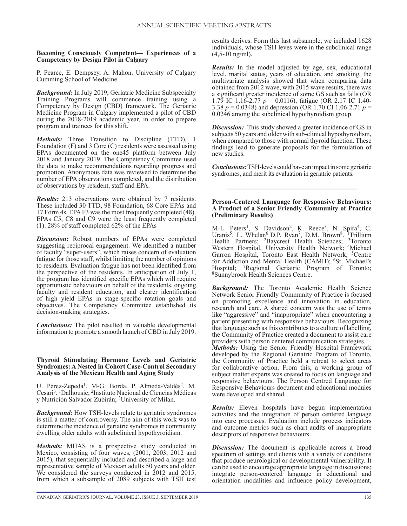**Becoming Consciously Competent— Experiences of a Competency by Design Pilot in Calgary**

P. Pearce, E. Dempsey, A. Mahon. University of Calgary Cumming School of Medicine.

*Background:* In July 2019, Geriatric Medicine Subspecialty Training Programs will commence training using a Competency by Design (CBD) framework. The Geriatric Medicine Program in Calgary implemented a pilot of CBD during the 2018-2019 academic year, in order to prepare program and trainees for this shift.

*Methods:* Three Transition to Discipline (TTD), 1 Foundation (F) and 3 Core (C) residents were assessed using EPAs documented on the one45 platform between July 2018 and January 2019. The Competency Committee used the data to make recommendations regarding progress and promotion. Anonymous data was reviewed to determine the number of EPA observations completed, and the distribution of observations by resident, staff and EPA.

*Results:* 213 observations were obtained by 7 residents. These included 30 TTD, 98 Foundation, 68 Core EPAs and 17 Form 4s. EPA F3 was the most frequently completed (48). EPAs C5, C8 and C9 were the least frequently completed (1). 28% of staff completed 62% of the EPAs

**Discussion:** Robust numbers of EPAs were completed suggesting reciprocal engagement. We identified a number of faculty "super-users", which raises concern of evaluation fatigue for those staff, whilst limiting the number of opinions to residents. Evaluation fatigue has not been identified from the perspective of the residents. In anticipation of July 1, the program has identified specific EPAs which will require opportunistic behaviours on behalf of the residents, ongoing faculty and resident education, and clearer identification of high yield EPAs in stage-specific rotation goals and objectives. The Competency Committee established its decision-making strategies.

*Conclusions:* The pilot resulted in valuable developmental information to promote a smooth launch of CBD in July 2019.

**Thyroid Stimulating Hormone Levels and Geriatric Syndromes: A Nested in Cohort Case-Control Secondary Analysis of the Mexican Health and Aging Study**

U. Pérez-Zepeda<sup>1</sup>, M-G. Borda, P. Almeda-Valdés<sup>2</sup>, M. Cesari3. 1Dalhousie; 2Instituto Nacional de Ciencias Médicas y Nutrición Salvador Zubirán; 3University of Milan.

*Background:* How TSH-levels relate to geriatric syndromes is still a matter of controversy. The aim of this work was to determine the incidence of geriatric syndromes in community dwelling older adults with subclinical hypothyroidism.

*Methods:* MHAS is a prospective study conducted in Mexico, consisting of four waves, (2001, 2003, 2012 and 2015), that sequentially included and described a large and representative sample of Mexican adults 50 years and older. We considered the surveys conducted in 2012 and 2015, from which a subsample of 2089 subjects with TSH test

results derives. Form this last subsample, we included 1628 individuals, whose TSH leves were in the subclinical range (4,5-10 ng/ml).

*Results:* In the model adjusted by age, sex, educational level, marital status, years of education, and smoking, the multivariate analysis showed that when comparing data obtained from 2012 wave, with 2015 wave results, there was a significant greater incidence of some GS such as falls (OR 1.79 IC 1.16-2.77 *p* = 0.0116), fatigue (OR 2.17 IC 1.40- 3.38 *p* = 0.0348) and depression (OR 1.70 CI 1.06-2.71 *p* = 0.0246 among the subclinical hypothyroidism group.

*Discussion:* This study showed a greater incidence of GS in subjects 50 years and older with sub-clinical hypothyroidism, when compared to those with normal thyroid function. These findings lead to generate proposals for the formulation of new studies.

*Conclusions:* TSH-levels could have an impact in some geriatric syndromes, and merit its evaluation in geriatric patients.

## **Person-Centered Language for Responsive Behaviours: A Product of a Senior Friendly Community of Practice (Preliminary Results)**

M-L. Peters<sup>1</sup>, S. Davidson<sup>2</sup>, K. Reece<sup>3</sup>, N. Spira<sup>4</sup>, C. Uranis<sup>5</sup>, L. Whelan<sup>6</sup> D.P. Ryan<sup>7</sup>, D.M. Brown<sup>8</sup>. <sup>1</sup>Trillium Health Partners; <sup>2</sup>Baycrest Health Sciences; <sup>3</sup>Toronto Western Hospital, University Health Network; <sup>4</sup>Michael Garron Hospital, Toronto East Health Network; <sup>5</sup>Centre for Addiction and Mental Health (CAMH); <sup>6</sup>St. Michael's Hospital; 7Regional Geriatric Program of Toronto; 8Sunnybrook Health Sciences Centre.

*Background:* The Toronto Academic Health Science Network Senior Friendly Community of Practice is focused on promoting excellence and innovation in education, research and care. A shared concern was the use of terms like "aggressive" and "inappropriate" when encountering a patient presenting with responsive behaviours. Recognizing that language such as this contributes to a culture of labelling, the Community of Practice created a document to assist care providers with person centered communication strategies.

*Methods:* Using the Senior Friendly Hospital Framework developed by the Regional Geriatric Program of Toronto, the Community of Practice held a retreat to select areas for collaborative action. From this, a working group of subject matter experts was created to focus on language and responsive behaviours. The Person Centred Language for Responsive Behaviours document and educational modules were developed and shared.

*Results:* Eleven hospitals have begun implementation activities and the integration of person centered language into care processes. Evaluation include process indicators and outcome metrics such as chart audits of inappropriate descriptors of responsive behaviours.

*Discussion:* The document is applicable across a broad spectrum of settings and clients with a variety of conditions that produce neurological or developmental vulnerability. It can be used to encourage appropriate language in discussions; integrate person-centered language in educational and orientation modalities and influence policy development,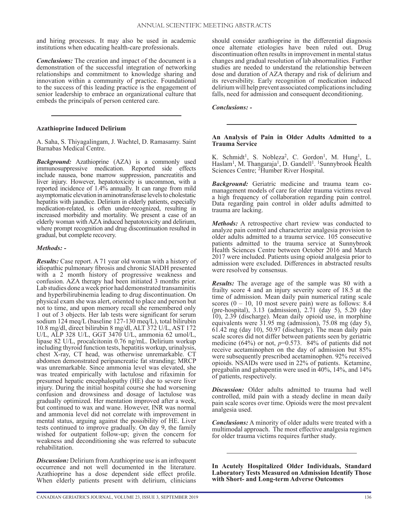and hiring processes. It may also be used in academic institutions when educating health-care professionals.

*Conclusions:* The creation and impact of the document is a demonstration of the successful integration of networking relationships and commitment to knowledge sharing and innovation within a community of practice. Foundational to the success of this leading practice is the engagement of senior leadership to embrace an organizational culture that embeds the principals of person centered care.

## **Azathioprine Induced Delirium**

A. Saha, S. Thiyagalingam, J. Wachtel, D. Ramasamy. Saint Barnabas Medical Centre.

*Background:* Azathioprine (AZA) is a commonly used immunosuppressive medication. Reported side effects include nausea, bone marrow suppression, pancreatitis and liver injury. However, hepatotoxicity is uncommon, with a reported incidence of 1.4% annually. It can range from mild asymptomatic elevation in aminotransferase levels to cholestatic hepatitis with jaundice. Delirium in elderly patients, especially medication-related, is often under-recognized, resulting in increased morbidity and mortality. We present a case of an elderly woman with AZA induced hepatotoxicity and delirium, where prompt recognition and drug discontinuation resulted in gradual, but complete recovery.

#### *Methods: -*

*Results:* Case report. A 71 year old woman with a history of idiopathic pulmonary fibrosis and chronic SIADH presented with a 2 month history of progressive weakness and confusion. AZA therapy had been initiated 3 months prior. Lab studies done a week prior had demonstrated transaminitis and hyperbilirubinemia leading to drug discontinuation. On physical exam she was alert, oriented to place and person but not to time, and upon memory recall she remembered only 1 out of 3 objects. Her lab tests were significant for serum sodium 124 meq/L (baseline 127-130 meq/L), total bilirubin 10.8 mg/dl, direct bilirubin 8 mg/dl, ALT 372 U/L, AST 172 U/L, ALP 328 U/L, GGT 3470 U/L, ammonia 62 umol/L, lipase 82 U/L, procalcitonin 0.76 ng/mL. Delirium workup including thyroid function tests, hepatitis workup, urinalysis, chest X-ray, CT head, was otherwise unremarkable. CT abdomen demonstrated peripancreatic fat stranding; MRCP was unremarkable. Since ammonia level was elevated, she was treated empirically with lactulose and rifaximin for presumed hepatic encephalopathy (HE) due to severe liver injury. During the initial hospital course she had worsening confusion and drowsiness and dosage of lactulose was gradually optimized. Her mentation improved after a week, but continued to wax and wane. However, INR was normal and ammonia level did not correlate with improvement in mental status, arguing against the possibility of HE. Liver tests continued to improve gradually. On day 9, the family wished for outpatient follow-up; given the concern for weakness and deconditioning she was referred to subacute rehabilitation.

*Discussion:* Delirium from Azathioprine use is an infrequent occurrence and not well documented in the literature. Azathioprine has a dose dependent side effect profile. When elderly patients present with delirium, clinicians

should consider azathioprine in the differential diagnosis once alternate etiologies have been ruled out. Drug discontinuation often results in improvement in mental status changes and gradual resolution of lab abnormalities. Further studies are needed to understand the relationship between dose and duration of AZA therapy and risk of delirium and its reversibility. Early recognition of medication induced delirium will help prevent associated complications including falls, need for admission and consequent deconditioning.

#### *Conclusions: -*

#### **An Analysis of Pain in Older Adults Admitted to a Trauma Service**

K. Schmidt<sup>1</sup>, S. Nobleza<sup>2</sup>, C. Gordon<sup>1</sup>, M. Hung<sup>1</sup>, L. Haslam<sup>1</sup>, M. Thangaraja<sup>1</sup>, D. Gandell<sup>1</sup>. <sup>1</sup>Sunnybrook Health Sciences Centre; 2Humber River Hospital.

*Background:* Geriatric medicine and trauma team comanagement models of care for older trauma victims reveal a high frequency of collaboration regarding pain control. Data regarding pain control in older adults admitted to trauma are lacking.

*Methods:* A retrospective chart review was conducted to analyze pain control and characterize analgesia provision to older adults admitted to a trauma service. 105 consecutive patients admitted to the trauma service at Sunnybrook Health Sciences Centre between October 2016 and March 2017 were included. Patients using opioid analgesia prior to admission were excluded. Differences in abstracted results were resolved by consensus.

*Results:* The average age of the sample was 80 with a frailty score 4 and an injury severity score of 18.5 at the time of admission. Mean daily pain numerical rating scale scores  $(0 - 10, 10 \text{ most severe pain})$  were as follows: 8.4 (pre-hospital), 3.13 (admission), 2.71 (day 5), 5.20 (day 10), 2.39 (discharge). Mean daily opioid use, in morphine equivalents were 31.95 mg (admission), 75.08 mg (day 5), 61.42 mg (day 10), 50.97 (discharge). The mean daily pain scale scores did not differ between patients seen by geriatric medicine  $(64\%)$  or not,  $p=0.573$ .  $84\%$  of patients did not receive acetaminophen on the day of admission but 85% were subsequently prescribed acetaminophen. 92% received opioids. NSAIDs were used in 22% of patients. Ketamine, pregabalin and gabapentin were used in 40%, 14%, and 14% of patients, respectively.

*Discussion:* Older adults admitted to trauma had well controlled, mild pain with a steady decline in mean daily pain scale scores over time. Opioids were the most prevalent analgesia used.

*Conclusions:* A minority of older adults were treated with a multimodal approach. The most effective analgesia regimen for older trauma victims requires further study.

**In Acutely Hospitalized Older Individuals, Standard Laboratory Tests Measured on Admission Identify Those with Short- and Long-term Adverse Outcomes**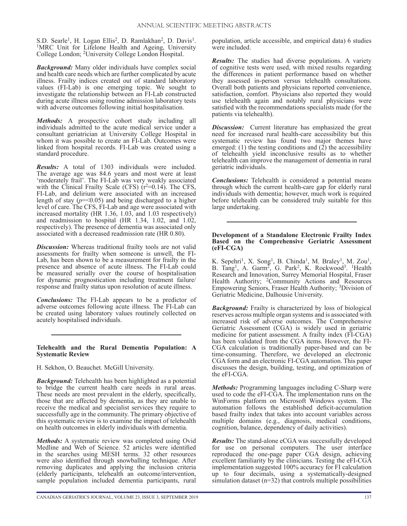S.D. Searle<sup>1</sup>, H. Logan Ellis<sup>2</sup>, D. Ramlakhan<sup>2</sup>, D. Davis<sup>1</sup>. <sup>1</sup>MRC Unit for Lifelone Health and Ageing, University College London; 2University College London Hospital.

*Background:* Many older individuals have complex social and health care needs which are further complicated by acute illness. Frailty indices created out of standard laboratory values (FI-Lab) is one emerging topic. We sought to investigate the relationship between an FI-Lab constructed during acute illness using routine admission laboratory tests with adverse outcomes following initial hospitalisation.

*Methods:* A prospective cohort study including all individuals admitted to the acute medical service under a consultant geriatrician at University College Hospital in whom it was possible to create an FI-Lab. Outcomes were linked from hospital records. FI-Lab was created using a standard procedure.

*Results:* A total of 1303 individuals were included. The average age was 84.6 years and most were at least 'moderately frail'. The FI-Lab was very weakly associated with the Clinical Frailty Scale (CFS)  $(r^2=0.14)$ . The CFS, FI-Lab, and delirium were associated with an increased length of stay (*p*=<0.05) and being discharged to a higher level of care. The CFS, FI-Lab and age were associated with increased mortality (HR 1.36, 1.03, and 1.03 respectively) and readmission to hospital (HR 1.34, 1.02, and 1.02, respectively). The presence of dementia was associated only associated with a decreased readmission rate (HR 0.80).

*Discussion:* Whereas traditional frailty tools are not valid assessments for frailty when someone is unwell, the FI-Lab, has been shown to be a measurement for frailty in the presence and absence of acute illness. The FI-Lab could be measured serially over the course of hospitalisation for dynamic prognostication including treatment failure/ response and frailty status upon resolution of acute illness.

*Conclusions:* The FI-Lab appears to be a predictor of adverse outcomes following acute illness. The FI-Lab can be created using laboratory values routinely collected on acutely hospitalised individuals.

#### **Telehealth and the Rural Dementia Population: A Systematic Review**

## H. Sekhon, O. Beauchet. McGill University.

*Background:* Telehealth has been highlighted as a potential to bridge the current health care needs in rural areas. These needs are most prevalent in the elderly, specifically, those that are affected by dementia, as they are unable to receive the medical and specialist services they require to successfully age in the community. The primary objective of this systematic review is to examine the impact of telehealth on health outcomes in elderly individuals with dementia.

*Methods:* A systematic review was completed using Ovid Medline and Web of Science. 52 articles were identified in the searches using MESH terms. 32 other resources were also identified through snowballing technique. After removing duplicates and applying the inclusion criteria (elderly participants, telehealth an outcome/intervention, sample population included dementia participants, rural

population, article accessible, and empirical data) 6 studies were included.

*Results:* The studies had diverse populations. A variety of cognitive tests were used, with mixed results regarding the differences in patient performance based on whether they assessed in-person versus telehealth consultations. Overall both patients and physicians reported convenience, satisfaction, comfort. Physicians also reported they would use telehealth again and notably rural physicians were satisfied with the recommendations specialists made (for the patients via telehealth).

**Discussion:** Current literature has emphasized the great need for increased rural health-care accessibility but this systematic review has found two major themes have emerged: (1) the testing conditions and  $(2)$  the accessibility of telehealth yield inconclusive results as to whether telehealth can improve the management of dementia in rural geriatric individuals.

*Conclusions:* Telehealth is considered a potential means through which the current health-care gap for elderly rural individuals with dementia; however, much work is required before telehealth can be considered truly suitable for this large undertaking.

#### **Development of a Standalone Electronic Frailty Index Based on the Comprehensive Geriatric Assessment (eFI-CGA)**

K. Sepehri<sup>1</sup>, X. Song<sup>1</sup>, B. Chinda<sup>1</sup>, M. Braley<sup>1</sup>, M. Zou<sup>1</sup>, B. Tang<sup>1</sup>, A. Garm<sup>2</sup>, G. Park<sup>2</sup>, K. Rockwood<sup>3</sup>. <sup>1</sup>Health Research and Innovation, Surrey Memorial Hospital, Fraser Health Authority; <sup>2</sup>Community Actions and Resources Empowering Seniors, Fraser Health Authority; 3Division of Geriatric Medicine, Dalhousie University.

*Background:* Frailty is characterized by loss of biological reserves across multiple organ systems and is associated with increased risk of adverse outcomes. The Comprehensive Geriatric Assessment (CGA) is widely used in geriatric medicine for patient assessment. A frailty index (FI-CGA) has been validated from the CGA items. However, the FI-CGA calculation is traditionally paper-based and can be time-consuming. Therefore, we developed an electronic CGA form and an electronic FI-CGA automation. This paper discusses the design, building, testing, and optimization of the eFI-CGA.

*Methods:* Programming languages including C-Sharp were used to code the eFI-CGA. The implementation runs on the WinForms platform on Microsoft Windows system. The automation follows the established deficit-accumulation based frailty index that takes into account variables across multiple domains (e.g., diagnosis, medical conditions, cognition, balance, dependency of daily activities).

*Results:* The stand-alone eCGA was successfully developed for use on personal computers. The user interface reproduced the one-page paper CGA design, achieving excellent familiarity by the clinicians. Testing the eFI-CGA implementation suggested 100% accuracy for FI calculation up to four decimals, using a systematically-designed simulation dataset  $(n=32)$  that controls multiple possibilities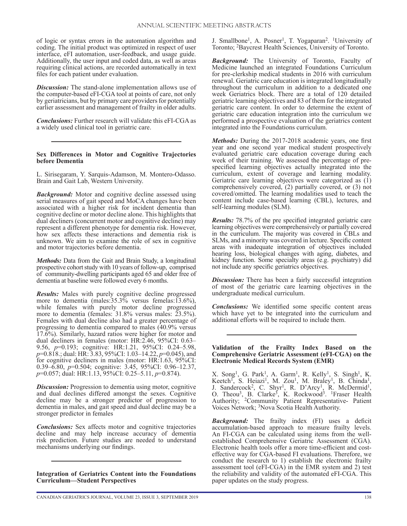of logic or syntax errors in the automation algorithm and coding. The initial product was optimized in respect of user interface, eFI automation, user-feedback, and usage guide. Additionally, the user input and coded data, as well as areas requiring clinical actions, are recorded automatically in text files for each patient under evaluation.

*Discussion:* The stand-alone implementation allows use of the computer-based eFI-CGA tool at points of care, not only by geriatricians, but by primary care providers for potentially earlier assessment and management of frailty in older adults.

*Conclusions:* Further research will validate this eFI-CGA as a widely used clinical tool in geriatric care.

#### **Sex Differences in Motor and Cognitive Trajectories before Dementia**

L. Sirisegaram, Y. Sarquis-Adamson, M. Montero-Odasso. Brain and Gait Lab, Western University.

*Background:* Motor and cognitive decline assessed using serial measures of gait speed and MoCA changes have been associated with a higher risk for incident dementia than cognitive decline or motor decline alone. This highlights that dual decliners (concurrent motor and cognitive decline) may represent a different phenotype for dementia risk. However, how sex affects these interactions and dementia risk is unknown. We aim to examine the role of sex in cognitive and motor trajectories before dementia.

*Methods:* Data from the Gait and Brain Study, a longitudinal prospective cohort study with 10 years of follow-up, comprised of community-dwelling participants aged 65 and older free of dementia at baseline were followed every 6 months.

*Results:* Males with purely cognitive decline progressed more to dementia (males:35.3% versus femelas:13.6%), while females with purely motor decline progressed more to dementia (females: 31.8% versus males: 23.5%). Females with dual decline also had a greater percentage of progressing to dementia compared to males (40.9% versus 17.6%). Similarly, hazard ratios were higher for motor and dual decliners in females (motor: HR:2.46, 95%CI: 0.63– 9.56, *p*=0.193; cognitive: HR:1.21, 95%CI: 0.24–5.98, *p*=0.818.; dual: HR: 3.83, 95%CI: 1.03–14.22, *p*=0.045), and for cognitive decliners in males (motor: HR:1.63, 95%CI: 0.39–6.80, *p*=0.504; cognitive: 3.45, 95%CI: 0.96–12.37, *p*=0.057; dual: HR:1.13, 95%CI: 0.25–5.11, *p*=0.874).

*Discussion:* Progression to dementia using motor, cognitive and dual declines differed amongst the sexes. Cognitive decline may be a stronger predictor of progression to dementia in males, and gait speed and dual decline may be a stronger predictor in females

*Conclusions:* Sex affects motor and cognitive trajectories decline and may help increase accuracy of dementia risk prediction. Future studies are needed to understand mechanisms underlying our findings.

**Integration of Geriatrics Content into the Foundations Curriculum—Student Perspectives**

J. Smallbone<sup>1</sup>, A. Posner<sup>1</sup>, T. Yogaparan<sup>2</sup>. <sup>1</sup>University of Toronto; 2Baycrest Health Sciences, University of Toronto.

*Background:* The University of Toronto, Faculty of Medicine launched an integrated Foundations Curriculum for pre-clerkship medical students in 2016 with curriculum renewal. Geriatric care education is integrated longitudinally throughout the curriculum in addition to a dedicated one week Geriatrics block. There are a total of 120 detailed geriatric learning objectives and 83 of them for the integrated geriatric care content. In order to determine the extent of geriatric care education integration into the curriculum we performed a prospective evaluation of the geriatrics content integrated into the Foundations curriculum.

*Methods:* During the 2017-2018 academic years, one first year and one second year medical student prospectively evaluated geriatric care education coverage during each week of their training. We assessed the percentage of prespecified learning objectives actually integrated into the curriculum, extent of coverage and learning modality. Geriatric care learning objectives were categorized as (1) comprehensively covered, (2) partially covered, or (3) not covered/omitted. The learning modalities used to teach the content include case-based learning (CBL), lectures, and self-learning modules (SLM).

*Results:* 78.7% of the pre specified integrated geriatric care learning objectives were comprehensively or partially covered in the curriculum. The majority was covered in CBLs and SLMs, and a minority was covered in lecture. Specific content areas with inadequate integration of objectives included hearing loss, biological changes with aging, diabetes, and kidney function. Some specialty areas (e.g. psychiatry) did not include any specific geriatrics objectives.

*Discussion:* There has been a fairly successful integration of most of the geriatric care learning objectives in the undergraduate medical curriculum.

*Conclusions:* We identified some specific content areas which have yet to be integrated into the curriculum and additional efforts will be required to include them.

#### **Validation of the Frailty Index Based on the Comprehensive Geriatric Assessment (eFI-CGA) on the Electronic Medical Records System (EMR)**

X. Song<sup>1</sup>, G. Park<sup>1</sup>, A. Garm<sup>1</sup>, R. Kelly<sup>1</sup>, S. Singh<sup>1</sup>, K. Keetch<sup>T</sup>, S. Heiazi<sup>1</sup>, M. Zou<sup>1</sup>, M. Braley<sup>1</sup>, B. Chinda<sup>1</sup>, J. Sandercock<sup>2</sup>, C. Shyr<sup>1</sup>, R. D'Arcy<sup>1</sup>, R. McDermid<sup>1</sup>, O. Theou<sup>3</sup>, B. Clarke<sup>3</sup>, K. Rockwood<sup>3</sup>. <sup>1</sup>Fraser Health Authority; <sup>2</sup>Community Patient Representative- Patient Voices Network; 3Nova Scotia Health Authority.

*Background:* The frailty index (FI) uses a deficit accumulation-based approach to measure frailty levels. An FI-CGA can be calculated using items from the wellestablished Comprehensive Geriatric Assessment (CGA). Electronic health tools offer a more time-efficient and costeffective way for CGA-based FI evaluations. Therefore, we conduct the research to 1) establish the electronic frailty assessment tool (eFI-CGA) in the EMR system and 2) test the reliability and validity of the automated eFI-CGA. This paper updates on the study progress.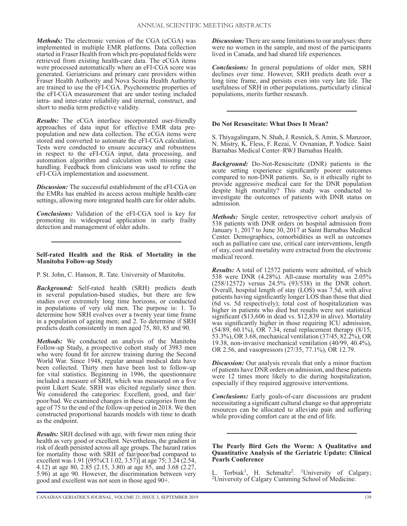*Methods:* The electronic version of the CGA (eCGA) was implemented in multiple EMR platforms. Data collection started in Fraser Health from which pre-populated fields were retrieved from existing health-care data. The eCGA items were processed automatically where an eFI-CGA score was generated. Geriatricians and primary care providers within Fraser Health Authority and Nova Scotia Health Authority are trained to use the eFI-CGA. Psychometric properties of the eFI-CGA measurement that are under testing included intra- and inter-rater reliability and internal, construct, and short to media term predictive validity.

*Results:* The eCGA interface incorporated user-friendly approaches of data input for effective EMR data prepopulation and new data collection. The eCGA items were stored and converted to automate the eFI-CGA calculation. Tests were conducted to ensure accuracy and robustness in respect to the eFI-CGA input, data processing, and automation algorithm and calculation with missing case handling. Feedback from clinicians was used to refine the eFI-CGA implementation and assessment.

*Discussion:* The successful establishment of the eFI-CGA on the EMRs has enabled its access across multiple health-care settings, allowing more integrated health care for older adults.

*Conclusions:* Validation of the eFI-CGA tool is key for promoting its widespread application in early frailty detection and management of older adults.

#### **Self-rated Health and the Risk of Mortality in the Manitoba Follow-up Study**

P. St. John, C. Hanson, R. Tate. University of Manitoba.

*Background:* Self-rated health (SRH) predicts death in several population-based studies, but there are few studies over extremely long time horizons, or conducted in populations of very old men. The purpose is: 1. To determine how SRH evolves over a twenty year time frame in a population of ageing men; and 2. To determine if SRH predicts death consistently in men aged 75, 80, 85 and 90.

*Methods:* We conducted an analysis of the Manitoba Follow-up Study, a prospective cohort study of 3983 men who were found fit for aircrew training during the Second World War. Since 1948, regular annual medical data have been collected. Thirty men have been lost to follow-up for vital statistics. Beginning in 1996, the questionnaire included a measure of SRH, which was measured on a five point Likert Scale. SRH was elicited regularly since then. We considered the categories: Excellent, good, and fair/ poor/bad. We examined changes in these categories from the age of 75 to the end of the follow-up period in 2018. We then constructed proportional hazards models with time to death as the endpoint.

*Results:* SRH declined with age, with fewer men rating their health as very good or excellent. Nevertheless, the gradient in risk of death persisted across all age groups. The hazard ratios for mortality those with SRH of fair/poor/bad compared to excellent was 1.91 [(95%CI 1.02, 3.57)] at age 75; 3.24 (2.54, 4.12) at age 80, 2.85 (2.15, 3.80) at age 85, and 3.68 (2.27, 5.96) at age 90. However, the discrimination between very good and excellent was not seen in those aged 90+.

*Discussion:* There are some limitations to our analyses: there were no women in the sample, and most of the participants lived in Canada, and had shared life experiences.

*Conclusions:* In general populations of older men, SRH declines over time. However, SRH predicts death over a long time frame, and persists even into very late life. The usefulness of SRH in other populations, particularly clinical populations, merits further research.

## **Do Not Resuscitate: What Does It Mean?**

S. Thiyagalingam, N. Shah, J. Resnick, S. Amin, S. Manzoor, N. Mistry, K. Fless, F. Rezai, V. Ovnanian, P. Yodice. Saint Barnabas Medical Center–RWJ Barnabas Health.

*Background:* Do-Not-Resuscitate (DNR) patients in the acute setting experience significantly poorer outcomes compared to non-DNR patients. So, is it ethically right to provide aggressive medical care for the DNR population despite high mortality? This study was conducted to investigate the outcomes of patients with DNR status on admission.

*Methods:* Single center, retrospective cohort analysis of 538 patients with DNR orders on hospital admission from January 1, 2017 to June 30, 2017 at Saint Barnabas Medical Center. Demographics, comorbidities as well as outcomes such as palliative care use, critical care interventions, length of stay, cost and mortality were extracted from the electronic medical record.

*Results:* A total of 12572 patients were admitted, of which 538 were DNR (4.28%). All-cause mortality was 2.05% (258/12572) versus 24.5% (93/538) in the DNR cohort. Overall, hospital length of stay (LOS) was 7.5d, with alive patients having significantly longer LOS than those that died (6d vs. 5d respectively); total cost of hospitalization was higher in patients who died but results were not statistical significant (\$13,606 in dead vs. \$12,839 in alive). Mortality was significantly higher in those requiring ICU admission, (54/89, 60.1%), OR 7.34, renal replacement therapy (8/15, 53.3%), OR 3.68, mechanical ventilation (37/45, 82.2%), OR 19.38, non-invasive mechanical ventilation (40/99, 40.4%), OR 2.56, and vasopressors (27/35, 77.1%), OR 12.79.

*Discussion:* Our analysis reveals that only a minor fraction of patients have DNR orders on admission, and these patients were 12 times more likely to die during hospitalization, especially if they required aggressive interventions.

*Conclusions:* Early goals-of-care discussions are prudent necessitating a significant cultural change so that appropriate resources can be allocated to alleviate pain and suffering while providing comfort care at the end of life.

#### **The Pearly Bird Gets the Worm: A Qualitative and Quantitative Analysis of the Geriatric Update: Clinical Pearls Conference**

L. Torbiak<sup>1</sup>, H. Schmaltz<sup>2</sup>. <sup>1</sup>University of Calgary; <sup>2</sup>University of Calgary Cumming School of Medicine.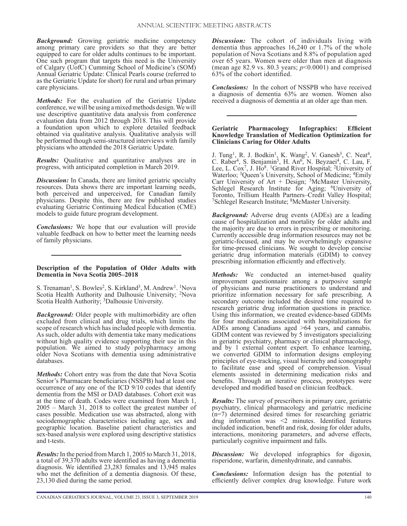*Background:* Growing geriatric medicine competency among primary care providers so that they are better equipped to care for older adults continues to be important. One such program that targets this need is the University of Calgary (UofC) Cumming School of Medicine's (SOM) Annual Geriatric Update: Clinical Pearls course (referred to as the Geriatric Update for short) for rural and urban primary care physicians.

*Methods:* For the evaluation of the Geriatric Update conference, we will be using a mixed methods design. We will use descriptive quantitative data analysis from conference evaluation data from 2012 through 2018. This will provide a foundation upon which to explore detailed feedback obtained via qualitative analysis. Qualitative analysis will be performed though semi-structured interviews with family physicians who attended the 2018 Geriatric Update.

*Results:* Qualitative and quantitative analyses are in progress, with anticipated completion in March 2019.

*Discussion:* In Canada, there are limited geriatric specialty resources. Data shows there are important learning needs, both perceived and unperceived, for Canadian family physicians. Despite this, there are few published studies evaluating Geriatric Continuing Medical Education (CME) models to guide future program development.

*Conclusions:* We hope that our evaluation will provide valuable feedback on how to better meet the learning needs of family physicians.

#### **Description of the Population of Older Adults with Dementia in Nova Scotia 2005–2018**

S. Trenaman<sup>1</sup>, S. Bowles<sup>2</sup>, S. Kirkland<sup>3</sup>, M. Andrew<sup>1</sup>. <sup>1</sup>Nova Scotia Health Authority and Dalhousie University; <sup>2</sup>Nova Scotia Health Authority; <sup>3</sup>Dalhousie University.

*Background:* Older people with multimorbidity are often excluded from clinical and drug trials, which limits the scope of research which has included people with dementia. As such, older adults with dementia take many medications without high quality evidence supporting their use in this population. We aimed to study polypharmacy among older Nova Scotians with dementia using administrative databases.

*Methods:* Cohort entry was from the date that Nova Scotia Senior's Pharmacare beneficiaries (NSSPB) had at least one occurrence of any one of the ICD 9/10 codes that identify dementia from the MSI or DAD databases. Cohort exit was at the time of death. Codes were examined from March 1, 2005 – March 31, 2018 to collect the greatest number of cases possible. Medication use was abstracted, along with sociodemographic characteristics including age, sex and geographic location. Baseline patient characteristics and sex-based analysis were explored using descriptive statistics and t-tests.

*Results:* In the period from March 1, 2005 to March 31, 2018, a total of 39,370 adults were identified as having a dementia diagnosis. We identified 23,283 females and 13,945 males who met the definition of a dementia diagnosis. Of these, 23,130 died during the same period.

*Discussion:* The cohort of individuals living with dementia thus approaches 16,240 or 1.7% of the whole population of Nova Scotians and 8.8% of population aged over 65 years. Women were older than men at diagnosis (mean age 82.9 vs. 80.3 years; *p*<0.0001) and comprised 63% of the cohort identified.

*Conclusions:* In the cohort of NSSPB who have received a diagnosis of dementia 63% are women. Women also received a diagnosis of dementia at an older age than men.

#### **Geriatric Pharmacology Infographics: Efficient Knowledge Translation of Medication Optimization for Clinicians Caring for Older Adults**

J. Tung<sup>1</sup>, R. J. Bodkin<sup>1</sup>, K. Wang<sup>2</sup>, V. Ganesh<sup>3</sup>, C. Neat<sup>4</sup>, C. Raber<sup>4</sup>, S. Benjamin<sup>5</sup>, H. An<sup>6</sup>, N. Beyzaei<sup>4</sup>, C. Lau, F. Lee, L. Cox<sup>7</sup>, J. Ho<sup>8</sup>. <sup>1</sup>Grand River Hospital; <sup>2</sup>University of Waterloo; <sup>3</sup>Queen's University, School of Medicine; <sup>4</sup>Emily Carr University of Art + Design; <sup>5</sup>McMaster University, Schlegel Research Institute for Aging; <sup>6</sup>University of Toronto, Trillium Health Partners–Credit Valley Hospital; 7Schlegel Research Institute; 8McMaster University.

*Background:* Adverse drug events (ADEs) are a leading cause of hospitalization and mortality for older adults and the majority are due to errors in prescribing or monitoring. Currently accessible drug information resources may not be geriatric-focused, and may be overwhelmingly expansive for time-pressed clinicians. We sought to develop concise geriatric drug information materials (GDIM) to convey prescribing information efficiently and effectively.

*Methods:* We conducted an internet-based quality improvement questionnaire among a purposive sample of physicians and nurse practitioners to understand and prioritize information necessary for safe prescribing. A secondary outcome included the desired time required to research geriatric drug information questions in practice. Using this information, we created evidence-based GDIMs for four medications associated with hospitalizations for ADEs among Canadians aged >64 years, and cannabis. GDIM content was reviewed by 5 investigators specializing in geriatric psychiatry, pharmacy or clinical pharmacology, and by 1 external content expert. To enhance learning, we converted GDIM to information designs employing principles of eye-tracking, visual hierarchy and iconography to facilitate ease and speed of comprehension. Visual elements assisted in determining medication risks and benefits. Through an iterative process, prototypes were developed and modified based on clinician feedback.

*Results:* The survey of prescribers in primary care, geriatric psychiatry, clinical pharmacology and geriatric medicine (n=7) determined desired times for researching geriatric drug information was <2 minutes. Identified features included indication, benefit and risk, dosing for older adults, interactions, monitoring parameters, and adverse effects, particularly cognitive impairment and falls.

*Discussion:* We developed infographics for digoxin, risperidone, warfarin, dimenhydrinate, and cannabis.

*Conclusions:* Information design has the potential to efficiently deliver complex drug knowledge. Future work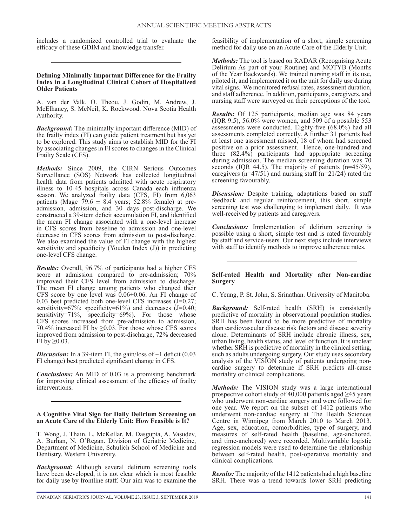includes a randomized controlled trial to evaluate the efficacy of these GDIM and knowledge transfer.

#### **Defining Minimally Important Difference for the Frailty Index in a Longitudinal Clinical Cohort of Hospitalized Older Patients**

A. van der Valk, O. Theou, J. Godin, M. Andrew, J. McElhaney, S. McNeil, K. Rockwood. Nova Scotia Health Authority.

*Background:* The minimally important difference (MID) of the frailty index (FI) can guide patient treatment but has yet to be explored. This study aims to establish MID for the FI by associating changes in FI scores to changes in the Clinical Frailty Scale (CFS).

*Methods:* Since 2009, the CIRN Serious Outcomes Surveillance (SOS) Network has collected longitudinal health data from patients admitted with acute respiratory illness to 10-45 hospitals across Canada each influenza season. We analyzed frailty data (CFS, FI) from 6,063 patients (Mage=79.6  $\pm$  8.4 years; 52.8% female) at preadmission, admission, and 30 days post-discharge. We constructed a 39-item deficit accumulation FI, and identified the mean FI change associated with a one-level increase in CFS scores from baseline to admission and one-level decrease in CFS scores from admission to post-discharge. We also examined the value of FI change with the highest sensitivity and specificity (Youden Index (J)) in predicting one-level CFS change.

*Results:* Overall, 96.7% of participants had a higher CFS score at admission compared to pre-admission; 70% improved their CFS level from admission to discharge. The mean FI change among patients who changed their CFS score by one level was 0.06±0.06. An FI change of 0.03 best predicted both one-level CFS increases (J=0.27; sensitivity=67%; specificity=61%) and decreases  $(J=0.40;$ sensitivity=71%, specificity=69%). For those whose CFS scores increased from pre-admission to admission, 70.4% increased FI by  $\geq$ 0.03. For those whose CFS scores improved from admission to post-discharge, 72% decreased FI by  $\geq 0.03$ .

**Discussion:** In a 39-item FI, the gain/loss of  $\sim$ 1 deficit (0.03) FI change) best predicted significant change in CFS.

*Conclusions:* An MID of 0.03 is a promising benchmark for improving clinical assessment of the efficacy of frailty interventions.

#### **A Cognitive Vital Sign for Daily Delirium Screening on an Acute Care of the Elderly Unit: How Feasible is It?**

T. Wong, J. Thain, L. McKellar, M. Dasgupta, A. Vasudev, A. Burhan, N. O'Regan. Division of Geriatric Medicine, Department of Medicine, Schulich School of Medicine and Dentistry, Western University.

*Background:* Although several delirium screening tools have been developed, it is not clear which is most feasible for daily use by frontline staff. Our aim was to examine the

feasibility of implementation of a short, simple screening method for daily use on an Acute Care of the Elderly Unit.

*Methods:* The tool is based on RADAR (Recognising Acute Delirium As part of your Routine) and MOTYB (Months of the Year Backwards). We trained nursing staff in its use, piloted it, and implemented it on the unit for daily use during vital signs. We monitored refusal rates, assessment duration, and staff adherence. In addition, participants, caregivers, and nursing staff were surveyed on their perceptions of the tool.

*Results:* Of 125 participants, median age was 84 years (IQR 9.5), 56.0% were women, and 509 of a possible 553 assessments were conducted. Eighty-five (68.0%) had all assessments completed correctly. A further 31 patients had at least one assessment missed, 18 of whom had screened positive on a prior assessment. Hence, one-hundred and three (82.4%) participants had appropriate screening during admission. The median screening duration was 70 seconds (IQR 44.5). The majority of patients (n=45/59), caregivers (n=47/51) and nursing staff (n=21/24) rated the screening favourably.

**Discussion:** Despite training, adaptations based on staff feedback and regular reinforcement, this short, simple screening test was challenging to implement daily. It was well-received by patients and caregivers.

*Conclusions:* Implementation of delirium screening is possible using a short, simple test and is rated favourably by staff and service-users. Our next steps include interviews with staff to identify methods to improve adherence rates.

## **Self-rated Health and Mortality after Non-cardiac Surgery**

C. Yeung, P. St. John, S. Srinathan. University of Manitoba.

*Background:* Self-rated health (SRH) is consistently predictive of mortality in observational population studies. SRH has been found to be more predictive of mortality than cardiovascular disease risk factors and disease severity alone. Determinants of SRH include chronic illness, sex, urban living, health status, and level of function. It is unclear whether SRH is predictive of mortality in the clinical setting, such as adults undergoing surgery. Our study uses secondary analysis of the VISION study of patients undergoing noncardiac surgery to determine if SRH predicts all-cause mortality or clinical complications.

*Methods:* The VISION study was a large international prospective cohort study of 40,000 patients aged  $\geq$ 45 years who underwent non-cardiac surgery and were followed for one year. We report on the subset of 1412 patients who underwent non-cardiac surgery at The Health Sciences Centre in Winnipeg from March 2010 to March 2013. Age, sex, education, comorbidities, type of surgery, and measures of self-rated health (baseline, age-anchored, and time-anchored) were recorded. Multivariable logistic regression models were used to determine the relationship between self-rated health, post-operative mortality and clinical complications.

*Results:* The majority of the 1412 patients had a high baseline SRH. There was a trend towards lower SRH predicting